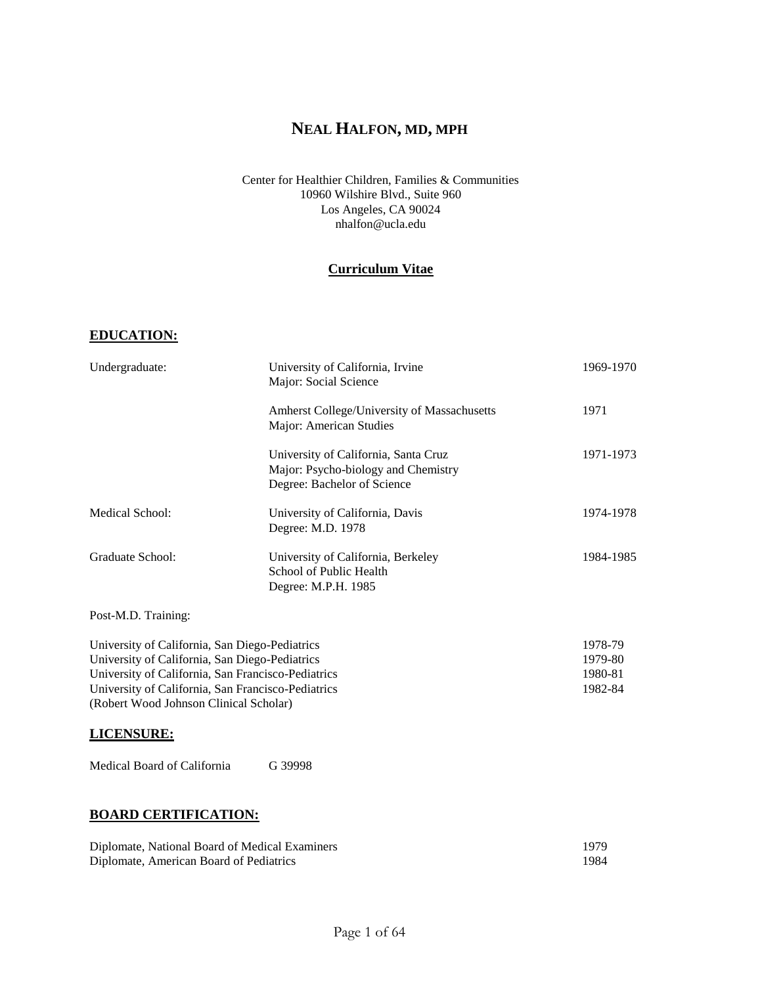# **NEAL HALFON, MD, MPH**

### Center for Healthier Children, Families & Communities 10960 Wilshire Blvd., Suite 960 Los Angeles, CA 90024 nhalfon@ucla.edu

# **Curriculum Vitae**

## **EDUCATION:**

| Undergraduate:                                                                                                                                                                                                                                         | University of California, Irvine<br>Major: Social Science                                                  | 1969-1970                                |  |
|--------------------------------------------------------------------------------------------------------------------------------------------------------------------------------------------------------------------------------------------------------|------------------------------------------------------------------------------------------------------------|------------------------------------------|--|
|                                                                                                                                                                                                                                                        | Amherst College/University of Massachusetts<br>Major: American Studies                                     | 1971                                     |  |
|                                                                                                                                                                                                                                                        | University of California, Santa Cruz<br>Major: Psycho-biology and Chemistry<br>Degree: Bachelor of Science | 1971-1973                                |  |
| Medical School:                                                                                                                                                                                                                                        | University of California, Davis<br>Degree: M.D. 1978                                                       | 1974-1978                                |  |
| Graduate School:                                                                                                                                                                                                                                       | University of California, Berkeley<br>School of Public Health<br>Degree: M.P.H. 1985                       | 1984-1985                                |  |
| Post-M.D. Training:                                                                                                                                                                                                                                    |                                                                                                            |                                          |  |
| University of California, San Diego-Pediatrics<br>University of California, San Diego-Pediatrics<br>University of California, San Francisco-Pediatrics<br>University of California, San Francisco-Pediatrics<br>(Robert Wood Johnson Clinical Scholar) |                                                                                                            | 1978-79<br>1979-80<br>1980-81<br>1982-84 |  |
| <b>LICENSURE:</b>                                                                                                                                                                                                                                      |                                                                                                            |                                          |  |
| Medical Board of California                                                                                                                                                                                                                            | G 39998                                                                                                    |                                          |  |
| <b>BOARD CERTIFICATION:</b>                                                                                                                                                                                                                            |                                                                                                            |                                          |  |

### Diplomate, National Board of Medical Examiners 1979 Diplomate, American Board of Pediatrics 1984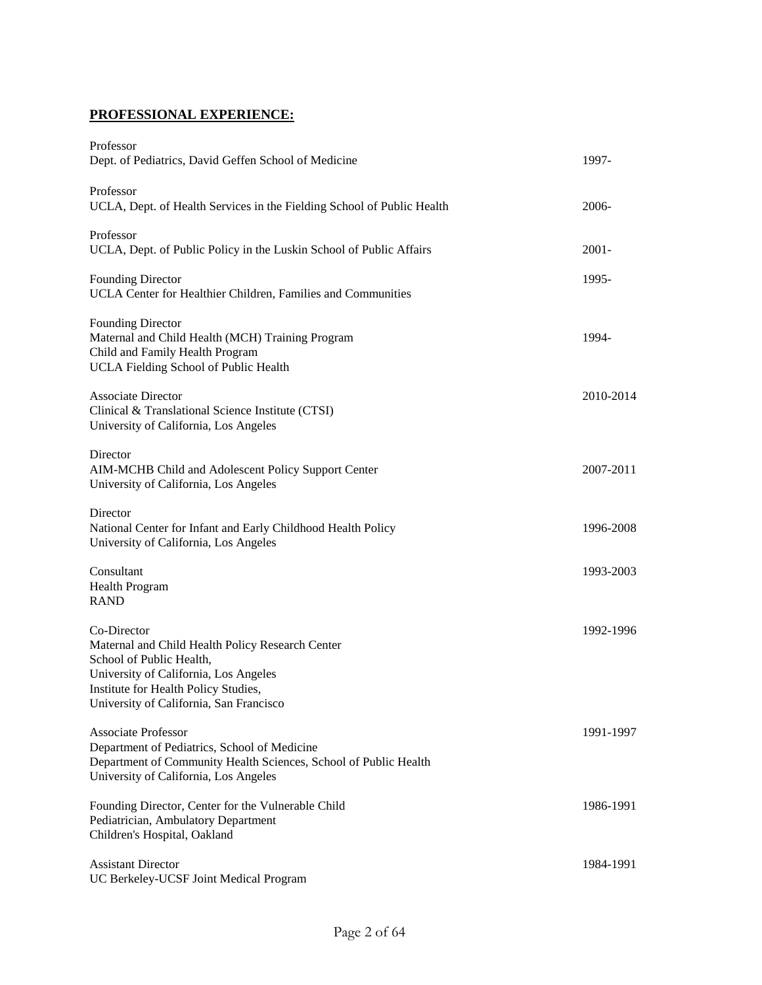# **PROFESSIONAL EXPERIENCE:**

| Professor<br>Dept. of Pediatrics, David Geffen School of Medicine                                                                                                                                                       | 1997-     |
|-------------------------------------------------------------------------------------------------------------------------------------------------------------------------------------------------------------------------|-----------|
| Professor<br>UCLA, Dept. of Health Services in the Fielding School of Public Health                                                                                                                                     | 2006-     |
| Professor<br>UCLA, Dept. of Public Policy in the Luskin School of Public Affairs                                                                                                                                        | $2001 -$  |
| <b>Founding Director</b><br>UCLA Center for Healthier Children, Families and Communities                                                                                                                                | 1995-     |
| <b>Founding Director</b><br>Maternal and Child Health (MCH) Training Program<br>Child and Family Health Program<br>UCLA Fielding School of Public Health                                                                | 1994-     |
| <b>Associate Director</b><br>Clinical & Translational Science Institute (CTSI)<br>University of California, Los Angeles                                                                                                 | 2010-2014 |
| Director<br>AIM-MCHB Child and Adolescent Policy Support Center<br>University of California, Los Angeles                                                                                                                | 2007-2011 |
| Director<br>National Center for Infant and Early Childhood Health Policy<br>University of California, Los Angeles                                                                                                       | 1996-2008 |
| Consultant<br>Health Program<br><b>RAND</b>                                                                                                                                                                             | 1993-2003 |
| Co-Director<br>Maternal and Child Health Policy Research Center<br>School of Public Health,<br>University of California, Los Angeles<br>Institute for Health Policy Studies,<br>University of California, San Francisco | 1992-1996 |
| <b>Associate Professor</b><br>Department of Pediatrics, School of Medicine<br>Department of Community Health Sciences, School of Public Health<br>University of California, Los Angeles                                 | 1991-1997 |
| Founding Director, Center for the Vulnerable Child<br>Pediatrician, Ambulatory Department<br>Children's Hospital, Oakland                                                                                               | 1986-1991 |
| <b>Assistant Director</b><br>UC Berkeley-UCSF Joint Medical Program                                                                                                                                                     | 1984-1991 |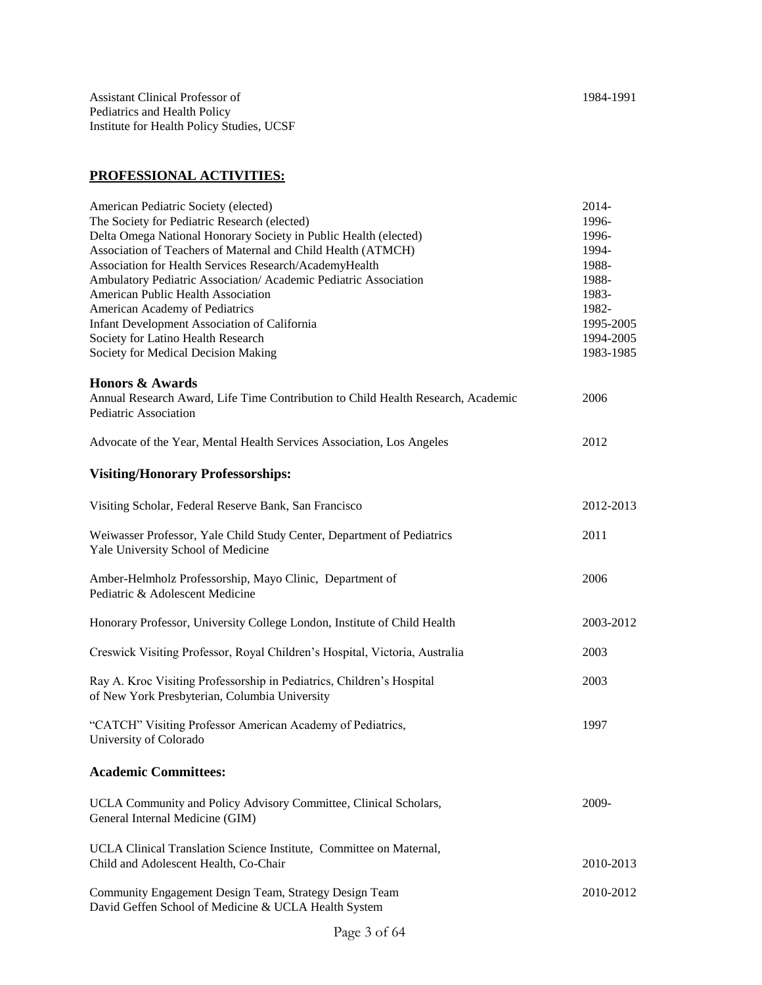# **PROFESSIONAL ACTIVITIES:**

| American Pediatric Society (elected)                                             | 2014-     |
|----------------------------------------------------------------------------------|-----------|
| The Society for Pediatric Research (elected)                                     | 1996-     |
| Delta Omega National Honorary Society in Public Health (elected)                 | 1996-     |
| Association of Teachers of Maternal and Child Health (ATMCH)                     | 1994-     |
| Association for Health Services Research/AcademyHealth                           | 1988-     |
| Ambulatory Pediatric Association/ Academic Pediatric Association                 | 1988-     |
| American Public Health Association                                               | 1983-     |
| American Academy of Pediatrics                                                   | 1982-     |
| Infant Development Association of California                                     | 1995-2005 |
| Society for Latino Health Research                                               | 1994-2005 |
| Society for Medical Decision Making                                              | 1983-1985 |
|                                                                                  |           |
| <b>Honors &amp; Awards</b>                                                       |           |
| Annual Research Award, Life Time Contribution to Child Health Research, Academic | 2006      |
| Pediatric Association                                                            |           |
|                                                                                  |           |
| Advocate of the Year, Mental Health Services Association, Los Angeles            | 2012      |
|                                                                                  |           |
| <b>Visiting/Honorary Professorships:</b>                                         |           |
| Visiting Scholar, Federal Reserve Bank, San Francisco                            | 2012-2013 |
|                                                                                  |           |
| Weiwasser Professor, Yale Child Study Center, Department of Pediatrics           | 2011      |
| Yale University School of Medicine                                               |           |
|                                                                                  |           |
| Amber-Helmholz Professorship, Mayo Clinic, Department of                         | 2006      |
| Pediatric & Adolescent Medicine                                                  |           |
| Honorary Professor, University College London, Institute of Child Health         | 2003-2012 |
|                                                                                  |           |
| Creswick Visiting Professor, Royal Children's Hospital, Victoria, Australia      | 2003      |
|                                                                                  |           |
| Ray A. Kroc Visiting Professorship in Pediatrics, Children's Hospital            | 2003      |
| of New York Presbyterian, Columbia University                                    |           |
|                                                                                  |           |
| "CATCH" Visiting Professor American Academy of Pediatrics,                       | 1997      |
| University of Colorado                                                           |           |
|                                                                                  |           |
| <b>Academic Committees:</b>                                                      |           |
| UCLA Community and Policy Advisory Committee, Clinical Scholars,                 | 2009-     |
| General Internal Medicine (GIM)                                                  |           |
|                                                                                  |           |
| UCLA Clinical Translation Science Institute, Committee on Maternal,              |           |
| Child and Adolescent Health, Co-Chair                                            | 2010-2013 |
|                                                                                  |           |
| Community Engagement Design Team, Strategy Design Team                           | 2010-2012 |
| David Geffen School of Medicine & UCLA Health System                             |           |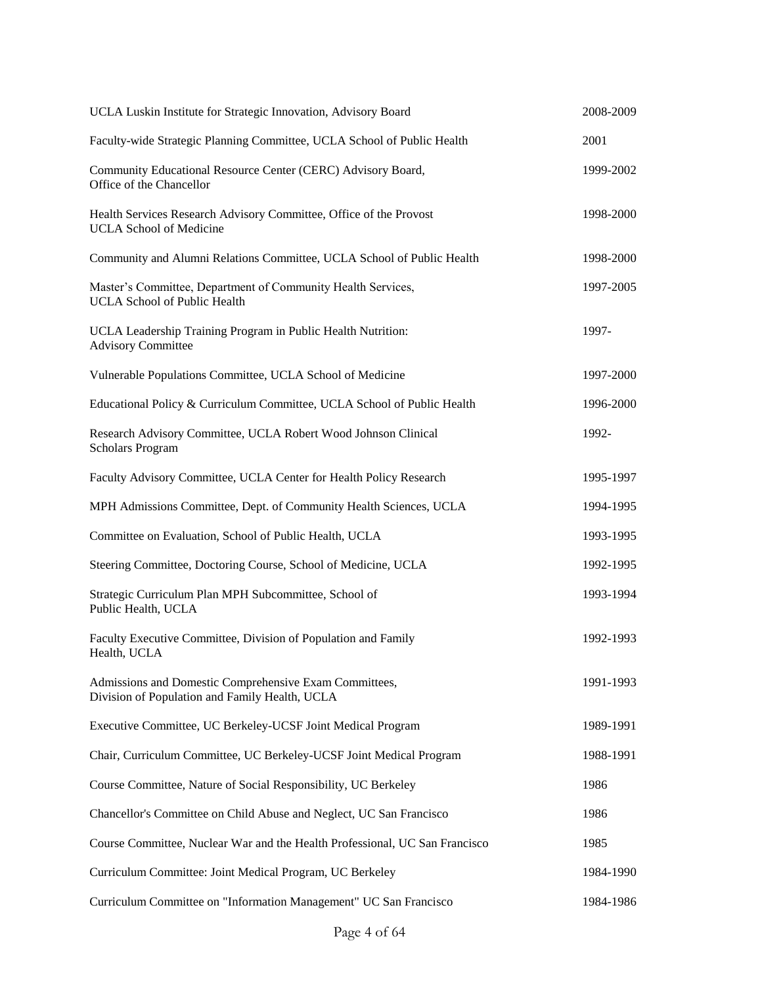| UCLA Luskin Institute for Strategic Innovation, Advisory Board                                           | 2008-2009 |
|----------------------------------------------------------------------------------------------------------|-----------|
| Faculty-wide Strategic Planning Committee, UCLA School of Public Health                                  | 2001      |
| Community Educational Resource Center (CERC) Advisory Board,<br>Office of the Chancellor                 | 1999-2002 |
| Health Services Research Advisory Committee, Office of the Provost<br><b>UCLA School of Medicine</b>     | 1998-2000 |
| Community and Alumni Relations Committee, UCLA School of Public Health                                   | 1998-2000 |
| Master's Committee, Department of Community Health Services,<br><b>UCLA School of Public Health</b>      | 1997-2005 |
| UCLA Leadership Training Program in Public Health Nutrition:<br><b>Advisory Committee</b>                | 1997-     |
| Vulnerable Populations Committee, UCLA School of Medicine                                                | 1997-2000 |
| Educational Policy & Curriculum Committee, UCLA School of Public Health                                  | 1996-2000 |
| Research Advisory Committee, UCLA Robert Wood Johnson Clinical<br><b>Scholars Program</b>                | 1992-     |
| Faculty Advisory Committee, UCLA Center for Health Policy Research                                       | 1995-1997 |
| MPH Admissions Committee, Dept. of Community Health Sciences, UCLA                                       | 1994-1995 |
| Committee on Evaluation, School of Public Health, UCLA                                                   | 1993-1995 |
| Steering Committee, Doctoring Course, School of Medicine, UCLA                                           | 1992-1995 |
| Strategic Curriculum Plan MPH Subcommittee, School of<br>Public Health, UCLA                             | 1993-1994 |
| Faculty Executive Committee, Division of Population and Family<br>Health, UCLA                           | 1992-1993 |
| Admissions and Domestic Comprehensive Exam Committees,<br>Division of Population and Family Health, UCLA | 1991-1993 |
| Executive Committee, UC Berkeley-UCSF Joint Medical Program                                              | 1989-1991 |
| Chair, Curriculum Committee, UC Berkeley-UCSF Joint Medical Program                                      | 1988-1991 |
| Course Committee, Nature of Social Responsibility, UC Berkeley                                           | 1986      |
| Chancellor's Committee on Child Abuse and Neglect, UC San Francisco                                      | 1986      |
| Course Committee, Nuclear War and the Health Professional, UC San Francisco                              | 1985      |
| Curriculum Committee: Joint Medical Program, UC Berkeley                                                 | 1984-1990 |
| Curriculum Committee on "Information Management" UC San Francisco                                        | 1984-1986 |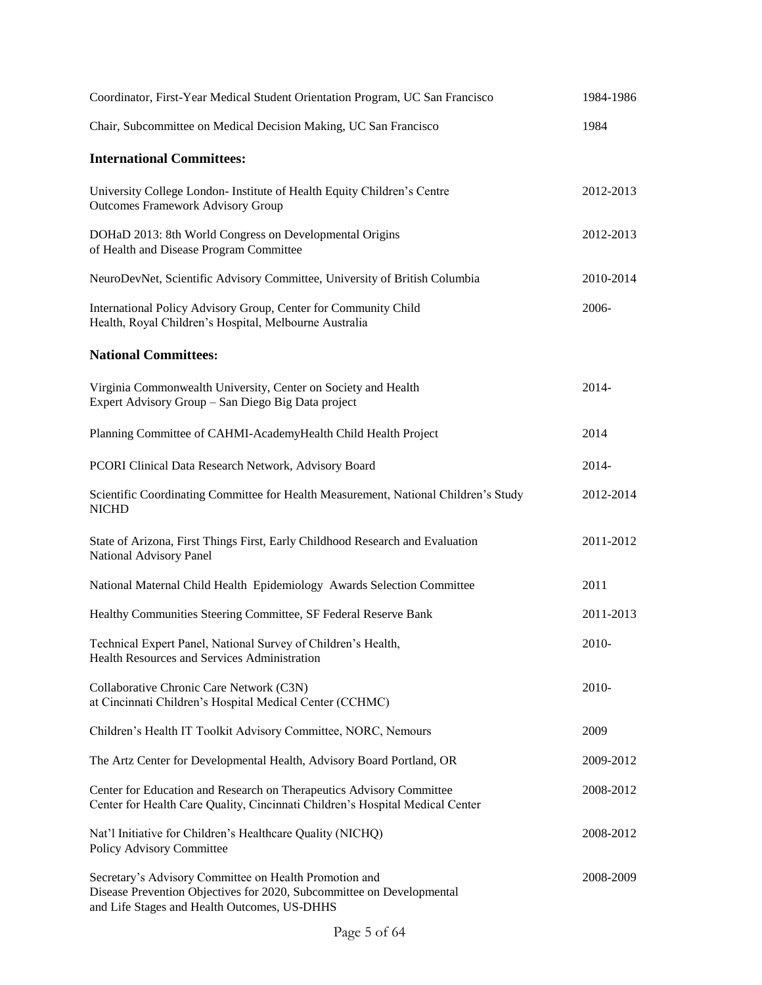| Coordinator, First-Year Medical Student Orientation Program, UC San Francisco                                                                                                   | 1984-1986 |
|---------------------------------------------------------------------------------------------------------------------------------------------------------------------------------|-----------|
| Chair, Subcommittee on Medical Decision Making, UC San Francisco                                                                                                                | 1984      |
| <b>International Committees:</b>                                                                                                                                                |           |
| University College London- Institute of Health Equity Children's Centre<br><b>Outcomes Framework Advisory Group</b>                                                             | 2012-2013 |
| DOHaD 2013: 8th World Congress on Developmental Origins<br>of Health and Disease Program Committee                                                                              | 2012-2013 |
| NeuroDevNet, Scientific Advisory Committee, University of British Columbia                                                                                                      | 2010-2014 |
| International Policy Advisory Group, Center for Community Child<br>Health, Royal Children's Hospital, Melbourne Australia                                                       | 2006-     |
| <b>National Committees:</b>                                                                                                                                                     |           |
| Virginia Commonwealth University, Center on Society and Health<br>Expert Advisory Group - San Diego Big Data project                                                            | 2014-     |
| Planning Committee of CAHMI-AcademyHealth Child Health Project                                                                                                                  | 2014      |
| PCORI Clinical Data Research Network, Advisory Board                                                                                                                            | 2014-     |
| Scientific Coordinating Committee for Health Measurement, National Children's Study<br><b>NICHD</b>                                                                             | 2012-2014 |
| State of Arizona, First Things First, Early Childhood Research and Evaluation<br>National Advisory Panel                                                                        | 2011-2012 |
| National Maternal Child Health Epidemiology Awards Selection Committee                                                                                                          | 2011      |
| Healthy Communities Steering Committee, SF Federal Reserve Bank                                                                                                                 | 2011-2013 |
| Technical Expert Panel, National Survey of Children's Health,<br>Health Resources and Services Administration                                                                   | 2010-     |
| Collaborative Chronic Care Network (C3N)<br>at Cincinnati Children's Hospital Medical Center (CCHMC)                                                                            | 2010-     |
| Children's Health IT Toolkit Advisory Committee, NORC, Nemours                                                                                                                  | 2009      |
| The Artz Center for Developmental Health, Advisory Board Portland, OR                                                                                                           | 2009-2012 |
| Center for Education and Research on Therapeutics Advisory Committee<br>Center for Health Care Quality, Cincinnati Children's Hospital Medical Center                           | 2008-2012 |
| Nat'l Initiative for Children's Healthcare Quality (NICHQ)<br>Policy Advisory Committee                                                                                         | 2008-2012 |
| Secretary's Advisory Committee on Health Promotion and<br>Disease Prevention Objectives for 2020, Subcommittee on Developmental<br>and Life Stages and Health Outcomes, US-DHHS | 2008-2009 |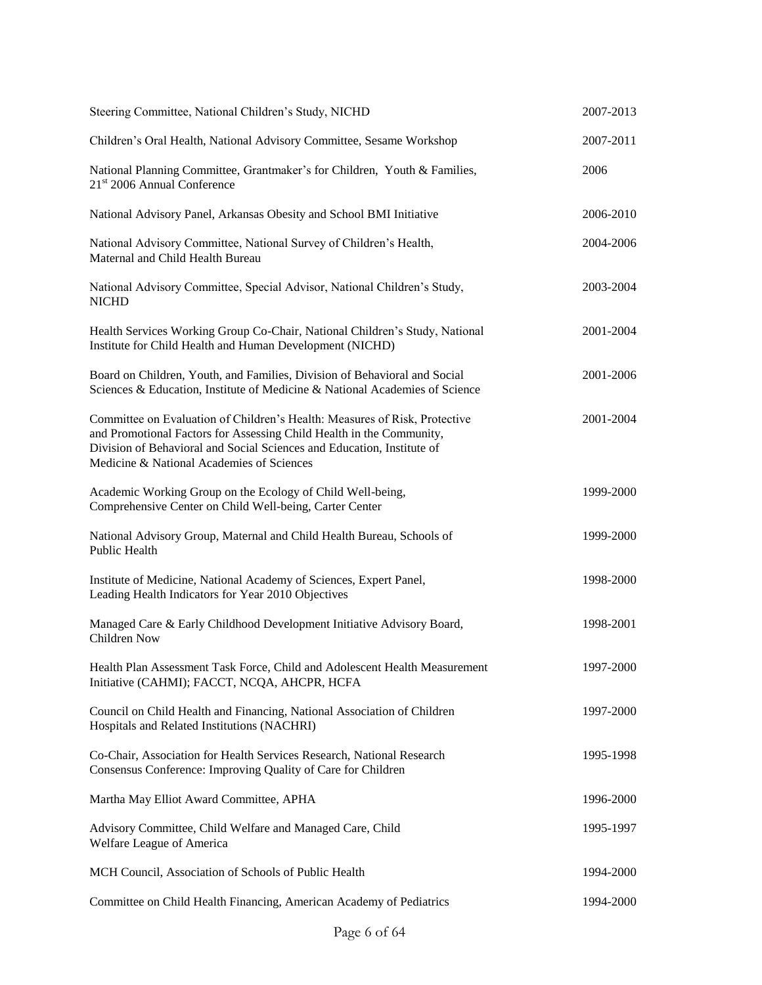| Steering Committee, National Children's Study, NICHD                                                                                                                                                                                                                      | 2007-2013 |
|---------------------------------------------------------------------------------------------------------------------------------------------------------------------------------------------------------------------------------------------------------------------------|-----------|
| Children's Oral Health, National Advisory Committee, Sesame Workshop                                                                                                                                                                                                      | 2007-2011 |
| National Planning Committee, Grantmaker's for Children, Youth & Families,<br>21 <sup>st</sup> 2006 Annual Conference                                                                                                                                                      | 2006      |
| National Advisory Panel, Arkansas Obesity and School BMI Initiative                                                                                                                                                                                                       | 2006-2010 |
| National Advisory Committee, National Survey of Children's Health,<br>Maternal and Child Health Bureau                                                                                                                                                                    | 2004-2006 |
| National Advisory Committee, Special Advisor, National Children's Study,<br><b>NICHD</b>                                                                                                                                                                                  | 2003-2004 |
| Health Services Working Group Co-Chair, National Children's Study, National<br>Institute for Child Health and Human Development (NICHD)                                                                                                                                   | 2001-2004 |
| Board on Children, Youth, and Families, Division of Behavioral and Social<br>Sciences & Education, Institute of Medicine & National Academies of Science                                                                                                                  | 2001-2006 |
| Committee on Evaluation of Children's Health: Measures of Risk, Protective<br>and Promotional Factors for Assessing Child Health in the Community,<br>Division of Behavioral and Social Sciences and Education, Institute of<br>Medicine & National Academies of Sciences | 2001-2004 |
| Academic Working Group on the Ecology of Child Well-being,<br>Comprehensive Center on Child Well-being, Carter Center                                                                                                                                                     | 1999-2000 |
| National Advisory Group, Maternal and Child Health Bureau, Schools of<br>Public Health                                                                                                                                                                                    | 1999-2000 |
| Institute of Medicine, National Academy of Sciences, Expert Panel,<br>Leading Health Indicators for Year 2010 Objectives                                                                                                                                                  | 1998-2000 |
| Managed Care & Early Childhood Development Initiative Advisory Board,<br>Children Now                                                                                                                                                                                     | 1998-2001 |
| Health Plan Assessment Task Force, Child and Adolescent Health Measurement<br>Initiative (CAHMI); FACCT, NCQA, AHCPR, HCFA                                                                                                                                                | 1997-2000 |
| Council on Child Health and Financing, National Association of Children<br>Hospitals and Related Institutions (NACHRI)                                                                                                                                                    | 1997-2000 |
| Co-Chair, Association for Health Services Research, National Research<br>Consensus Conference: Improving Quality of Care for Children                                                                                                                                     | 1995-1998 |
| Martha May Elliot Award Committee, APHA                                                                                                                                                                                                                                   | 1996-2000 |
| Advisory Committee, Child Welfare and Managed Care, Child<br>Welfare League of America                                                                                                                                                                                    | 1995-1997 |
| MCH Council, Association of Schools of Public Health                                                                                                                                                                                                                      | 1994-2000 |
| Committee on Child Health Financing, American Academy of Pediatrics                                                                                                                                                                                                       | 1994-2000 |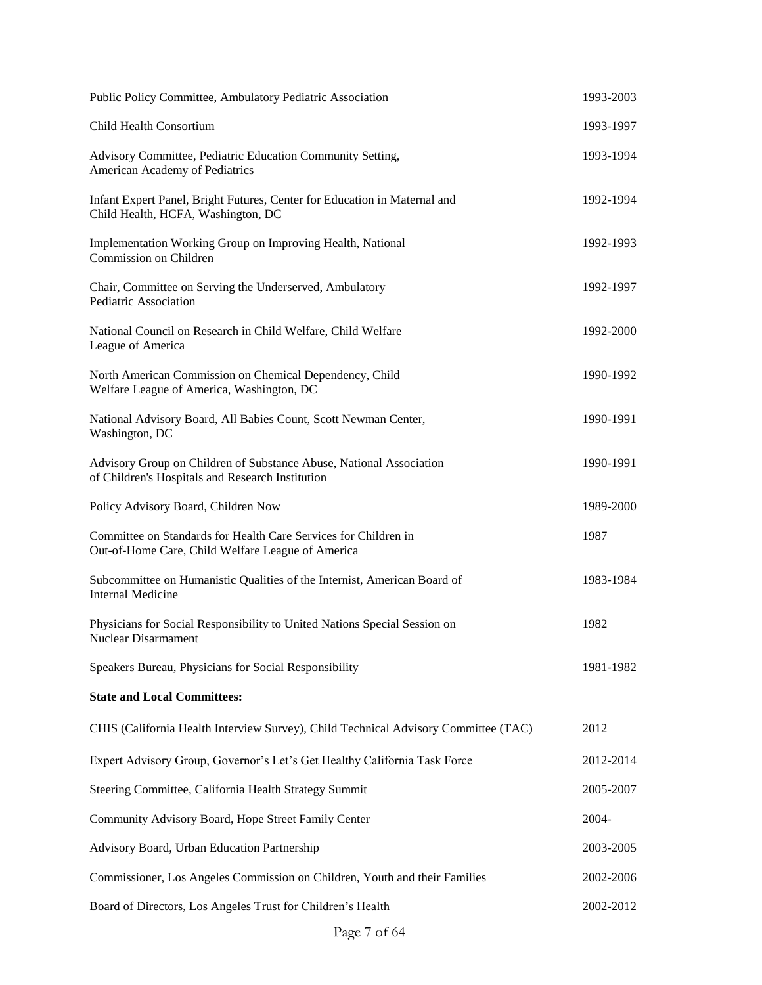| Public Policy Committee, Ambulatory Pediatric Association                                                               | 1993-2003 |
|-------------------------------------------------------------------------------------------------------------------------|-----------|
| Child Health Consortium                                                                                                 | 1993-1997 |
| Advisory Committee, Pediatric Education Community Setting,<br>American Academy of Pediatrics                            | 1993-1994 |
| Infant Expert Panel, Bright Futures, Center for Education in Maternal and<br>Child Health, HCFA, Washington, DC         | 1992-1994 |
| Implementation Working Group on Improving Health, National<br>Commission on Children                                    | 1992-1993 |
| Chair, Committee on Serving the Underserved, Ambulatory<br>Pediatric Association                                        | 1992-1997 |
| National Council on Research in Child Welfare, Child Welfare<br>League of America                                       | 1992-2000 |
| North American Commission on Chemical Dependency, Child<br>Welfare League of America, Washington, DC                    | 1990-1992 |
| National Advisory Board, All Babies Count, Scott Newman Center,<br>Washington, DC                                       | 1990-1991 |
| Advisory Group on Children of Substance Abuse, National Association<br>of Children's Hospitals and Research Institution | 1990-1991 |
| Policy Advisory Board, Children Now                                                                                     | 1989-2000 |
| Committee on Standards for Health Care Services for Children in<br>Out-of-Home Care, Child Welfare League of America    | 1987      |
| Subcommittee on Humanistic Qualities of the Internist, American Board of<br><b>Internal Medicine</b>                    | 1983-1984 |
| Physicians for Social Responsibility to United Nations Special Session on<br><b>Nuclear Disarmament</b>                 | 1982      |
| Speakers Bureau, Physicians for Social Responsibility                                                                   | 1981-1982 |
| <b>State and Local Committees:</b>                                                                                      |           |
| CHIS (California Health Interview Survey), Child Technical Advisory Committee (TAC)                                     | 2012      |
| Expert Advisory Group, Governor's Let's Get Healthy California Task Force                                               | 2012-2014 |
| Steering Committee, California Health Strategy Summit                                                                   | 2005-2007 |
| Community Advisory Board, Hope Street Family Center                                                                     | 2004-     |
| Advisory Board, Urban Education Partnership                                                                             | 2003-2005 |
| Commissioner, Los Angeles Commission on Children, Youth and their Families                                              | 2002-2006 |
| Board of Directors, Los Angeles Trust for Children's Health                                                             | 2002-2012 |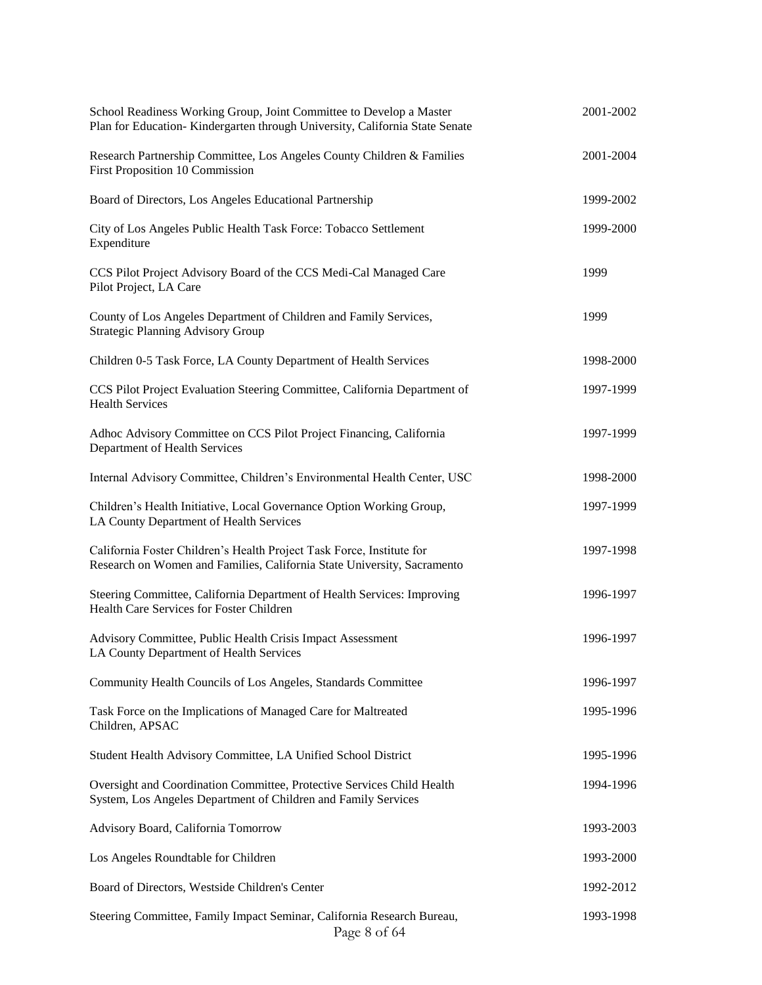| School Readiness Working Group, Joint Committee to Develop a Master<br>Plan for Education-Kindergarten through University, California State Senate | 2001-2002 |
|----------------------------------------------------------------------------------------------------------------------------------------------------|-----------|
| Research Partnership Committee, Los Angeles County Children & Families<br>First Proposition 10 Commission                                          | 2001-2004 |
| Board of Directors, Los Angeles Educational Partnership                                                                                            | 1999-2002 |
| City of Los Angeles Public Health Task Force: Tobacco Settlement<br>Expenditure                                                                    | 1999-2000 |
| CCS Pilot Project Advisory Board of the CCS Medi-Cal Managed Care<br>Pilot Project, LA Care                                                        | 1999      |
| County of Los Angeles Department of Children and Family Services,<br><b>Strategic Planning Advisory Group</b>                                      | 1999      |
| Children 0-5 Task Force, LA County Department of Health Services                                                                                   | 1998-2000 |
| CCS Pilot Project Evaluation Steering Committee, California Department of<br><b>Health Services</b>                                                | 1997-1999 |
| Adhoc Advisory Committee on CCS Pilot Project Financing, California<br>Department of Health Services                                               | 1997-1999 |
| Internal Advisory Committee, Children's Environmental Health Center, USC                                                                           | 1998-2000 |
| Children's Health Initiative, Local Governance Option Working Group,<br>LA County Department of Health Services                                    | 1997-1999 |
| California Foster Children's Health Project Task Force, Institute for<br>Research on Women and Families, California State University, Sacramento   | 1997-1998 |
| Steering Committee, California Department of Health Services: Improving<br>Health Care Services for Foster Children                                | 1996-1997 |
| Advisory Committee, Public Health Crisis Impact Assessment<br>LA County Department of Health Services                                              | 1996-1997 |
| Community Health Councils of Los Angeles, Standards Committee                                                                                      | 1996-1997 |
| Task Force on the Implications of Managed Care for Maltreated<br>Children, APSAC                                                                   | 1995-1996 |
| Student Health Advisory Committee, LA Unified School District                                                                                      | 1995-1996 |
| Oversight and Coordination Committee, Protective Services Child Health<br>System, Los Angeles Department of Children and Family Services           | 1994-1996 |
| Advisory Board, California Tomorrow                                                                                                                | 1993-2003 |
| Los Angeles Roundtable for Children                                                                                                                | 1993-2000 |
| Board of Directors, Westside Children's Center                                                                                                     | 1992-2012 |
| Steering Committee, Family Impact Seminar, California Research Bureau,<br>Page 8 of 64                                                             | 1993-1998 |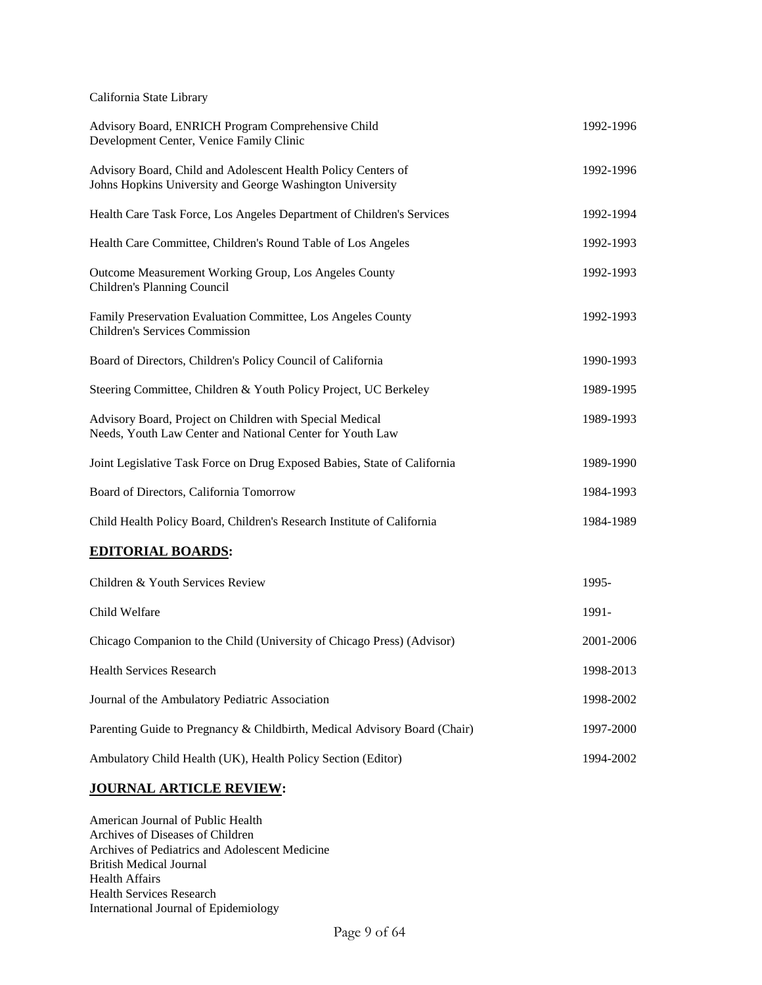California State Library

| Advisory Board, ENRICH Program Comprehensive Child<br>Development Center, Venice Family Clinic                             |           |  |
|----------------------------------------------------------------------------------------------------------------------------|-----------|--|
| Advisory Board, Child and Adolescent Health Policy Centers of<br>Johns Hopkins University and George Washington University | 1992-1996 |  |
| Health Care Task Force, Los Angeles Department of Children's Services                                                      | 1992-1994 |  |
| Health Care Committee, Children's Round Table of Los Angeles                                                               | 1992-1993 |  |
| Outcome Measurement Working Group, Los Angeles County<br>Children's Planning Council                                       | 1992-1993 |  |
| Family Preservation Evaluation Committee, Los Angeles County<br><b>Children's Services Commission</b>                      | 1992-1993 |  |
| Board of Directors, Children's Policy Council of California                                                                | 1990-1993 |  |
| Steering Committee, Children & Youth Policy Project, UC Berkeley                                                           | 1989-1995 |  |
| Advisory Board, Project on Children with Special Medical<br>Needs, Youth Law Center and National Center for Youth Law      | 1989-1993 |  |
| Joint Legislative Task Force on Drug Exposed Babies, State of California                                                   | 1989-1990 |  |
| Board of Directors, California Tomorrow                                                                                    | 1984-1993 |  |
| Child Health Policy Board, Children's Research Institute of California                                                     |           |  |
| <b>EDITORIAL BOARDS:</b>                                                                                                   |           |  |
| Children & Youth Services Review                                                                                           | 1995-     |  |
| Child Welfare                                                                                                              | 1991-     |  |
| Chicago Companion to the Child (University of Chicago Press) (Advisor)                                                     | 2001-2006 |  |
| <b>Health Services Research</b>                                                                                            | 1998-2013 |  |
| Journal of the Ambulatory Pediatric Association                                                                            | 1998-2002 |  |
| Parenting Guide to Pregnancy & Childbirth, Medical Advisory Board (Chair)                                                  |           |  |
| Ambulatory Child Health (UK), Health Policy Section (Editor)<br>1994-2002                                                  |           |  |

# **JOURNAL ARTICLE REVIEW:**

American Journal of Public Health Archives of Diseases of Children Archives of Pediatrics and Adolescent Medicine British Medical Journal Health Affairs Health Services Research International Journal of Epidemiology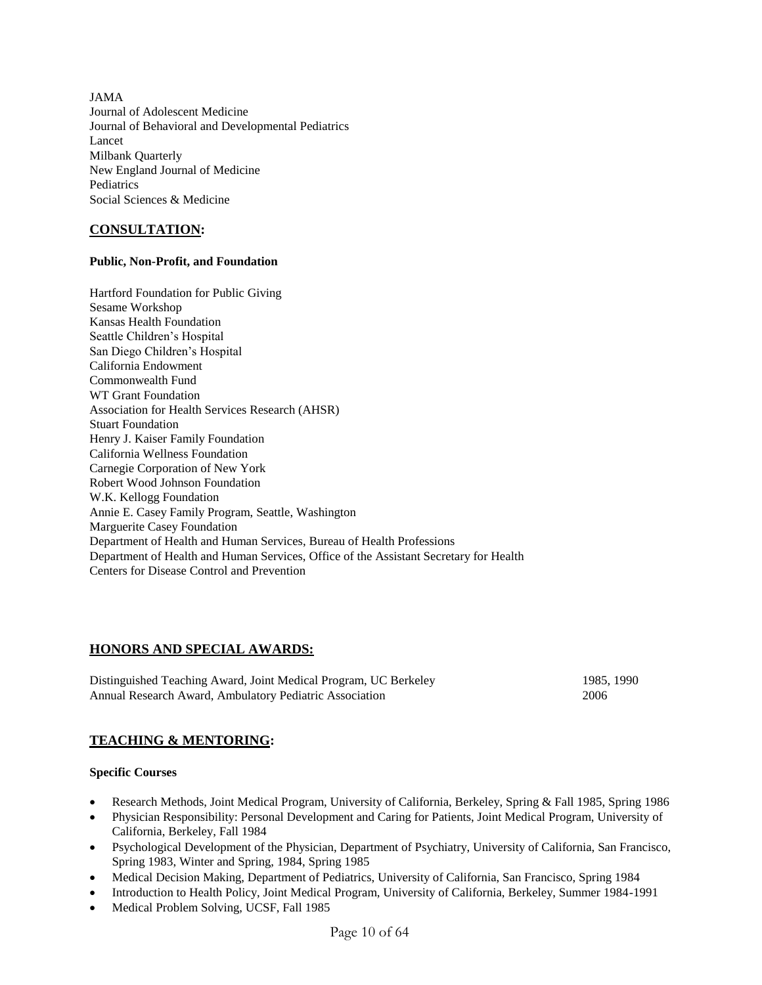JAMA Journal of Adolescent Medicine Journal of Behavioral and Developmental Pediatrics Lancet Milbank Quarterly New England Journal of Medicine **Pediatrics** Social Sciences & Medicine

# **CONSULTATION:**

### **Public, Non-Profit, and Foundation**

Hartford Foundation for Public Giving Sesame Workshop Kansas Health Foundation Seattle Children's Hospital San Diego Children's Hospital California Endowment Commonwealth Fund WT Grant Foundation Association for Health Services Research (AHSR) Stuart Foundation Henry J. Kaiser Family Foundation California Wellness Foundation Carnegie Corporation of New York Robert Wood Johnson Foundation W.K. Kellogg Foundation Annie E. Casey Family Program, Seattle, Washington Marguerite Casey Foundation Department of Health and Human Services, Bureau of Health Professions Department of Health and Human Services, Office of the Assistant Secretary for Health Centers for Disease Control and Prevention

## **HONORS AND SPECIAL AWARDS:**

Distinguished Teaching Award, Joint Medical Program, UC Berkeley 1985, 1990 Annual Research Award, Ambulatory Pediatric Association 2006

## **TEACHING & MENTORING:**

### **Specific Courses**

- Research Methods, Joint Medical Program, University of California, Berkeley, Spring & Fall 1985, Spring 1986
- Physician Responsibility: Personal Development and Caring for Patients, Joint Medical Program, University of California, Berkeley, Fall 1984
- Psychological Development of the Physician, Department of Psychiatry, University of California, San Francisco, Spring 1983, Winter and Spring, 1984, Spring 1985
- Medical Decision Making, Department of Pediatrics, University of California, San Francisco, Spring 1984
- Introduction to Health Policy, Joint Medical Program, University of California, Berkeley, Summer 1984-1991
- Medical Problem Solving, UCSF, Fall 1985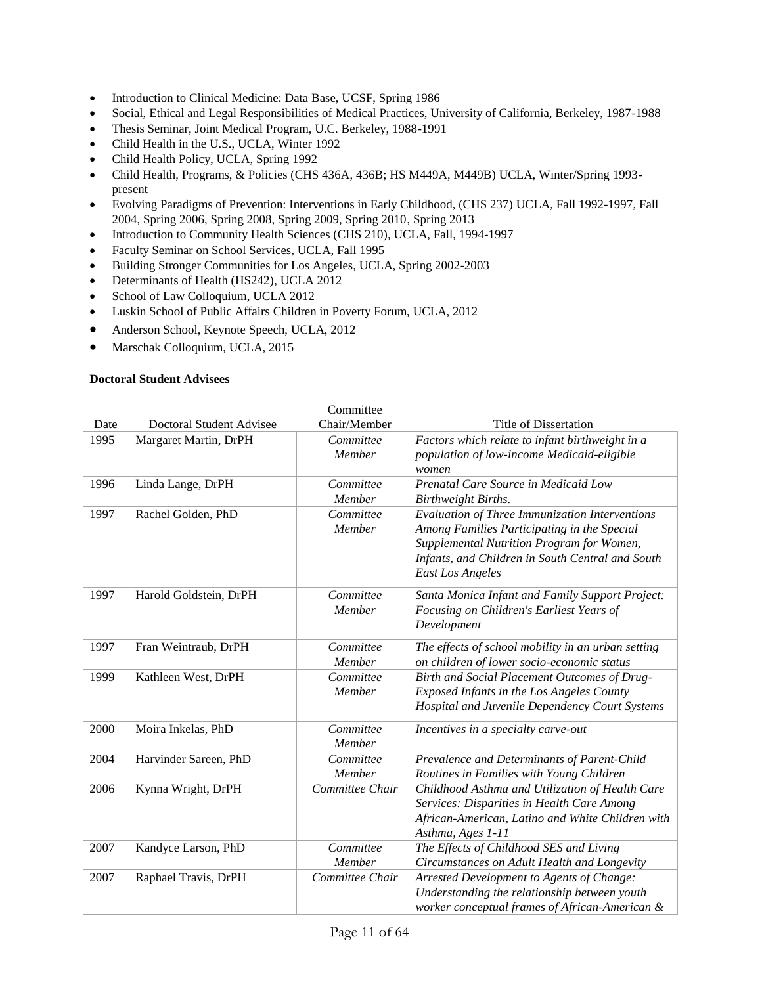- Introduction to Clinical Medicine: Data Base, UCSF, Spring 1986
- Social, Ethical and Legal Responsibilities of Medical Practices, University of California, Berkeley, 1987-1988
- Thesis Seminar, Joint Medical Program, U.C. Berkeley, 1988-1991
- Child Health in the U.S., UCLA, Winter 1992
- Child Health Policy, UCLA, Spring 1992
- Child Health, Programs, & Policies (CHS 436A, 436B; HS M449A, M449B) UCLA, Winter/Spring 1993 present
- Evolving Paradigms of Prevention: Interventions in Early Childhood, (CHS 237) UCLA, Fall 1992-1997, Fall 2004, Spring 2006, Spring 2008, Spring 2009, Spring 2010, Spring 2013
- Introduction to Community Health Sciences (CHS 210), UCLA, Fall, 1994-1997
- Faculty Seminar on School Services, UCLA, Fall 1995
- Building Stronger Communities for Los Angeles, UCLA, Spring 2002-2003
- Determinants of Health (HS242), UCLA 2012
- School of Law Colloquium, UCLA 2012
- Luskin School of Public Affairs Children in Poverty Forum, UCLA, 2012
- Anderson School, Keynote Speech, UCLA, 2012
- Marschak Colloquium, UCLA, 2015

### **Doctoral Student Advisees**

|      |                          | Committee       |                                                       |
|------|--------------------------|-----------------|-------------------------------------------------------|
| Date | Doctoral Student Advisee | Chair/Member    | <b>Title of Dissertation</b>                          |
| 1995 | Margaret Martin, DrPH    | Committee       | Factors which relate to infant birthweight in a       |
|      |                          | Member          | population of low-income Medicaid-eligible            |
|      |                          |                 | women                                                 |
| 1996 | Linda Lange, DrPH        | Committee       | Prenatal Care Source in Medicaid Low                  |
|      |                          | Member          | Birthweight Births.                                   |
| 1997 | Rachel Golden, PhD       | Committee       | <b>Evaluation of Three Immunization Interventions</b> |
|      |                          | Member          | Among Families Participating in the Special           |
|      |                          |                 | Supplemental Nutrition Program for Women,             |
|      |                          |                 | Infants, and Children in South Central and South      |
|      |                          |                 | <b>East Los Angeles</b>                               |
| 1997 | Harold Goldstein, DrPH   | Committee       | Santa Monica Infant and Family Support Project:       |
|      |                          | Member          | Focusing on Children's Earliest Years of              |
|      |                          |                 | Development                                           |
| 1997 | Fran Weintraub, DrPH     | Committee       | The effects of school mobility in an urban setting    |
|      |                          | Member          | on children of lower socio-economic status            |
| 1999 | Kathleen West, DrPH      | Committee       | Birth and Social Placement Outcomes of Drug-          |
|      |                          | Member          | Exposed Infants in the Los Angeles County             |
|      |                          |                 | Hospital and Juvenile Dependency Court Systems        |
|      |                          |                 |                                                       |
| 2000 | Moira Inkelas, PhD       | Committee       | Incentives in a specialty carve-out                   |
|      |                          | Member          |                                                       |
| 2004 | Harvinder Sareen, PhD    | Committee       | Prevalence and Determinants of Parent-Child           |
|      |                          | Member          | Routines in Families with Young Children              |
| 2006 | Kynna Wright, DrPH       | Committee Chair | Childhood Asthma and Utilization of Health Care       |
|      |                          |                 | Services: Disparities in Health Care Among            |
|      |                          |                 | African-American, Latino and White Children with      |
|      |                          |                 | Asthma, Ages 1-11                                     |
| 2007 | Kandyce Larson, PhD      | Committee       | The Effects of Childhood SES and Living               |
|      |                          | Member          | Circumstances on Adult Health and Longevity           |
| 2007 | Raphael Travis, DrPH     | Committee Chair | Arrested Development to Agents of Change:             |
|      |                          |                 | Understanding the relationship between youth          |
|      |                          |                 | worker conceptual frames of African-American &        |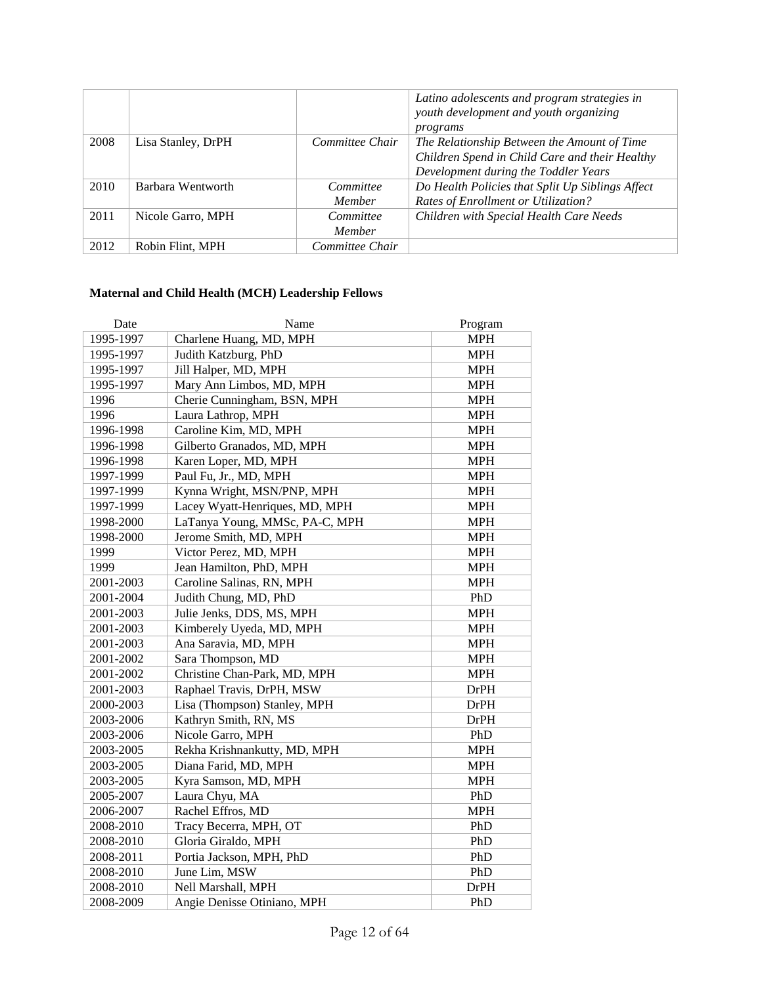|      |                    |                 | Latino adolescents and program strategies in<br>youth development and youth organizing<br>programs |  |
|------|--------------------|-----------------|----------------------------------------------------------------------------------------------------|--|
| 2008 | Lisa Stanley, DrPH | Committee Chair | The Relationship Between the Amount of Time                                                        |  |
|      |                    |                 | Children Spend in Child Care and their Healthy                                                     |  |
|      |                    |                 | Development during the Toddler Years                                                               |  |
| 2010 | Barbara Wentworth  | Committee       | Do Health Policies that Split Up Siblings Affect                                                   |  |
|      |                    | Member          | Rates of Enrollment or Utilization?                                                                |  |
| 2011 | Nicole Garro, MPH  | Committee       | Children with Special Health Care Needs                                                            |  |
|      |                    | Member          |                                                                                                    |  |
| 2012 | Robin Flint, MPH   | Committee Chair |                                                                                                    |  |

# **Maternal and Child Health (MCH) Leadership Fellows**

| Date      | Name                           | Program     |
|-----------|--------------------------------|-------------|
| 1995-1997 | Charlene Huang, MD, MPH        | <b>MPH</b>  |
| 1995-1997 | Judith Katzburg, PhD           | <b>MPH</b>  |
| 1995-1997 | Jill Halper, MD, MPH           | <b>MPH</b>  |
| 1995-1997 | Mary Ann Limbos, MD, MPH       | <b>MPH</b>  |
| 1996      | Cherie Cunningham, BSN, MPH    | <b>MPH</b>  |
| 1996      | Laura Lathrop, MPH             | <b>MPH</b>  |
| 1996-1998 | Caroline Kim, MD, MPH          | <b>MPH</b>  |
| 1996-1998 | Gilberto Granados, MD, MPH     | <b>MPH</b>  |
| 1996-1998 | Karen Loper, MD, MPH           | <b>MPH</b>  |
| 1997-1999 | Paul Fu, Jr., MD, MPH          | <b>MPH</b>  |
| 1997-1999 | Kynna Wright, MSN/PNP, MPH     | <b>MPH</b>  |
| 1997-1999 | Lacey Wyatt-Henriques, MD, MPH | <b>MPH</b>  |
| 1998-2000 | LaTanya Young, MMSc, PA-C, MPH | <b>MPH</b>  |
| 1998-2000 | Jerome Smith, MD, MPH          | <b>MPH</b>  |
| 1999      | Victor Perez, MD, MPH          | <b>MPH</b>  |
| 1999      | Jean Hamilton, PhD, MPH        | <b>MPH</b>  |
| 2001-2003 | Caroline Salinas, RN, MPH      | <b>MPH</b>  |
| 2001-2004 | Judith Chung, MD, PhD          | PhD         |
| 2001-2003 | Julie Jenks, DDS, MS, MPH      | <b>MPH</b>  |
| 2001-2003 | Kimberely Uyeda, MD, MPH       | <b>MPH</b>  |
| 2001-2003 | Ana Saravia, MD, MPH           | <b>MPH</b>  |
| 2001-2002 | Sara Thompson, MD              | <b>MPH</b>  |
| 2001-2002 | Christine Chan-Park, MD, MPH   | <b>MPH</b>  |
| 2001-2003 | Raphael Travis, DrPH, MSW      | <b>DrPH</b> |
| 2000-2003 | Lisa (Thompson) Stanley, MPH   | <b>DrPH</b> |
| 2003-2006 | Kathryn Smith, RN, MS          | <b>DrPH</b> |
| 2003-2006 | Nicole Garro, MPH              | PhD         |
| 2003-2005 | Rekha Krishnankutty, MD, MPH   | <b>MPH</b>  |
| 2003-2005 | Diana Farid, MD, MPH           | <b>MPH</b>  |
| 2003-2005 | Kyra Samson, MD, MPH           | <b>MPH</b>  |
| 2005-2007 | Laura Chyu, MA                 | PhD         |
| 2006-2007 | Rachel Effros, MD              | <b>MPH</b>  |
| 2008-2010 | Tracy Becerra, MPH, OT         | PhD         |
| 2008-2010 | Gloria Giraldo, MPH            | PhD         |
| 2008-2011 | Portia Jackson, MPH, PhD       | PhD         |
| 2008-2010 | June Lim, MSW                  | PhD         |
| 2008-2010 | Nell Marshall, MPH             | <b>DrPH</b> |
| 2008-2009 | Angie Denisse Otiniano, MPH    | PhD         |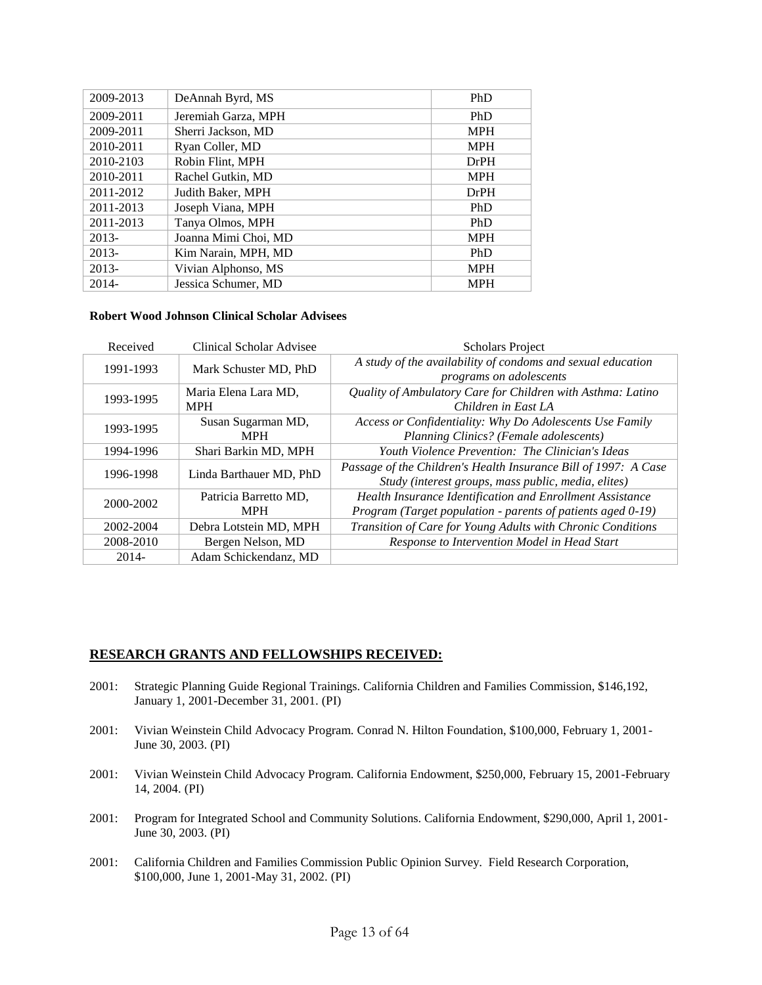| 2009-2013 | DeAnnah Byrd, MS     | PhD        |
|-----------|----------------------|------------|
| 2009-2011 | Jeremiah Garza, MPH  | PhD        |
| 2009-2011 | Sherri Jackson, MD   | <b>MPH</b> |
| 2010-2011 | Ryan Coller, MD      | <b>MPH</b> |
| 2010-2103 | Robin Flint, MPH     | DrPH       |
| 2010-2011 | Rachel Gutkin, MD    | <b>MPH</b> |
| 2011-2012 | Judith Baker, MPH    | DrPH       |
| 2011-2013 | Joseph Viana, MPH    | <b>PhD</b> |
| 2011-2013 | Tanya Olmos, MPH     | PhD        |
| 2013-     | Joanna Mimi Choi, MD | <b>MPH</b> |
| $2013-$   | Kim Narain, MPH, MD  | <b>PhD</b> |
| $2013-$   | Vivian Alphonso, MS  | <b>MPH</b> |
| $2014 -$  | Jessica Schumer, MD  | <b>MPH</b> |

### **Robert Wood Johnson Clinical Scholar Advisees**

| Received  | Clinical Scholar Advisee            | <b>Scholars Project</b>                                                                                                  |
|-----------|-------------------------------------|--------------------------------------------------------------------------------------------------------------------------|
| 1991-1993 | Mark Schuster MD, PhD               | A study of the availability of condoms and sexual education<br>programs on adolescents                                   |
| 1993-1995 | Maria Elena Lara MD,<br><b>MPH</b>  | Quality of Ambulatory Care for Children with Asthma: Latino<br>Children in East LA                                       |
| 1993-1995 | Susan Sugarman MD,<br><b>MPH</b>    | Access or Confidentiality: Why Do Adolescents Use Family<br>Planning Clinics? (Female adolescents)                       |
| 1994-1996 | Shari Barkin MD, MPH                | Youth Violence Prevention: The Clinician's Ideas                                                                         |
| 1996-1998 | Linda Barthauer MD, PhD             | Passage of the Children's Health Insurance Bill of 1997: A Case<br>Study (interest groups, mass public, media, elites)   |
| 2000-2002 | Patricia Barretto MD,<br><b>MPH</b> | Health Insurance Identification and Enrollment Assistance<br>Program (Target population - parents of patients aged 0-19) |
| 2002-2004 | Debra Lotstein MD, MPH              | Transition of Care for Young Adults with Chronic Conditions                                                              |
| 2008-2010 | Bergen Nelson, MD                   | Response to Intervention Model in Head Start                                                                             |
| 2014-     | Adam Schickendanz, MD               |                                                                                                                          |

### **RESEARCH GRANTS AND FELLOWSHIPS RECEIVED:**

- 2001: Strategic Planning Guide Regional Trainings. California Children and Families Commission, \$146,192, January 1, 2001-December 31, 2001. (PI)
- 2001: Vivian Weinstein Child Advocacy Program. Conrad N. Hilton Foundation, \$100,000, February 1, 2001- June 30, 2003. (PI)
- 2001: Vivian Weinstein Child Advocacy Program. California Endowment, \$250,000, February 15, 2001-February 14, 2004. (PI)
- 2001: Program for Integrated School and Community Solutions. California Endowment, \$290,000, April 1, 2001- June 30, 2003. (PI)
- 2001: California Children and Families Commission Public Opinion Survey. Field Research Corporation, \$100,000, June 1, 2001-May 31, 2002. (PI)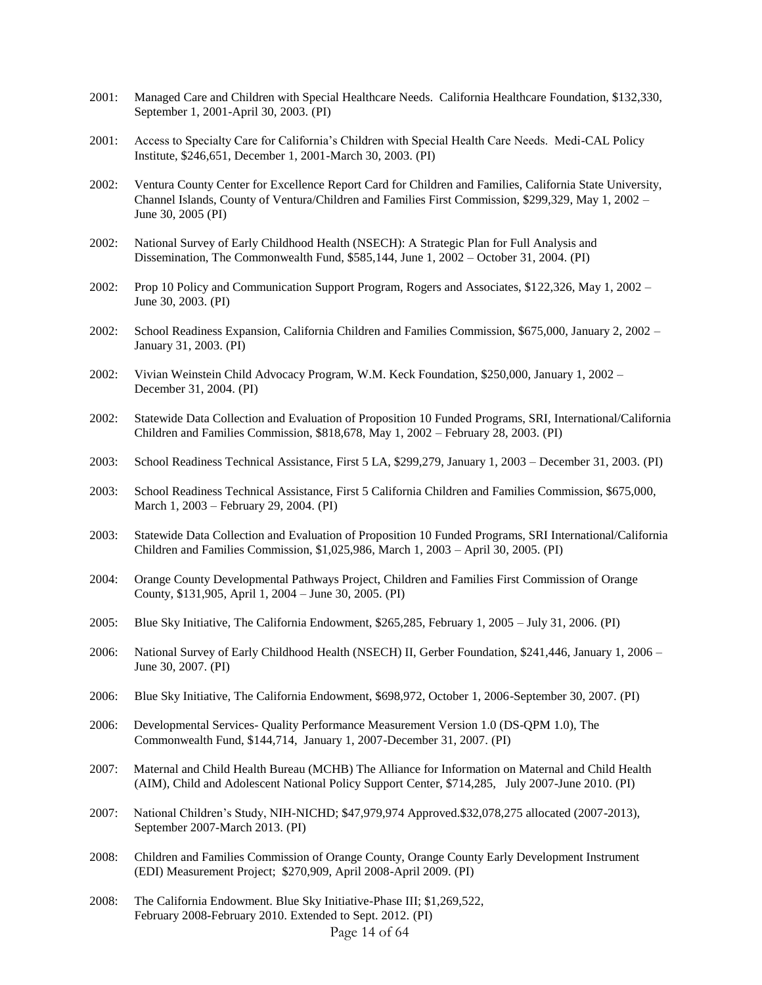- 2001: Managed Care and Children with Special Healthcare Needs. California Healthcare Foundation, \$132,330, September 1, 2001-April 30, 2003. (PI)
- 2001: Access to Specialty Care for California's Children with Special Health Care Needs. Medi-CAL Policy Institute, \$246,651, December 1, 2001-March 30, 2003. (PI)
- 2002: Ventura County Center for Excellence Report Card for Children and Families, California State University, Channel Islands, County of Ventura/Children and Families First Commission, \$299,329, May 1, 2002 – June 30, 2005 (PI)
- 2002: National Survey of Early Childhood Health (NSECH): A Strategic Plan for Full Analysis and Dissemination, The Commonwealth Fund, \$585,144, June 1, 2002 – October 31, 2004. (PI)
- 2002: Prop 10 Policy and Communication Support Program, Rogers and Associates, \$122,326, May 1, 2002 June 30, 2003. (PI)
- 2002: School Readiness Expansion, California Children and Families Commission, \$675,000, January 2, 2002 January 31, 2003. (PI)
- 2002: Vivian Weinstein Child Advocacy Program, W.M. Keck Foundation, \$250,000, January 1, 2002 December 31, 2004. (PI)
- 2002: Statewide Data Collection and Evaluation of Proposition 10 Funded Programs, SRI, International/California Children and Families Commission, \$818,678, May 1, 2002 – February 28, 2003. (PI)
- 2003: School Readiness Technical Assistance, First 5 LA, \$299,279, January 1, 2003 December 31, 2003. (PI)
- 2003: School Readiness Technical Assistance, First 5 California Children and Families Commission, \$675,000, March 1, 2003 – February 29, 2004. (PI)
- 2003: Statewide Data Collection and Evaluation of Proposition 10 Funded Programs, SRI International/California Children and Families Commission, \$1,025,986, March 1, 2003 – April 30, 2005. (PI)
- 2004: Orange County Developmental Pathways Project, Children and Families First Commission of Orange County, \$131,905, April 1, 2004 – June 30, 2005. (PI)
- 2005: Blue Sky Initiative, The California Endowment, \$265,285, February 1, 2005 July 31, 2006. (PI)
- 2006: National Survey of Early Childhood Health (NSECH) II, Gerber Foundation, \$241,446, January 1, 2006 June 30, 2007. (PI)
- 2006: Blue Sky Initiative, The California Endowment, \$698,972, October 1, 2006-September 30, 2007. (PI)
- 2006: Developmental Services- Quality Performance Measurement Version 1.0 (DS-QPM 1.0), The Commonwealth Fund, \$144,714, January 1, 2007-December 31, 2007. (PI)
- 2007: Maternal and Child Health Bureau (MCHB) The Alliance for Information on Maternal and Child Health (AIM), Child and Adolescent National Policy Support Center, \$714,285, July 2007-June 2010. (PI)
- 2007: National Children's Study, NIH-NICHD; \$47,979,974 Approved.\$32,078,275 allocated (2007-2013), September 2007-March 2013. (PI)
- 2008: Children and Families Commission of Orange County, Orange County Early Development Instrument (EDI) Measurement Project; \$270,909, April 2008-April 2009. (PI)
- Page 14 of 64 2008: The California Endowment. Blue Sky Initiative-Phase III; \$1,269,522, February 2008-February 2010. Extended to Sept. 2012. (PI)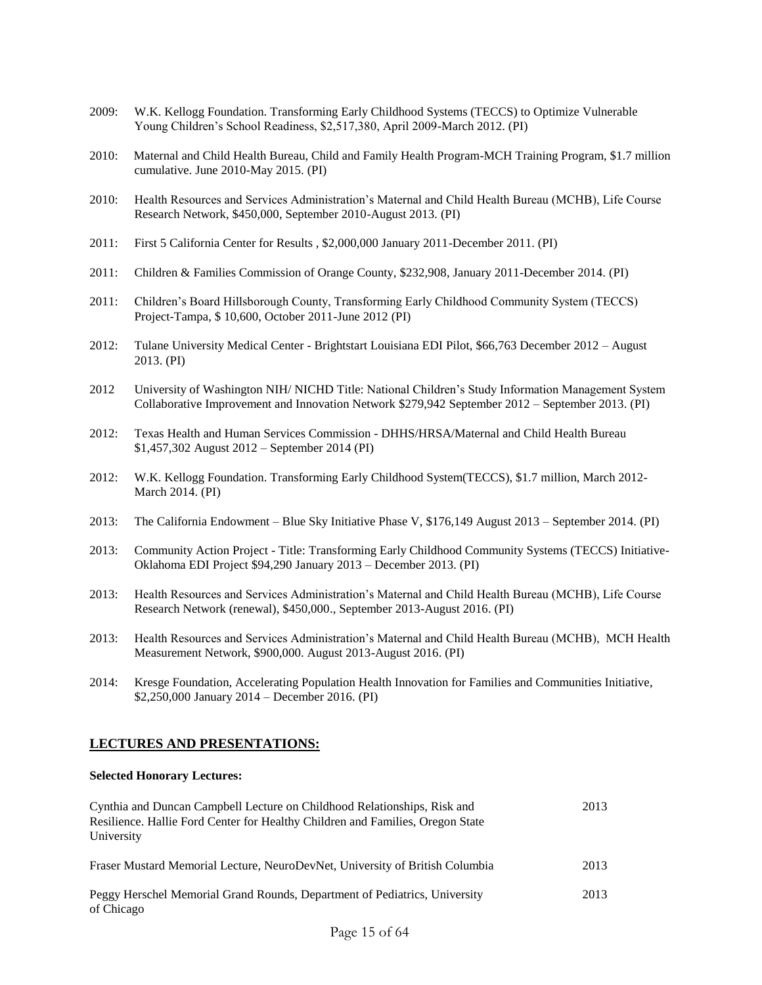- 2009: W.K. Kellogg Foundation. Transforming Early Childhood Systems (TECCS) to Optimize Vulnerable Young Children's School Readiness, \$2,517,380, April 2009-March 2012. (PI)
- 2010: Maternal and Child Health Bureau, Child and Family Health Program-MCH Training Program, \$1.7 million cumulative. June 2010-May 2015. (PI)
- 2010: Health Resources and Services Administration's Maternal and Child Health Bureau (MCHB), Life Course Research Network, \$450,000, September 2010-August 2013. (PI)
- 2011: First 5 California Center for Results , \$2,000,000 January 2011-December 2011. (PI)
- 2011: Children & Families Commission of Orange County, \$232,908, January 2011-December 2014. (PI)
- 2011: Children's Board Hillsborough County, Transforming Early Childhood Community System (TECCS) Project-Tampa, \$ 10,600, October 2011-June 2012 (PI)
- 2012: Tulane University Medical Center Brightstart Louisiana EDI Pilot, \$66,763 December 2012 August 2013. (PI)
- 2012 University of Washington NIH/ NICHD Title: National Children's Study Information Management System Collaborative Improvement and Innovation Network \$279,942 September 2012 – September 2013. (PI)
- 2012: Texas Health and Human Services Commission DHHS/HRSA/Maternal and Child Health Bureau \$1,457,302 August 2012 – September 2014 (PI)
- 2012: W.K. Kellogg Foundation. Transforming Early Childhood System(TECCS), \$1.7 million, March 2012- March 2014. (PI)
- 2013: The California Endowment Blue Sky Initiative Phase V, \$176,149 August 2013 September 2014. (PI)
- 2013: Community Action Project Title: Transforming Early Childhood Community Systems (TECCS) Initiative-Oklahoma EDI Project \$94,290 January 2013 – December 2013. (PI)
- 2013: Health Resources and Services Administration's Maternal and Child Health Bureau (MCHB), Life Course Research Network (renewal), \$450,000., September 2013-August 2016. (PI)
- 2013: Health Resources and Services Administration's Maternal and Child Health Bureau (MCHB), MCH Health Measurement Network, \$900,000. August 2013-August 2016. (PI)
- 2014: Kresge Foundation, Accelerating Population Health Innovation for Families and Communities Initiative, \$2,250,000 January 2014 – December 2016. (PI)

### **LECTURES AND PRESENTATIONS:**

#### **Selected Honorary Lectures:**

| Cynthia and Duncan Campbell Lecture on Childhood Relationships, Risk and<br>Resilience. Hallie Ford Center for Healthy Children and Families, Oregon State<br>University | 2013 |
|--------------------------------------------------------------------------------------------------------------------------------------------------------------------------|------|
| Fraser Mustard Memorial Lecture, NeuroDevNet, University of British Columbia                                                                                             | 2013 |
| Peggy Herschel Memorial Grand Rounds, Department of Pediatrics, University<br>of Chicago                                                                                 | 2013 |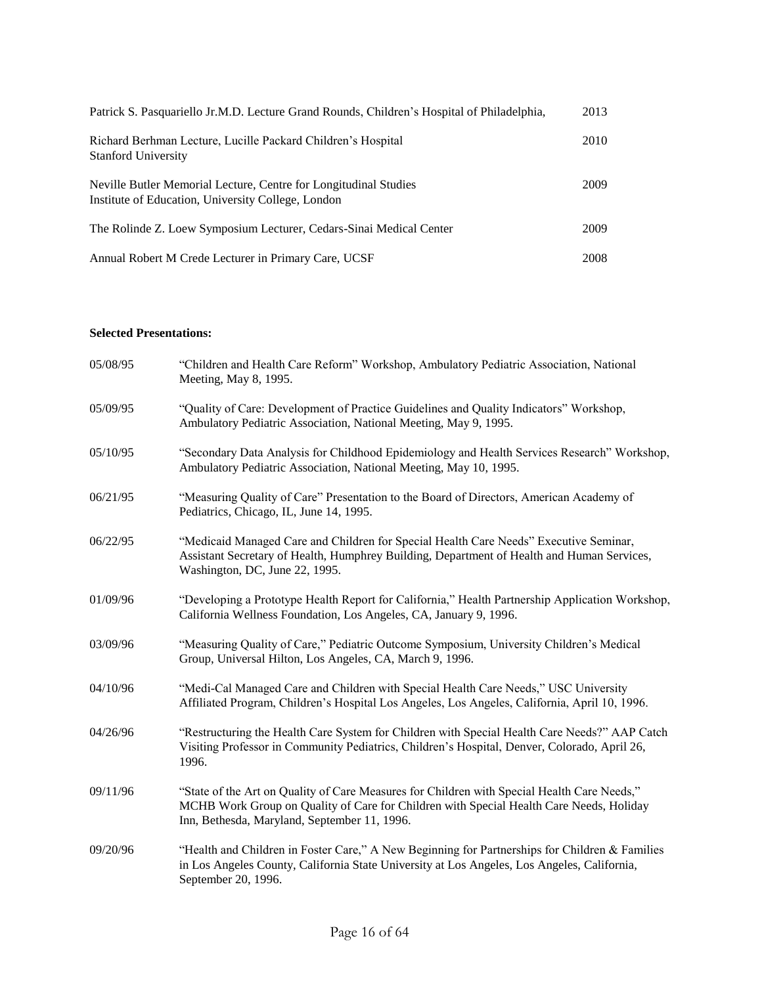| Patrick S. Pasquariello Jr.M.D. Lecture Grand Rounds, Children's Hospital of Philadelphia,                             | 2013 |
|------------------------------------------------------------------------------------------------------------------------|------|
| Richard Berhman Lecture, Lucille Packard Children's Hospital<br><b>Stanford University</b>                             | 2010 |
| Neville Butler Memorial Lecture, Centre for Longitudinal Studies<br>Institute of Education, University College, London | 2009 |
| The Rolinde Z. Loew Symposium Lecturer, Cedars-Sinai Medical Center                                                    | 2009 |
| Annual Robert M Crede Lecturer in Primary Care, UCSF                                                                   | 2008 |

### **Selected Presentations:**

| 05/08/95 | "Children and Health Care Reform" Workshop, Ambulatory Pediatric Association, National<br>Meeting, May 8, 1995.                                                                                                                        |
|----------|----------------------------------------------------------------------------------------------------------------------------------------------------------------------------------------------------------------------------------------|
| 05/09/95 | "Quality of Care: Development of Practice Guidelines and Quality Indicators" Workshop,<br>Ambulatory Pediatric Association, National Meeting, May 9, 1995.                                                                             |
| 05/10/95 | "Secondary Data Analysis for Childhood Epidemiology and Health Services Research" Workshop,<br>Ambulatory Pediatric Association, National Meeting, May 10, 1995.                                                                       |
| 06/21/95 | "Measuring Quality of Care" Presentation to the Board of Directors, American Academy of<br>Pediatrics, Chicago, IL, June 14, 1995.                                                                                                     |
| 06/22/95 | "Medicaid Managed Care and Children for Special Health Care Needs" Executive Seminar,<br>Assistant Secretary of Health, Humphrey Building, Department of Health and Human Services,<br>Washington, DC, June 22, 1995.                  |
| 01/09/96 | "Developing a Prototype Health Report for California," Health Partnership Application Workshop,<br>California Wellness Foundation, Los Angeles, CA, January 9, 1996.                                                                   |
| 03/09/96 | "Measuring Quality of Care," Pediatric Outcome Symposium, University Children's Medical<br>Group, Universal Hilton, Los Angeles, CA, March 9, 1996.                                                                                    |
| 04/10/96 | "Medi-Cal Managed Care and Children with Special Health Care Needs," USC University<br>Affiliated Program, Children's Hospital Los Angeles, Los Angeles, California, April 10, 1996.                                                   |
| 04/26/96 | "Restructuring the Health Care System for Children with Special Health Care Needs?" AAP Catch<br>Visiting Professor in Community Pediatrics, Children's Hospital, Denver, Colorado, April 26,<br>1996.                                 |
| 09/11/96 | "State of the Art on Quality of Care Measures for Children with Special Health Care Needs,"<br>MCHB Work Group on Quality of Care for Children with Special Health Care Needs, Holiday<br>Inn, Bethesda, Maryland, September 11, 1996. |
| 09/20/96 | "Health and Children in Foster Care," A New Beginning for Partnerships for Children & Families<br>in Los Angeles County, California State University at Los Angeles, Los Angeles, California,<br>September 20, 1996.                   |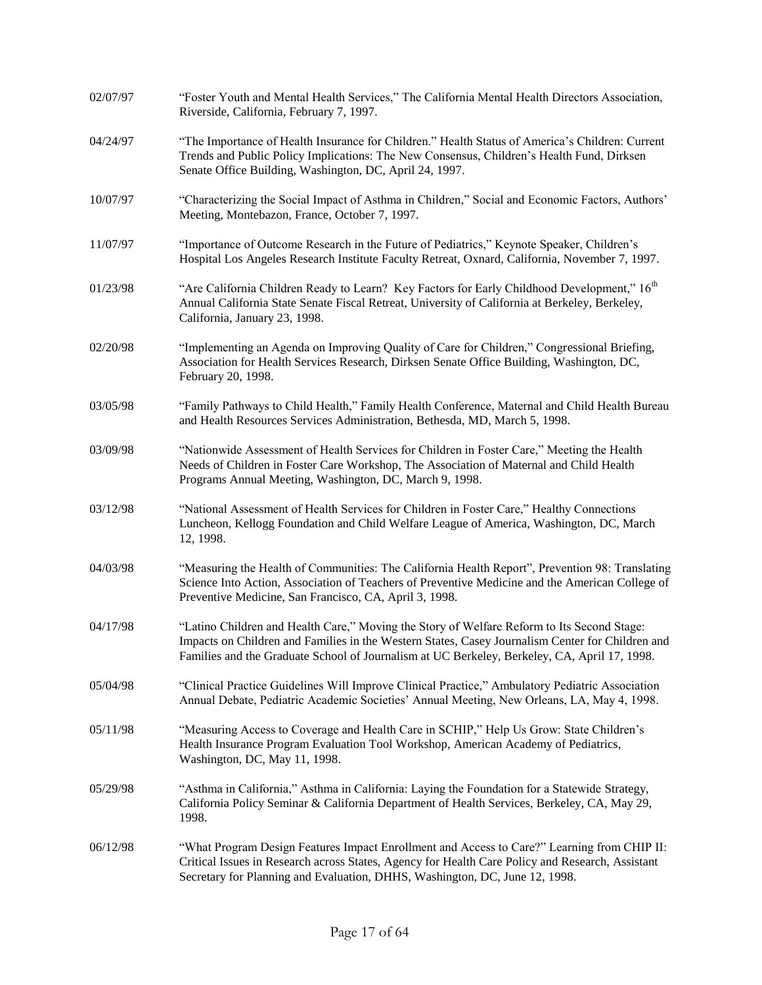| 02/07/97 | "Foster Youth and Mental Health Services," The California Mental Health Directors Association,<br>Riverside, California, February 7, 1997.                                                                                                                                                     |
|----------|------------------------------------------------------------------------------------------------------------------------------------------------------------------------------------------------------------------------------------------------------------------------------------------------|
| 04/24/97 | "The Importance of Health Insurance for Children." Health Status of America's Children: Current<br>Trends and Public Policy Implications: The New Consensus, Children's Health Fund, Dirksen<br>Senate Office Building, Washington, DC, April 24, 1997.                                        |
| 10/07/97 | "Characterizing the Social Impact of Asthma in Children," Social and Economic Factors, Authors'<br>Meeting, Montebazon, France, October 7, 1997.                                                                                                                                               |
| 11/07/97 | "Importance of Outcome Research in the Future of Pediatrics," Keynote Speaker, Children's<br>Hospital Los Angeles Research Institute Faculty Retreat, Oxnard, California, November 7, 1997.                                                                                                    |
| 01/23/98 | "Are California Children Ready to Learn? Key Factors for Early Childhood Development," 16 <sup>th</sup><br>Annual California State Senate Fiscal Retreat, University of California at Berkeley, Berkeley,<br>California, January 23, 1998.                                                     |
| 02/20/98 | "Implementing an Agenda on Improving Quality of Care for Children," Congressional Briefing,<br>Association for Health Services Research, Dirksen Senate Office Building, Washington, DC,<br>February 20, 1998.                                                                                 |
| 03/05/98 | "Family Pathways to Child Health," Family Health Conference, Maternal and Child Health Bureau<br>and Health Resources Services Administration, Bethesda, MD, March 5, 1998.                                                                                                                    |
| 03/09/98 | "Nationwide Assessment of Health Services for Children in Foster Care," Meeting the Health<br>Needs of Children in Foster Care Workshop, The Association of Maternal and Child Health<br>Programs Annual Meeting, Washington, DC, March 9, 1998.                                               |
| 03/12/98 | "National Assessment of Health Services for Children in Foster Care," Healthy Connections<br>Luncheon, Kellogg Foundation and Child Welfare League of America, Washington, DC, March<br>12, 1998.                                                                                              |
| 04/03/98 | "Measuring the Health of Communities: The California Health Report", Prevention 98: Translating<br>Science Into Action, Association of Teachers of Preventive Medicine and the American College of<br>Preventive Medicine, San Francisco, CA, April 3, 1998.                                   |
| 04/17/98 | "Latino Children and Health Care," Moving the Story of Welfare Reform to Its Second Stage:<br>Impacts on Children and Families in the Western States, Casey Journalism Center for Children and<br>Families and the Graduate School of Journalism at UC Berkeley, Berkeley, CA, April 17, 1998. |
| 05/04/98 | "Clinical Practice Guidelines Will Improve Clinical Practice," Ambulatory Pediatric Association<br>Annual Debate, Pediatric Academic Societies' Annual Meeting, New Orleans, LA, May 4, 1998.                                                                                                  |
| 05/11/98 | "Measuring Access to Coverage and Health Care in SCHIP," Help Us Grow: State Children's<br>Health Insurance Program Evaluation Tool Workshop, American Academy of Pediatrics,<br>Washington, DC, May 11, 1998.                                                                                 |
| 05/29/98 | "Asthma in California," Asthma in California: Laying the Foundation for a Statewide Strategy,<br>California Policy Seminar & California Department of Health Services, Berkeley, CA, May 29,<br>1998.                                                                                          |
| 06/12/98 | "What Program Design Features Impact Enrollment and Access to Care?" Learning from CHIP II:<br>Critical Issues in Research across States, Agency for Health Care Policy and Research, Assistant<br>Secretary for Planning and Evaluation, DHHS, Washington, DC, June 12, 1998.                 |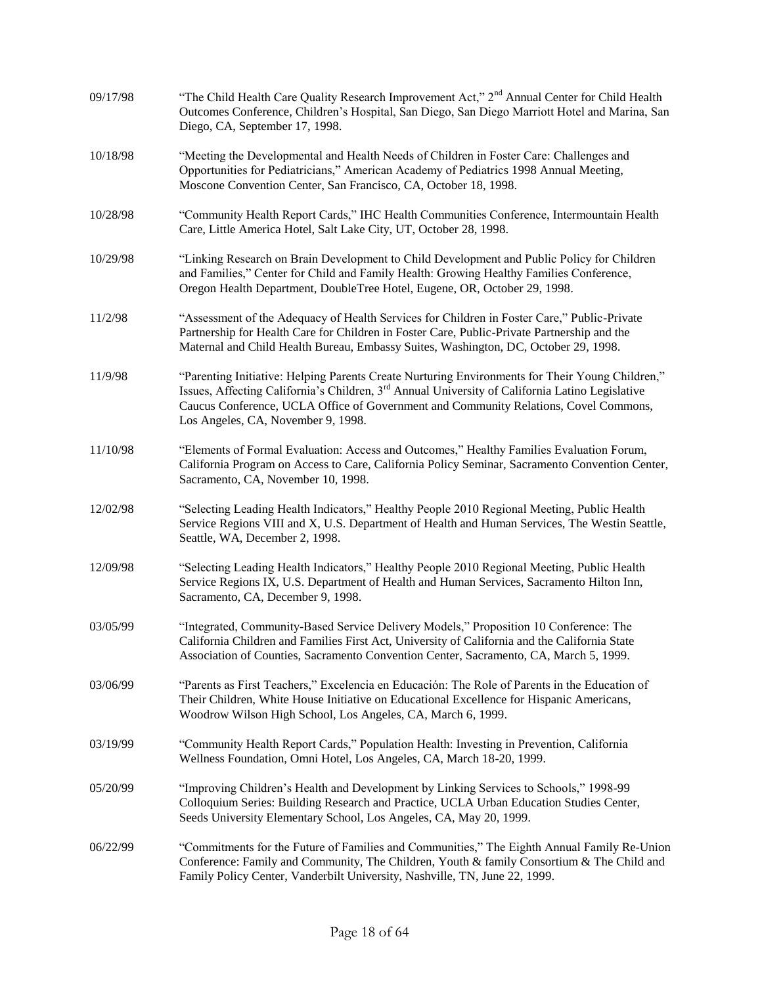| 09/17/98 | "The Child Health Care Quality Research Improvement Act," 2 <sup>nd</sup> Annual Center for Child Health<br>Outcomes Conference, Children's Hospital, San Diego, San Diego Marriott Hotel and Marina, San<br>Diego, CA, September 17, 1998.                                                                                                  |
|----------|----------------------------------------------------------------------------------------------------------------------------------------------------------------------------------------------------------------------------------------------------------------------------------------------------------------------------------------------|
| 10/18/98 | "Meeting the Developmental and Health Needs of Children in Foster Care: Challenges and<br>Opportunities for Pediatricians," American Academy of Pediatrics 1998 Annual Meeting,<br>Moscone Convention Center, San Francisco, CA, October 18, 1998.                                                                                           |
| 10/28/98 | "Community Health Report Cards," IHC Health Communities Conference, Intermountain Health<br>Care, Little America Hotel, Salt Lake City, UT, October 28, 1998.                                                                                                                                                                                |
| 10/29/98 | "Linking Research on Brain Development to Child Development and Public Policy for Children<br>and Families," Center for Child and Family Health: Growing Healthy Families Conference,<br>Oregon Health Department, DoubleTree Hotel, Eugene, OR, October 29, 1998.                                                                           |
| 11/2/98  | "Assessment of the Adequacy of Health Services for Children in Foster Care," Public-Private<br>Partnership for Health Care for Children in Foster Care, Public-Private Partnership and the<br>Maternal and Child Health Bureau, Embassy Suites, Washington, DC, October 29, 1998.                                                            |
| 11/9/98  | "Parenting Initiative: Helping Parents Create Nurturing Environments for Their Young Children,"<br>Issues, Affecting California's Children, 3 <sup>rd</sup> Annual University of California Latino Legislative<br>Caucus Conference, UCLA Office of Government and Community Relations, Covel Commons,<br>Los Angeles, CA, November 9, 1998. |
| 11/10/98 | "Elements of Formal Evaluation: Access and Outcomes," Healthy Families Evaluation Forum,<br>California Program on Access to Care, California Policy Seminar, Sacramento Convention Center,<br>Sacramento, CA, November 10, 1998.                                                                                                             |
| 12/02/98 | "Selecting Leading Health Indicators," Healthy People 2010 Regional Meeting, Public Health<br>Service Regions VIII and X, U.S. Department of Health and Human Services, The Westin Seattle,<br>Seattle, WA, December 2, 1998.                                                                                                                |
| 12/09/98 | "Selecting Leading Health Indicators," Healthy People 2010 Regional Meeting, Public Health<br>Service Regions IX, U.S. Department of Health and Human Services, Sacramento Hilton Inn,<br>Sacramento, CA, December 9, 1998.                                                                                                                  |
| 03/05/99 | "Integrated, Community-Based Service Delivery Models," Proposition 10 Conference: The<br>California Children and Families First Act, University of California and the California State<br>Association of Counties, Sacramento Convention Center, Sacramento, CA, March 5, 1999.                                                              |
| 03/06/99 | "Parents as First Teachers," Excelencia en Educación: The Role of Parents in the Education of<br>Their Children, White House Initiative on Educational Excellence for Hispanic Americans,<br>Woodrow Wilson High School, Los Angeles, CA, March 6, 1999.                                                                                     |
| 03/19/99 | "Community Health Report Cards," Population Health: Investing in Prevention, California<br>Wellness Foundation, Omni Hotel, Los Angeles, CA, March 18-20, 1999.                                                                                                                                                                              |
| 05/20/99 | "Improving Children's Health and Development by Linking Services to Schools," 1998-99<br>Colloquium Series: Building Research and Practice, UCLA Urban Education Studies Center,<br>Seeds University Elementary School, Los Angeles, CA, May 20, 1999.                                                                                       |
| 06/22/99 | "Commitments for the Future of Families and Communities," The Eighth Annual Family Re-Union<br>Conference: Family and Community, The Children, Youth & family Consortium & The Child and<br>Family Policy Center, Vanderbilt University, Nashville, TN, June 22, 1999.                                                                       |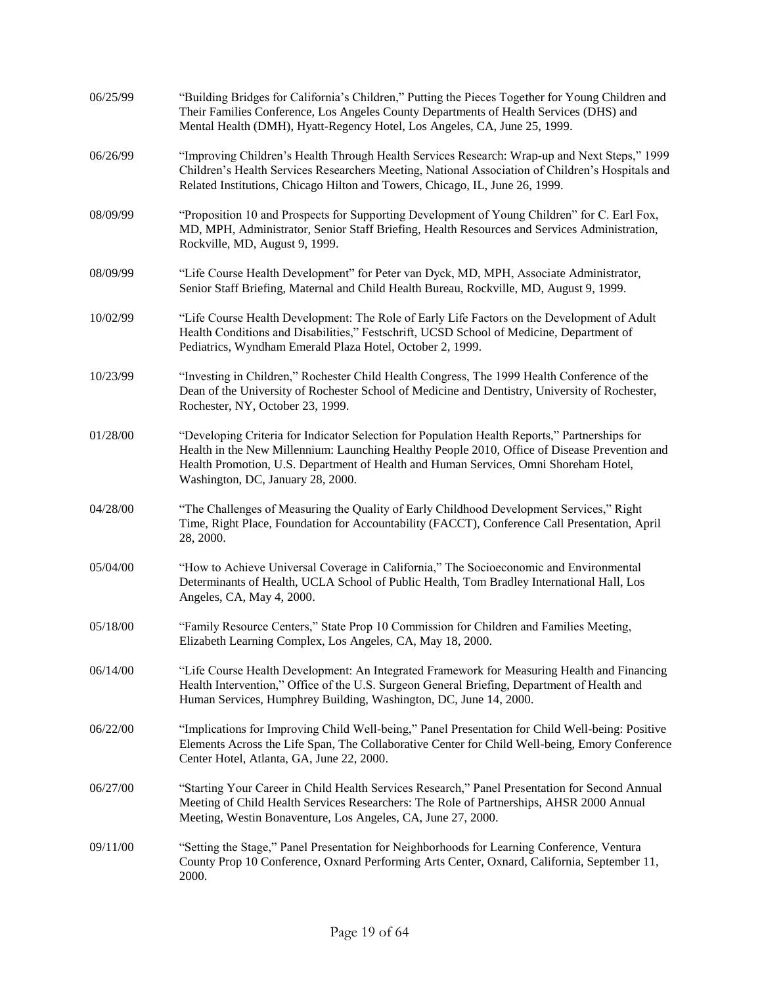| 06/25/99 | "Building Bridges for California's Children," Putting the Pieces Together for Young Children and<br>Their Families Conference, Los Angeles County Departments of Health Services (DHS) and<br>Mental Health (DMH), Hyatt-Regency Hotel, Los Angeles, CA, June 25, 1999.                                                     |
|----------|-----------------------------------------------------------------------------------------------------------------------------------------------------------------------------------------------------------------------------------------------------------------------------------------------------------------------------|
| 06/26/99 | "Improving Children's Health Through Health Services Research: Wrap-up and Next Steps," 1999<br>Children's Health Services Researchers Meeting, National Association of Children's Hospitals and<br>Related Institutions, Chicago Hilton and Towers, Chicago, IL, June 26, 1999.                                            |
| 08/09/99 | "Proposition 10 and Prospects for Supporting Development of Young Children" for C. Earl Fox,<br>MD, MPH, Administrator, Senior Staff Briefing, Health Resources and Services Administration,<br>Rockville, MD, August 9, 1999.                                                                                              |
| 08/09/99 | "Life Course Health Development" for Peter van Dyck, MD, MPH, Associate Administrator,<br>Senior Staff Briefing, Maternal and Child Health Bureau, Rockville, MD, August 9, 1999.                                                                                                                                           |
| 10/02/99 | "Life Course Health Development: The Role of Early Life Factors on the Development of Adult<br>Health Conditions and Disabilities," Festschrift, UCSD School of Medicine, Department of<br>Pediatrics, Wyndham Emerald Plaza Hotel, October 2, 1999.                                                                        |
| 10/23/99 | "Investing in Children," Rochester Child Health Congress, The 1999 Health Conference of the<br>Dean of the University of Rochester School of Medicine and Dentistry, University of Rochester,<br>Rochester, NY, October 23, 1999.                                                                                           |
| 01/28/00 | "Developing Criteria for Indicator Selection for Population Health Reports," Partnerships for<br>Health in the New Millennium: Launching Healthy People 2010, Office of Disease Prevention and<br>Health Promotion, U.S. Department of Health and Human Services, Omni Shoreham Hotel,<br>Washington, DC, January 28, 2000. |
| 04/28/00 | "The Challenges of Measuring the Quality of Early Childhood Development Services," Right<br>Time, Right Place, Foundation for Accountability (FACCT), Conference Call Presentation, April<br>28, 2000.                                                                                                                      |
| 05/04/00 | "How to Achieve Universal Coverage in California," The Socioeconomic and Environmental<br>Determinants of Health, UCLA School of Public Health, Tom Bradley International Hall, Los<br>Angeles, CA, May 4, 2000.                                                                                                            |
| 05/18/00 | "Family Resource Centers," State Prop 10 Commission for Children and Families Meeting,<br>Elizabeth Learning Complex, Los Angeles, CA, May 18, 2000.                                                                                                                                                                        |
| 06/14/00 | "Life Course Health Development: An Integrated Framework for Measuring Health and Financing<br>Health Intervention," Office of the U.S. Surgeon General Briefing, Department of Health and<br>Human Services, Humphrey Building, Washington, DC, June 14, 2000.                                                             |
| 06/22/00 | "Implications for Improving Child Well-being," Panel Presentation for Child Well-being: Positive<br>Elements Across the Life Span, The Collaborative Center for Child Well-being, Emory Conference<br>Center Hotel, Atlanta, GA, June 22, 2000.                                                                             |
| 06/27/00 | "Starting Your Career in Child Health Services Research," Panel Presentation for Second Annual<br>Meeting of Child Health Services Researchers: The Role of Partnerships, AHSR 2000 Annual<br>Meeting, Westin Bonaventure, Los Angeles, CA, June 27, 2000.                                                                  |
| 09/11/00 | "Setting the Stage," Panel Presentation for Neighborhoods for Learning Conference, Ventura<br>County Prop 10 Conference, Oxnard Performing Arts Center, Oxnard, California, September 11,<br>2000.                                                                                                                          |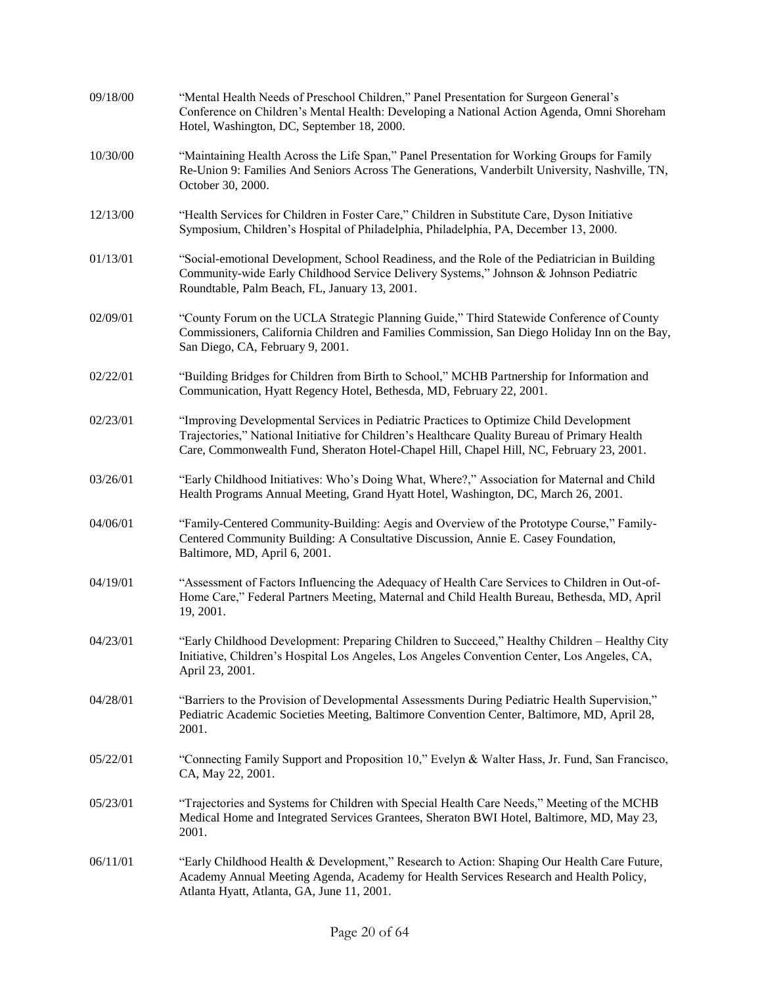| 09/18/00 | "Mental Health Needs of Preschool Children," Panel Presentation for Surgeon General's<br>Conference on Children's Mental Health: Developing a National Action Agenda, Omni Shoreham<br>Hotel, Washington, DC, September 18, 2000.                                                   |
|----------|-------------------------------------------------------------------------------------------------------------------------------------------------------------------------------------------------------------------------------------------------------------------------------------|
| 10/30/00 | "Maintaining Health Across the Life Span," Panel Presentation for Working Groups for Family<br>Re-Union 9: Families And Seniors Across The Generations, Vanderbilt University, Nashville, TN,<br>October 30, 2000.                                                                  |
| 12/13/00 | "Health Services for Children in Foster Care," Children in Substitute Care, Dyson Initiative<br>Symposium, Children's Hospital of Philadelphia, Philadelphia, PA, December 13, 2000.                                                                                                |
| 01/13/01 | "Social-emotional Development, School Readiness, and the Role of the Pediatrician in Building<br>Community-wide Early Childhood Service Delivery Systems," Johnson & Johnson Pediatric<br>Roundtable, Palm Beach, FL, January 13, 2001.                                             |
| 02/09/01 | "County Forum on the UCLA Strategic Planning Guide," Third Statewide Conference of County<br>Commissioners, California Children and Families Commission, San Diego Holiday Inn on the Bay,<br>San Diego, CA, February 9, 2001.                                                      |
| 02/22/01 | "Building Bridges for Children from Birth to School," MCHB Partnership for Information and<br>Communication, Hyatt Regency Hotel, Bethesda, MD, February 22, 2001.                                                                                                                  |
| 02/23/01 | "Improving Developmental Services in Pediatric Practices to Optimize Child Development<br>Trajectories," National Initiative for Children's Healthcare Quality Bureau of Primary Health<br>Care, Commonwealth Fund, Sheraton Hotel-Chapel Hill, Chapel Hill, NC, February 23, 2001. |
| 03/26/01 | "Early Childhood Initiatives: Who's Doing What, Where?," Association for Maternal and Child<br>Health Programs Annual Meeting, Grand Hyatt Hotel, Washington, DC, March 26, 2001.                                                                                                   |
| 04/06/01 | "Family-Centered Community-Building: Aegis and Overview of the Prototype Course," Family-<br>Centered Community Building: A Consultative Discussion, Annie E. Casey Foundation,<br>Baltimore, MD, April 6, 2001.                                                                    |
| 04/19/01 | "Assessment of Factors Influencing the Adequacy of Health Care Services to Children in Out-of-<br>Home Care," Federal Partners Meeting, Maternal and Child Health Bureau, Bethesda, MD, April<br>19, 2001.                                                                          |
| 04/23/01 | "Early Childhood Development: Preparing Children to Succeed," Healthy Children - Healthy City<br>Initiative, Children's Hospital Los Angeles, Los Angeles Convention Center, Los Angeles, CA,<br>April 23, 2001.                                                                    |
| 04/28/01 | "Barriers to the Provision of Developmental Assessments During Pediatric Health Supervision,"<br>Pediatric Academic Societies Meeting, Baltimore Convention Center, Baltimore, MD, April 28,<br>2001.                                                                               |
| 05/22/01 | "Connecting Family Support and Proposition 10," Evelyn & Walter Hass, Jr. Fund, San Francisco,<br>CA, May 22, 2001.                                                                                                                                                                 |
| 05/23/01 | "Trajectories and Systems for Children with Special Health Care Needs," Meeting of the MCHB<br>Medical Home and Integrated Services Grantees, Sheraton BWI Hotel, Baltimore, MD, May 23,<br>2001.                                                                                   |
| 06/11/01 | "Early Childhood Health & Development," Research to Action: Shaping Our Health Care Future,<br>Academy Annual Meeting Agenda, Academy for Health Services Research and Health Policy,<br>Atlanta Hyatt, Atlanta, GA, June 11, 2001.                                                 |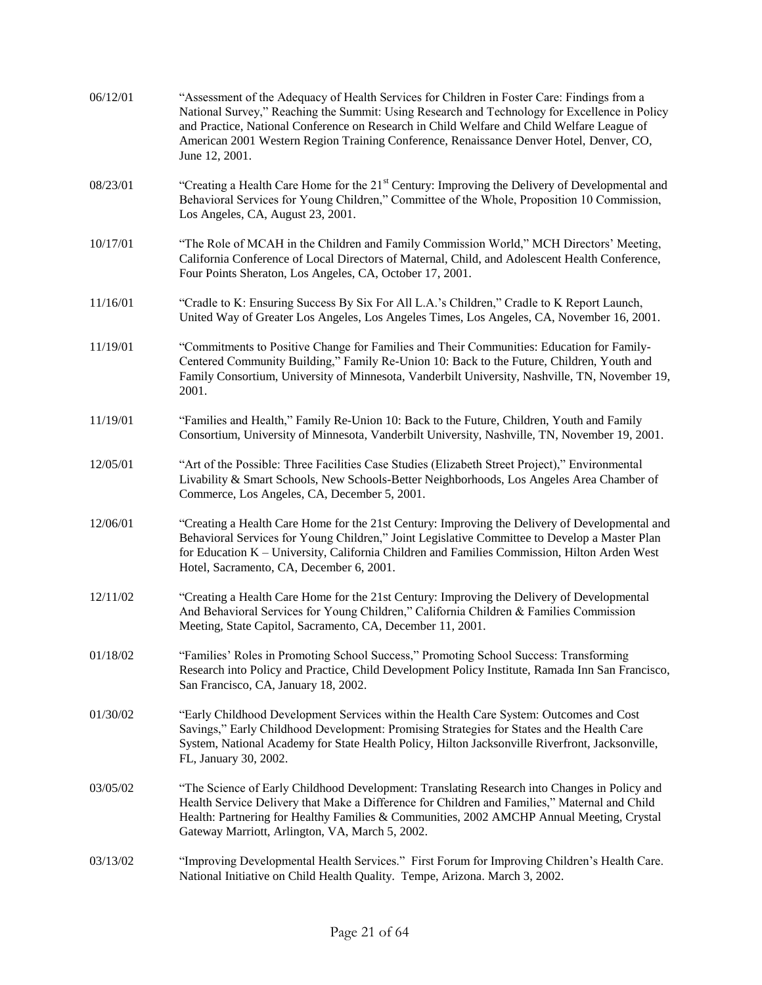| 06/12/01 | "Assessment of the Adequacy of Health Services for Children in Foster Care: Findings from a<br>National Survey," Reaching the Summit: Using Research and Technology for Excellence in Policy<br>and Practice, National Conference on Research in Child Welfare and Child Welfare League of<br>American 2001 Western Region Training Conference, Renaissance Denver Hotel, Denver, CO,<br>June 12, 2001. |
|----------|---------------------------------------------------------------------------------------------------------------------------------------------------------------------------------------------------------------------------------------------------------------------------------------------------------------------------------------------------------------------------------------------------------|
| 08/23/01 | "Creating a Health Care Home for the $21st$ Century: Improving the Delivery of Developmental and<br>Behavioral Services for Young Children," Committee of the Whole, Proposition 10 Commission,<br>Los Angeles, CA, August 23, 2001.                                                                                                                                                                    |
| 10/17/01 | "The Role of MCAH in the Children and Family Commission World," MCH Directors' Meeting,<br>California Conference of Local Directors of Maternal, Child, and Adolescent Health Conference,<br>Four Points Sheraton, Los Angeles, CA, October 17, 2001.                                                                                                                                                   |
| 11/16/01 | "Cradle to K: Ensuring Success By Six For All L.A.'s Children," Cradle to K Report Launch,<br>United Way of Greater Los Angeles, Los Angeles Times, Los Angeles, CA, November 16, 2001.                                                                                                                                                                                                                 |
| 11/19/01 | "Commitments to Positive Change for Families and Their Communities: Education for Family-<br>Centered Community Building," Family Re-Union 10: Back to the Future, Children, Youth and<br>Family Consortium, University of Minnesota, Vanderbilt University, Nashville, TN, November 19,<br>2001.                                                                                                       |
| 11/19/01 | "Families and Health," Family Re-Union 10: Back to the Future, Children, Youth and Family<br>Consortium, University of Minnesota, Vanderbilt University, Nashville, TN, November 19, 2001.                                                                                                                                                                                                              |
| 12/05/01 | "Art of the Possible: Three Facilities Case Studies (Elizabeth Street Project)," Environmental<br>Livability & Smart Schools, New Schools-Better Neighborhoods, Los Angeles Area Chamber of<br>Commerce, Los Angeles, CA, December 5, 2001.                                                                                                                                                             |
| 12/06/01 | "Creating a Health Care Home for the 21st Century: Improving the Delivery of Developmental and<br>Behavioral Services for Young Children," Joint Legislative Committee to Develop a Master Plan<br>for Education K - University, California Children and Families Commission, Hilton Arden West<br>Hotel, Sacramento, CA, December 6, 2001.                                                             |
| 12/11/02 | "Creating a Health Care Home for the 21st Century: Improving the Delivery of Developmental<br>And Behavioral Services for Young Children," California Children & Families Commission<br>Meeting, State Capitol, Sacramento, CA, December 11, 2001.                                                                                                                                                      |
| 01/18/02 | "Families' Roles in Promoting School Success," Promoting School Success: Transforming<br>Research into Policy and Practice, Child Development Policy Institute, Ramada Inn San Francisco,<br>San Francisco, CA, January 18, 2002.                                                                                                                                                                       |
| 01/30/02 | "Early Childhood Development Services within the Health Care System: Outcomes and Cost<br>Savings," Early Childhood Development: Promising Strategies for States and the Health Care<br>System, National Academy for State Health Policy, Hilton Jacksonville Riverfront, Jacksonville,<br>FL, January 30, 2002.                                                                                        |
| 03/05/02 | "The Science of Early Childhood Development: Translating Research into Changes in Policy and<br>Health Service Delivery that Make a Difference for Children and Families," Maternal and Child<br>Health: Partnering for Healthy Families & Communities, 2002 AMCHP Annual Meeting, Crystal<br>Gateway Marriott, Arlington, VA, March 5, 2002.                                                           |
| 03/13/02 | "Improving Developmental Health Services." First Forum for Improving Children's Health Care.<br>National Initiative on Child Health Quality. Tempe, Arizona. March 3, 2002.                                                                                                                                                                                                                             |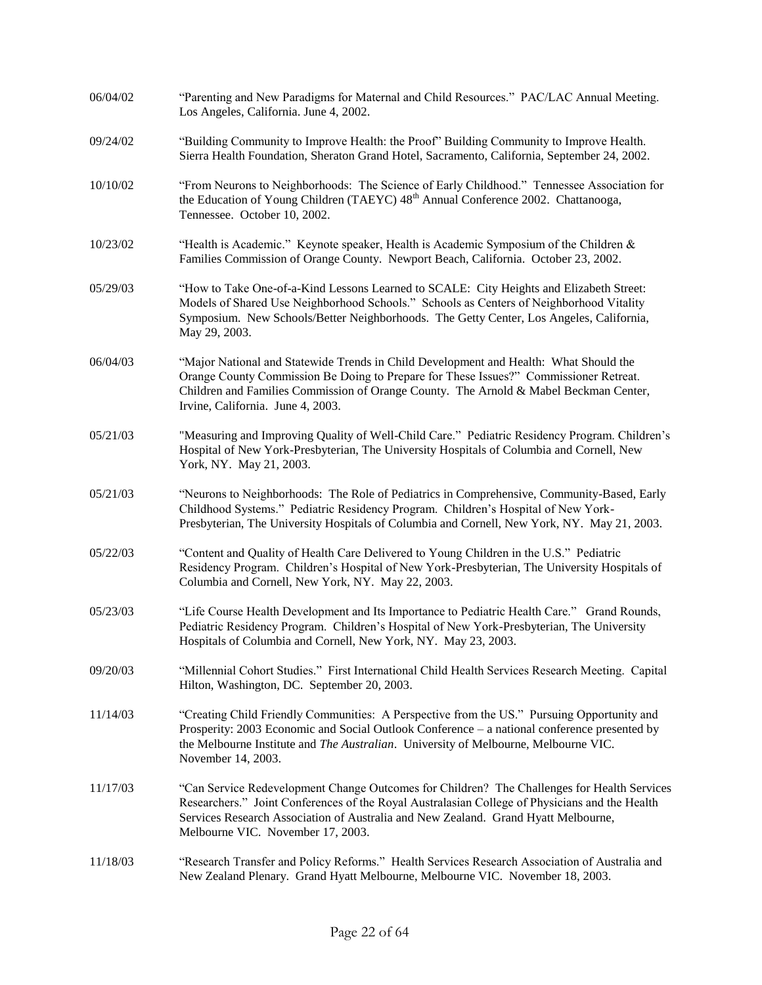| 06/04/02 | "Parenting and New Paradigms for Maternal and Child Resources." PAC/LAC Annual Meeting.<br>Los Angeles, California. June 4, 2002.                                                                                                                                                                                        |
|----------|--------------------------------------------------------------------------------------------------------------------------------------------------------------------------------------------------------------------------------------------------------------------------------------------------------------------------|
| 09/24/02 | "Building Community to Improve Health: the Proof" Building Community to Improve Health.<br>Sierra Health Foundation, Sheraton Grand Hotel, Sacramento, California, September 24, 2002.                                                                                                                                   |
| 10/10/02 | "From Neurons to Neighborhoods: The Science of Early Childhood." Tennessee Association for<br>the Education of Young Children (TAEYC) 48 <sup>th</sup> Annual Conference 2002. Chattanooga,<br>Tennessee. October 10, 2002.                                                                                              |
| 10/23/02 | "Health is Academic." Keynote speaker, Health is Academic Symposium of the Children $\&$<br>Families Commission of Orange County. Newport Beach, California. October 23, 2002.                                                                                                                                           |
| 05/29/03 | "How to Take One-of-a-Kind Lessons Learned to SCALE: City Heights and Elizabeth Street:<br>Models of Shared Use Neighborhood Schools." Schools as Centers of Neighborhood Vitality<br>Symposium. New Schools/Better Neighborhoods. The Getty Center, Los Angeles, California,<br>May 29, 2003.                           |
| 06/04/03 | "Major National and Statewide Trends in Child Development and Health: What Should the<br>Orange County Commission Be Doing to Prepare for These Issues?" Commissioner Retreat.<br>Children and Families Commission of Orange County. The Arnold & Mabel Beckman Center,<br>Irvine, California. June 4, 2003.             |
| 05/21/03 | "Measuring and Improving Quality of Well-Child Care." Pediatric Residency Program. Children's<br>Hospital of New York-Presbyterian, The University Hospitals of Columbia and Cornell, New<br>York, NY. May 21, 2003.                                                                                                     |
| 05/21/03 | "Neurons to Neighborhoods: The Role of Pediatrics in Comprehensive, Community-Based, Early<br>Childhood Systems." Pediatric Residency Program. Children's Hospital of New York-<br>Presbyterian, The University Hospitals of Columbia and Cornell, New York, NY. May 21, 2003.                                           |
| 05/22/03 | "Content and Quality of Health Care Delivered to Young Children in the U.S." Pediatric<br>Residency Program. Children's Hospital of New York-Presbyterian, The University Hospitals of<br>Columbia and Cornell, New York, NY. May 22, 2003.                                                                              |
| 05/23/03 | "Life Course Health Development and Its Importance to Pediatric Health Care." Grand Rounds,<br>Pediatric Residency Program. Children's Hospital of New York-Presbyterian, The University<br>Hospitals of Columbia and Cornell, New York, NY. May 23, 2003.                                                               |
| 09/20/03 | "Millennial Cohort Studies." First International Child Health Services Research Meeting. Capital<br>Hilton, Washington, DC. September 20, 2003.                                                                                                                                                                          |
| 11/14/03 | "Creating Child Friendly Communities: A Perspective from the US." Pursuing Opportunity and<br>Prosperity: 2003 Economic and Social Outlook Conference - a national conference presented by<br>the Melbourne Institute and The Australian. University of Melbourne, Melbourne VIC.<br>November 14, 2003.                  |
| 11/17/03 | "Can Service Redevelopment Change Outcomes for Children? The Challenges for Health Services<br>Researchers." Joint Conferences of the Royal Australasian College of Physicians and the Health<br>Services Research Association of Australia and New Zealand. Grand Hyatt Melbourne,<br>Melbourne VIC. November 17, 2003. |
| 11/18/03 | "Research Transfer and Policy Reforms." Health Services Research Association of Australia and<br>New Zealand Plenary. Grand Hyatt Melbourne, Melbourne VIC. November 18, 2003.                                                                                                                                           |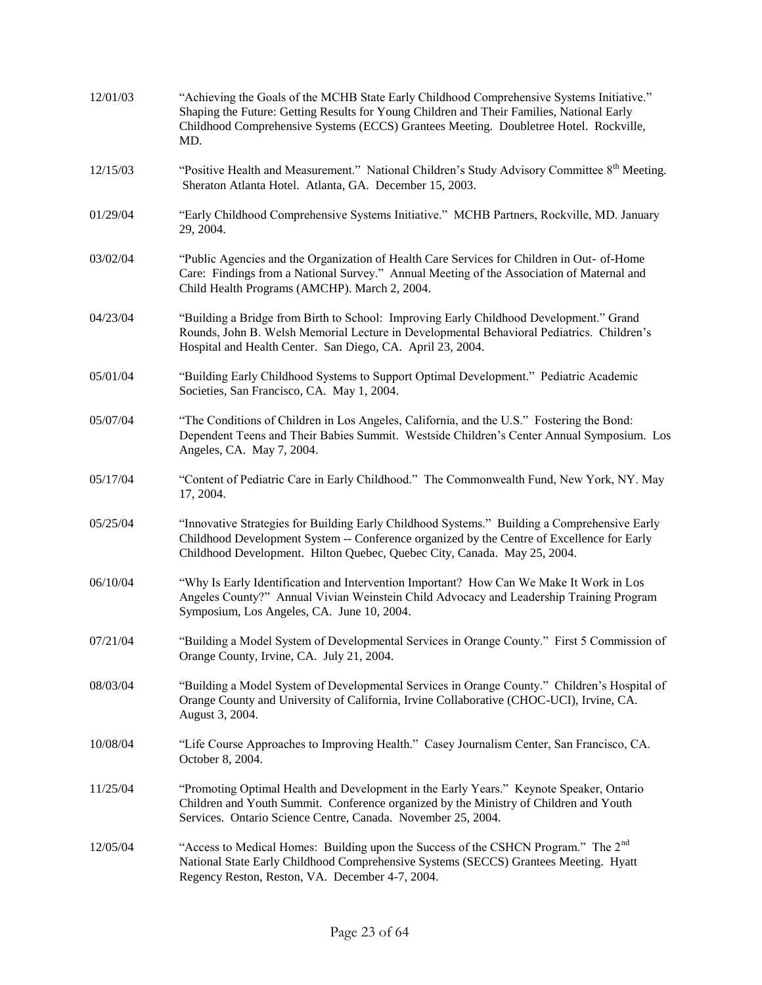| 12/01/03 | "Achieving the Goals of the MCHB State Early Childhood Comprehensive Systems Initiative."<br>Shaping the Future: Getting Results for Young Children and Their Families, National Early<br>Childhood Comprehensive Systems (ECCS) Grantees Meeting. Doubletree Hotel. Rockville,<br>MD. |
|----------|----------------------------------------------------------------------------------------------------------------------------------------------------------------------------------------------------------------------------------------------------------------------------------------|
| 12/15/03 | "Positive Health and Measurement." National Children's Study Advisory Committee 8 <sup>th</sup> Meeting.<br>Sheraton Atlanta Hotel. Atlanta, GA. December 15, 2003.                                                                                                                    |
| 01/29/04 | "Early Childhood Comprehensive Systems Initiative." MCHB Partners, Rockville, MD. January<br>29, 2004.                                                                                                                                                                                 |
| 03/02/04 | "Public Agencies and the Organization of Health Care Services for Children in Out- of-Home<br>Care: Findings from a National Survey." Annual Meeting of the Association of Maternal and<br>Child Health Programs (AMCHP). March 2, 2004.                                               |
| 04/23/04 | "Building a Bridge from Birth to School: Improving Early Childhood Development." Grand<br>Rounds, John B. Welsh Memorial Lecture in Developmental Behavioral Pediatrics. Children's<br>Hospital and Health Center. San Diego, CA. April 23, 2004.                                      |
| 05/01/04 | "Building Early Childhood Systems to Support Optimal Development." Pediatric Academic<br>Societies, San Francisco, CA. May 1, 2004.                                                                                                                                                    |
| 05/07/04 | "The Conditions of Children in Los Angeles, California, and the U.S." Fostering the Bond:<br>Dependent Teens and Their Babies Summit. Westside Children's Center Annual Symposium. Los<br>Angeles, CA. May 7, 2004.                                                                    |
| 05/17/04 | "Content of Pediatric Care in Early Childhood." The Commonwealth Fund, New York, NY. May<br>17, 2004.                                                                                                                                                                                  |
| 05/25/04 | "Innovative Strategies for Building Early Childhood Systems." Building a Comprehensive Early<br>Childhood Development System -- Conference organized by the Centre of Excellence for Early<br>Childhood Development. Hilton Quebec, Quebec City, Canada. May 25, 2004.                 |
| 06/10/04 | "Why Is Early Identification and Intervention Important? How Can We Make It Work in Los<br>Angeles County?" Annual Vivian Weinstein Child Advocacy and Leadership Training Program<br>Symposium, Los Angeles, CA. June 10, 2004.                                                       |
| 07/21/04 | "Building a Model System of Developmental Services in Orange County." First 5 Commission of<br>Orange County, Irvine, CA. July 21, 2004.                                                                                                                                               |
| 08/03/04 | "Building a Model System of Developmental Services in Orange County." Children's Hospital of<br>Orange County and University of California, Irvine Collaborative (CHOC-UCI), Irvine, CA.<br>August 3, 2004.                                                                            |
| 10/08/04 | "Life Course Approaches to Improving Health." Casey Journalism Center, San Francisco, CA.<br>October 8, 2004.                                                                                                                                                                          |
| 11/25/04 | "Promoting Optimal Health and Development in the Early Years." Keynote Speaker, Ontario<br>Children and Youth Summit. Conference organized by the Ministry of Children and Youth<br>Services. Ontario Science Centre, Canada. November 25, 2004.                                       |
| 12/05/04 | "Access to Medical Homes: Building upon the Success of the CSHCN Program." The 2 <sup>nd</sup><br>National State Early Childhood Comprehensive Systems (SECCS) Grantees Meeting. Hyatt<br>Regency Reston, Reston, VA. December 4-7, 2004.                                              |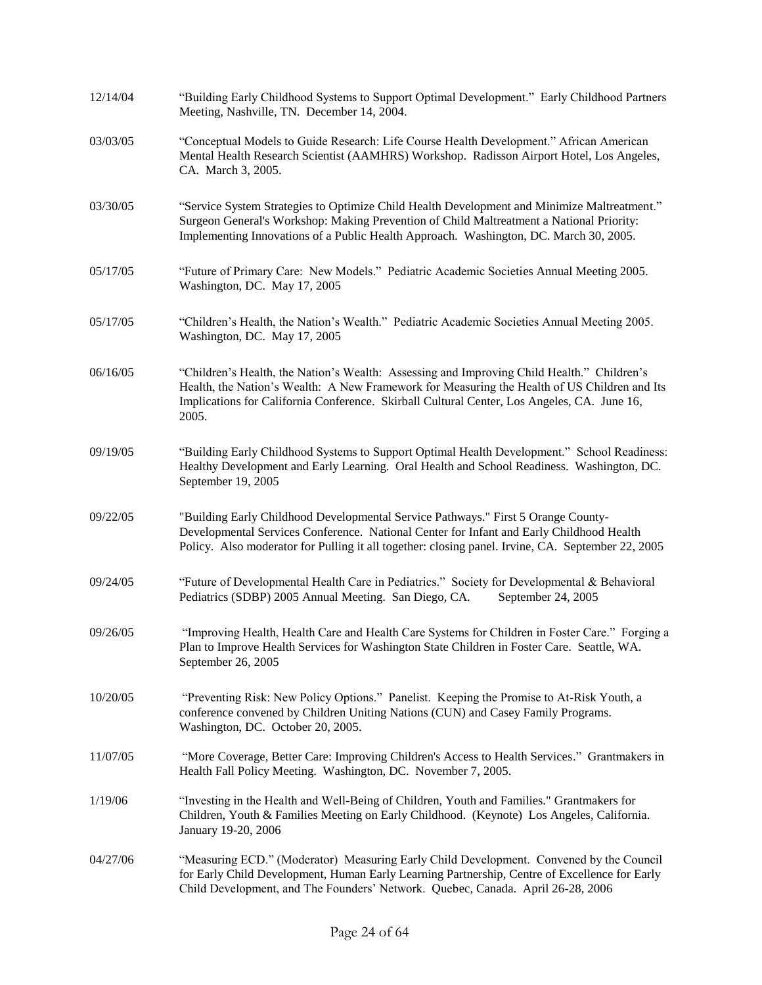| 12/14/04 | "Building Early Childhood Systems to Support Optimal Development." Early Childhood Partners<br>Meeting, Nashville, TN. December 14, 2004.                                                                                                                                                          |
|----------|----------------------------------------------------------------------------------------------------------------------------------------------------------------------------------------------------------------------------------------------------------------------------------------------------|
| 03/03/05 | "Conceptual Models to Guide Research: Life Course Health Development." African American<br>Mental Health Research Scientist (AAMHRS) Workshop. Radisson Airport Hotel, Los Angeles,<br>CA. March 3, 2005.                                                                                          |
| 03/30/05 | "Service System Strategies to Optimize Child Health Development and Minimize Maltreatment."<br>Surgeon General's Workshop: Making Prevention of Child Maltreatment a National Priority:<br>Implementing Innovations of a Public Health Approach. Washington, DC. March 30, 2005.                   |
| 05/17/05 | "Future of Primary Care: New Models." Pediatric Academic Societies Annual Meeting 2005.<br>Washington, DC. May 17, 2005                                                                                                                                                                            |
| 05/17/05 | "Children's Health, the Nation's Wealth." Pediatric Academic Societies Annual Meeting 2005.<br>Washington, DC. May 17, 2005                                                                                                                                                                        |
| 06/16/05 | "Children's Health, the Nation's Wealth: Assessing and Improving Child Health." Children's<br>Health, the Nation's Wealth: A New Framework for Measuring the Health of US Children and Its<br>Implications for California Conference. Skirball Cultural Center, Los Angeles, CA. June 16,<br>2005. |
| 09/19/05 | "Building Early Childhood Systems to Support Optimal Health Development." School Readiness:<br>Healthy Development and Early Learning. Oral Health and School Readiness. Washington, DC.<br>September 19, 2005                                                                                     |
| 09/22/05 | "Building Early Childhood Developmental Service Pathways." First 5 Orange County-<br>Developmental Services Conference. National Center for Infant and Early Childhood Health<br>Policy. Also moderator for Pulling it all together: closing panel. Irvine, CA. September 22, 2005                 |
| 09/24/05 | "Future of Developmental Health Care in Pediatrics." Society for Developmental & Behavioral<br>Pediatrics (SDBP) 2005 Annual Meeting. San Diego, CA.<br>September 24, 2005                                                                                                                         |
| 09/26/05 | "Improving Health, Health Care and Health Care Systems for Children in Foster Care." Forging a<br>Plan to Improve Health Services for Washington State Children in Foster Care. Seattle, WA.<br>September 26, 2005                                                                                 |
| 10/20/05 | "Preventing Risk: New Policy Options." Panelist. Keeping the Promise to At-Risk Youth, a<br>conference convened by Children Uniting Nations (CUN) and Casey Family Programs.<br>Washington, DC. October 20, 2005.                                                                                  |
| 11/07/05 | "More Coverage, Better Care: Improving Children's Access to Health Services." Grantmakers in<br>Health Fall Policy Meeting. Washington, DC. November 7, 2005.                                                                                                                                      |
| 1/19/06  | "Investing in the Health and Well-Being of Children, Youth and Families." Grantmakers for<br>Children, Youth & Families Meeting on Early Childhood. (Keynote) Los Angeles, California.<br>January 19-20, 2006                                                                                      |
| 04/27/06 | "Measuring ECD." (Moderator) Measuring Early Child Development. Convened by the Council<br>for Early Child Development, Human Early Learning Partnership, Centre of Excellence for Early<br>Child Development, and The Founders' Network. Quebec, Canada. April 26-28, 2006                        |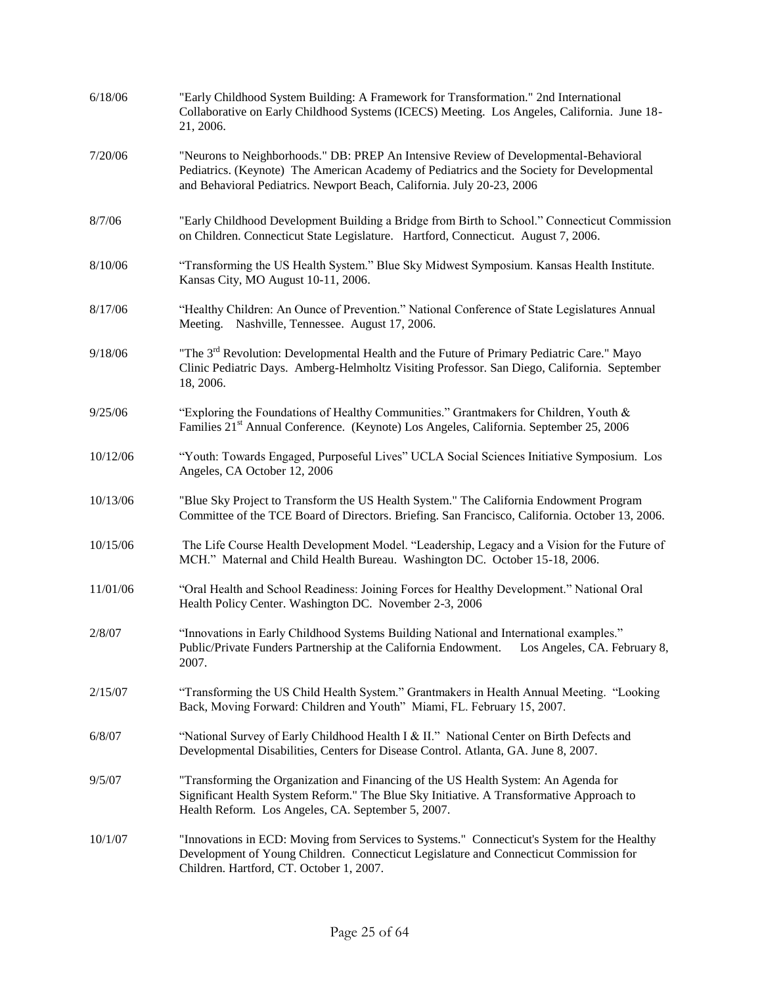| 6/18/06  | "Early Childhood System Building: A Framework for Transformation." 2nd International<br>Collaborative on Early Childhood Systems (ICECS) Meeting. Los Angeles, California. June 18-<br>21, 2006.                                                             |
|----------|--------------------------------------------------------------------------------------------------------------------------------------------------------------------------------------------------------------------------------------------------------------|
| 7/20/06  | "Neurons to Neighborhoods." DB: PREP An Intensive Review of Developmental-Behavioral<br>Pediatrics. (Keynote) The American Academy of Pediatrics and the Society for Developmental<br>and Behavioral Pediatrics. Newport Beach, California. July 20-23, 2006 |
| 8/7/06   | "Early Childhood Development Building a Bridge from Birth to School." Connecticut Commission<br>on Children. Connecticut State Legislature. Hartford, Connecticut. August 7, 2006.                                                                           |
| 8/10/06  | "Transforming the US Health System." Blue Sky Midwest Symposium. Kansas Health Institute.<br>Kansas City, MO August 10-11, 2006.                                                                                                                             |
| 8/17/06  | "Healthy Children: An Ounce of Prevention." National Conference of State Legislatures Annual<br>Meeting. Nashville, Tennessee. August 17, 2006.                                                                                                              |
| 9/18/06  | "The 3 <sup>rd</sup> Revolution: Developmental Health and the Future of Primary Pediatric Care." Mayo<br>Clinic Pediatric Days. Amberg-Helmholtz Visiting Professor. San Diego, California. September<br>18, 2006.                                           |
| 9/25/06  | "Exploring the Foundations of Healthy Communities." Grantmakers for Children, Youth $\&$<br>Families 21 <sup>st</sup> Annual Conference. (Keynote) Los Angeles, California. September 25, 2006                                                               |
| 10/12/06 | "Youth: Towards Engaged, Purposeful Lives" UCLA Social Sciences Initiative Symposium. Los<br>Angeles, CA October 12, 2006                                                                                                                                    |
| 10/13/06 | "Blue Sky Project to Transform the US Health System." The California Endowment Program<br>Committee of the TCE Board of Directors. Briefing. San Francisco, California. October 13, 2006.                                                                    |
| 10/15/06 | The Life Course Health Development Model. "Leadership, Legacy and a Vision for the Future of<br>MCH." Maternal and Child Health Bureau. Washington DC. October 15-18, 2006.                                                                                  |
| 11/01/06 | "Oral Health and School Readiness: Joining Forces for Healthy Development." National Oral<br>Health Policy Center. Washington DC. November 2-3, 2006                                                                                                         |
| 2/8/07   | "Innovations in Early Childhood Systems Building National and International examples."<br>Public/Private Funders Partnership at the California Endowment. Los Angeles, CA. February 8,<br>2007.                                                              |
| 2/15/07  | "Transforming the US Child Health System." Grantmakers in Health Annual Meeting. "Looking<br>Back, Moving Forward: Children and Youth" Miami, FL. February 15, 2007.                                                                                         |
| 6/8/07   | "National Survey of Early Childhood Health I & II." National Center on Birth Defects and<br>Developmental Disabilities, Centers for Disease Control. Atlanta, GA. June 8, 2007.                                                                              |
| 9/5/07   | "Transforming the Organization and Financing of the US Health System: An Agenda for<br>Significant Health System Reform." The Blue Sky Initiative. A Transformative Approach to<br>Health Reform. Los Angeles, CA. September 5, 2007.                        |
| 10/1/07  | "Innovations in ECD: Moving from Services to Systems." Connecticut's System for the Healthy<br>Development of Young Children. Connecticut Legislature and Connecticut Commission for<br>Children. Hartford, CT. October 1, 2007.                             |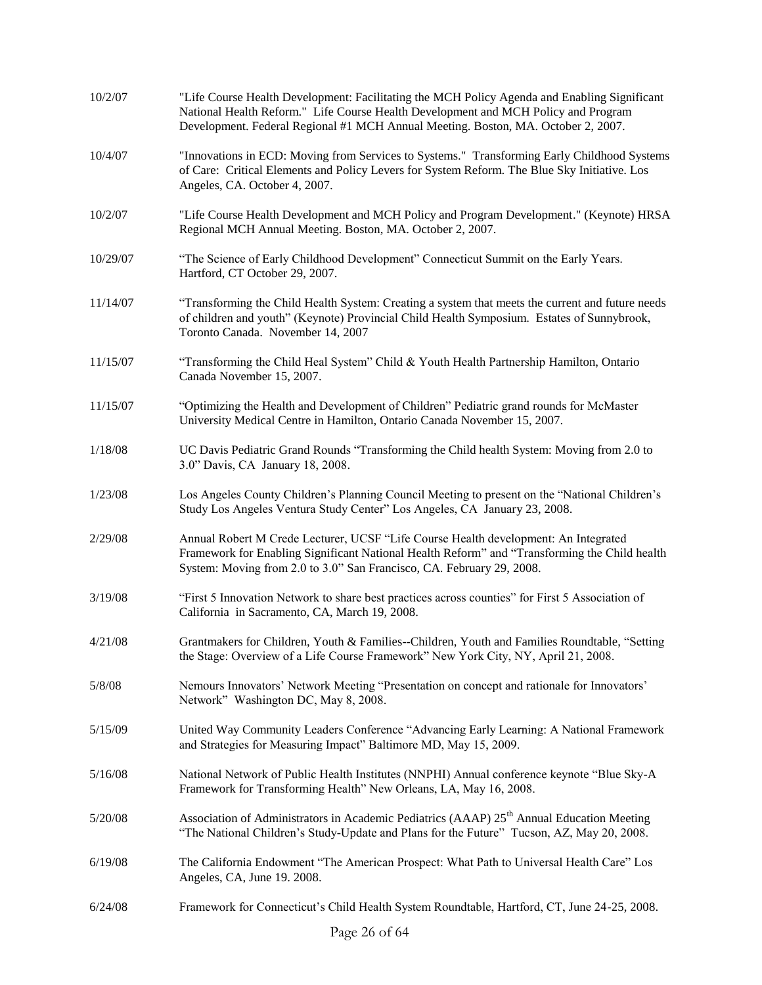| 10/2/07  | "Life Course Health Development: Facilitating the MCH Policy Agenda and Enabling Significant<br>National Health Reform." Life Course Health Development and MCH Policy and Program<br>Development. Federal Regional #1 MCH Annual Meeting. Boston, MA. October 2, 2007. |
|----------|-------------------------------------------------------------------------------------------------------------------------------------------------------------------------------------------------------------------------------------------------------------------------|
| 10/4/07  | "Innovations in ECD: Moving from Services to Systems." Transforming Early Childhood Systems<br>of Care: Critical Elements and Policy Levers for System Reform. The Blue Sky Initiative. Los<br>Angeles, CA. October 4, 2007.                                            |
| 10/2/07  | "Life Course Health Development and MCH Policy and Program Development." (Keynote) HRSA<br>Regional MCH Annual Meeting. Boston, MA. October 2, 2007.                                                                                                                    |
| 10/29/07 | "The Science of Early Childhood Development" Connecticut Summit on the Early Years.<br>Hartford, CT October 29, 2007.                                                                                                                                                   |
| 11/14/07 | "Transforming the Child Health System: Creating a system that meets the current and future needs<br>of children and youth" (Keynote) Provincial Child Health Symposium. Estates of Sunnybrook,<br>Toronto Canada. November 14, 2007                                     |
| 11/15/07 | "Transforming the Child Heal System" Child & Youth Health Partnership Hamilton, Ontario<br>Canada November 15, 2007.                                                                                                                                                    |
| 11/15/07 | "Optimizing the Health and Development of Children" Pediatric grand rounds for McMaster<br>University Medical Centre in Hamilton, Ontario Canada November 15, 2007.                                                                                                     |
| 1/18/08  | UC Davis Pediatric Grand Rounds "Transforming the Child health System: Moving from 2.0 to<br>3.0" Davis, CA January 18, 2008.                                                                                                                                           |
| 1/23/08  | Los Angeles County Children's Planning Council Meeting to present on the "National Children's<br>Study Los Angeles Ventura Study Center" Los Angeles, CA January 23, 2008.                                                                                              |
| 2/29/08  | Annual Robert M Crede Lecturer, UCSF "Life Course Health development: An Integrated<br>Framework for Enabling Significant National Health Reform" and "Transforming the Child health<br>System: Moving from 2.0 to 3.0" San Francisco, CA. February 29, 2008.           |
| 3/19/08  | "First 5 Innovation Network to share best practices across counties" for First 5 Association of<br>California in Sacramento, CA, March 19, 2008.                                                                                                                        |
| 4/21/08  | Grantmakers for Children, Youth & Families--Children, Youth and Families Roundtable, "Setting"<br>the Stage: Overview of a Life Course Framework" New York City, NY, April 21, 2008.                                                                                    |
| 5/8/08   | Nemours Innovators' Network Meeting "Presentation on concept and rationale for Innovators'<br>Network" Washington DC, May 8, 2008.                                                                                                                                      |
| 5/15/09  | United Way Community Leaders Conference "Advancing Early Learning: A National Framework<br>and Strategies for Measuring Impact" Baltimore MD, May 15, 2009.                                                                                                             |
| 5/16/08  | National Network of Public Health Institutes (NNPHI) Annual conference keynote "Blue Sky-A<br>Framework for Transforming Health" New Orleans, LA, May 16, 2008.                                                                                                         |
| 5/20/08  | Association of Administrators in Academic Pediatrics (AAAP) 25 <sup>th</sup> Annual Education Meeting<br>"The National Children's Study-Update and Plans for the Future" Tucson, AZ, May 20, 2008.                                                                      |
| 6/19/08  | The California Endowment "The American Prospect: What Path to Universal Health Care" Los<br>Angeles, CA, June 19. 2008.                                                                                                                                                 |
| 6/24/08  | Framework for Connecticut's Child Health System Roundtable, Hartford, CT, June 24-25, 2008.                                                                                                                                                                             |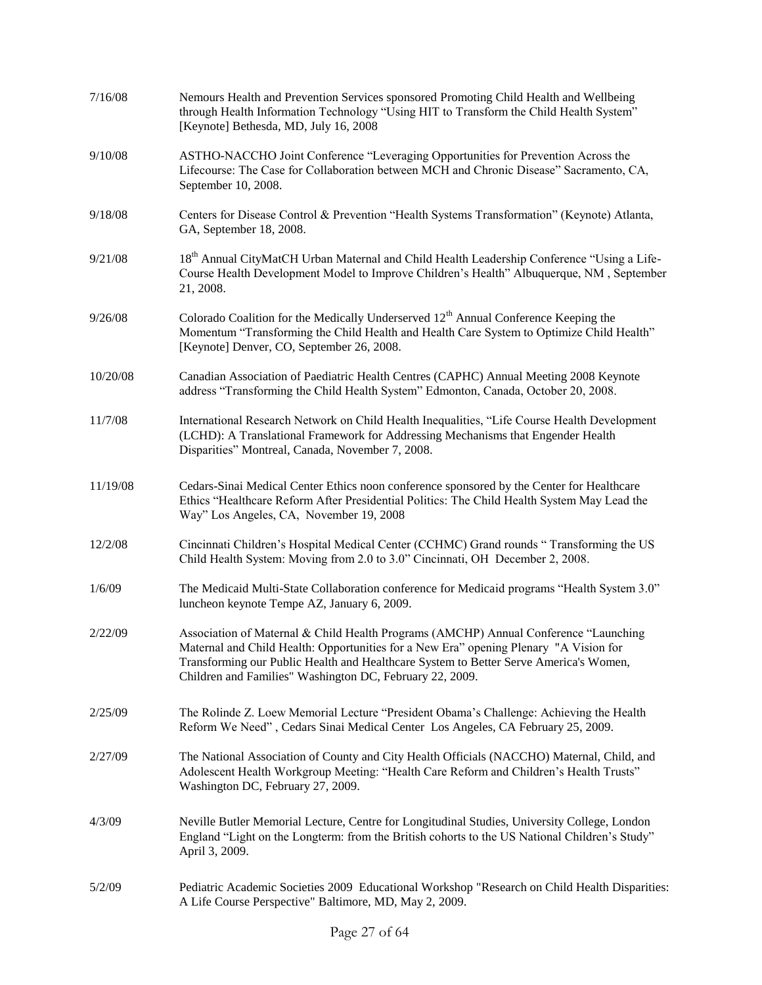| 7/16/08  | Nemours Health and Prevention Services sponsored Promoting Child Health and Wellbeing<br>through Health Information Technology "Using HIT to Transform the Child Health System"<br>[Keynote] Bethesda, MD, July 16, 2008                                                                                                           |
|----------|------------------------------------------------------------------------------------------------------------------------------------------------------------------------------------------------------------------------------------------------------------------------------------------------------------------------------------|
| 9/10/08  | ASTHO-NACCHO Joint Conference "Leveraging Opportunities for Prevention Across the<br>Lifecourse: The Case for Collaboration between MCH and Chronic Disease" Sacramento, CA,<br>September 10, 2008.                                                                                                                                |
| 9/18/08  | Centers for Disease Control & Prevention "Health Systems Transformation" (Keynote) Atlanta,<br>GA, September 18, 2008.                                                                                                                                                                                                             |
| 9/21/08  | 18 <sup>th</sup> Annual CityMatCH Urban Maternal and Child Health Leadership Conference "Using a Life-<br>Course Health Development Model to Improve Children's Health" Albuquerque, NM, September<br>21, 2008.                                                                                                                    |
| 9/26/08  | Colorado Coalition for the Medically Underserved 12 <sup>th</sup> Annual Conference Keeping the<br>Momentum "Transforming the Child Health and Health Care System to Optimize Child Health"<br>[Keynote] Denver, CO, September 26, 2008.                                                                                           |
| 10/20/08 | Canadian Association of Paediatric Health Centres (CAPHC) Annual Meeting 2008 Keynote<br>address "Transforming the Child Health System" Edmonton, Canada, October 20, 2008.                                                                                                                                                        |
| 11/7/08  | International Research Network on Child Health Inequalities, "Life Course Health Development<br>(LCHD): A Translational Framework for Addressing Mechanisms that Engender Health<br>Disparities" Montreal, Canada, November 7, 2008.                                                                                               |
| 11/19/08 | Cedars-Sinai Medical Center Ethics noon conference sponsored by the Center for Healthcare<br>Ethics "Healthcare Reform After Presidential Politics: The Child Health System May Lead the<br>Way" Los Angeles, CA, November 19, 2008                                                                                                |
| 12/2/08  | Cincinnati Children's Hospital Medical Center (CCHMC) Grand rounds "Transforming the US<br>Child Health System: Moving from 2.0 to 3.0" Cincinnati, OH December 2, 2008.                                                                                                                                                           |
| 1/6/09   | The Medicaid Multi-State Collaboration conference for Medicaid programs "Health System 3.0"<br>luncheon keynote Tempe AZ, January 6, 2009.                                                                                                                                                                                         |
| 2/22/09  | Association of Maternal & Child Health Programs (AMCHP) Annual Conference "Launching<br>Maternal and Child Health: Opportunities for a New Era" opening Plenary "A Vision for<br>Transforming our Public Health and Healthcare System to Better Serve America's Women,<br>Children and Families" Washington DC, February 22, 2009. |
| 2/25/09  | The Rolinde Z. Loew Memorial Lecture "President Obama's Challenge: Achieving the Health<br>Reform We Need", Cedars Sinai Medical Center Los Angeles, CA February 25, 2009.                                                                                                                                                         |
| 2/27/09  | The National Association of County and City Health Officials (NACCHO) Maternal, Child, and<br>Adolescent Health Workgroup Meeting: "Health Care Reform and Children's Health Trusts"<br>Washington DC, February 27, 2009.                                                                                                          |
| 4/3/09   | Neville Butler Memorial Lecture, Centre for Longitudinal Studies, University College, London<br>England "Light on the Longterm: from the British cohorts to the US National Children's Study"<br>April 3, 2009.                                                                                                                    |
| 5/2/09   | Pediatric Academic Societies 2009 Educational Workshop "Research on Child Health Disparities:<br>A Life Course Perspective" Baltimore, MD, May 2, 2009.                                                                                                                                                                            |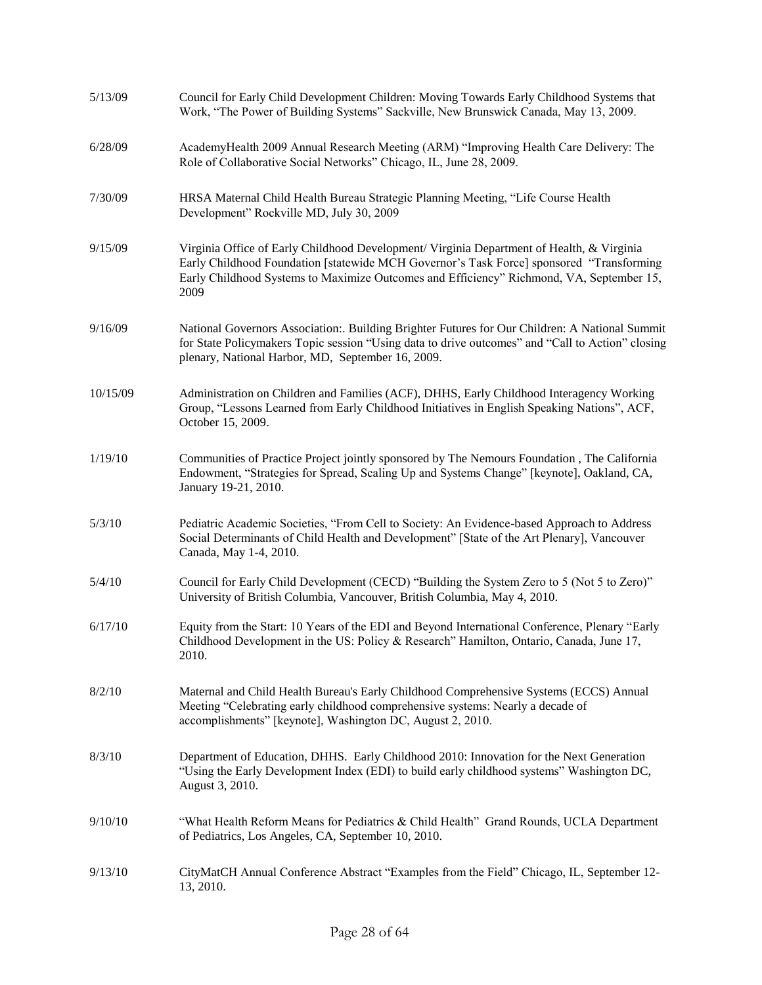| 5/13/09  | Council for Early Child Development Children: Moving Towards Early Childhood Systems that<br>Work, "The Power of Building Systems" Sackville, New Brunswick Canada, May 13, 2009.                                                                                                         |
|----------|-------------------------------------------------------------------------------------------------------------------------------------------------------------------------------------------------------------------------------------------------------------------------------------------|
| 6/28/09  | AcademyHealth 2009 Annual Research Meeting (ARM) "Improving Health Care Delivery: The<br>Role of Collaborative Social Networks" Chicago, IL, June 28, 2009.                                                                                                                               |
| 7/30/09  | HRSA Maternal Child Health Bureau Strategic Planning Meeting, "Life Course Health<br>Development" Rockville MD, July 30, 2009                                                                                                                                                             |
| 9/15/09  | Virginia Office of Early Childhood Development/ Virginia Department of Health, & Virginia<br>Early Childhood Foundation [statewide MCH Governor's Task Force] sponsored "Transforming<br>Early Childhood Systems to Maximize Outcomes and Efficiency" Richmond, VA, September 15,<br>2009 |
| 9/16/09  | National Governors Association: Building Brighter Futures for Our Children: A National Summit<br>for State Policymakers Topic session "Using data to drive outcomes" and "Call to Action" closing<br>plenary, National Harbor, MD, September 16, 2009.                                    |
| 10/15/09 | Administration on Children and Families (ACF), DHHS, Early Childhood Interagency Working<br>Group, "Lessons Learned from Early Childhood Initiatives in English Speaking Nations", ACF,<br>October 15, 2009.                                                                              |
| 1/19/10  | Communities of Practice Project jointly sponsored by The Nemours Foundation, The California<br>Endowment, "Strategies for Spread, Scaling Up and Systems Change" [keynote], Oakland, CA,<br>January 19-21, 2010.                                                                          |
| 5/3/10   | Pediatric Academic Societies, "From Cell to Society: An Evidence-based Approach to Address<br>Social Determinants of Child Health and Development" [State of the Art Plenary], Vancouver<br>Canada, May 1-4, 2010.                                                                        |
| 5/4/10   | Council for Early Child Development (CECD) "Building the System Zero to 5 (Not 5 to Zero)"<br>University of British Columbia, Vancouver, British Columbia, May 4, 2010.                                                                                                                   |
| 6/17/10  | Equity from the Start: 10 Years of the EDI and Beyond International Conference, Plenary "Early<br>Childhood Development in the US: Policy & Research" Hamilton, Ontario, Canada, June 17,<br>2010.                                                                                        |
| 8/2/10   | Maternal and Child Health Bureau's Early Childhood Comprehensive Systems (ECCS) Annual<br>Meeting "Celebrating early childhood comprehensive systems: Nearly a decade of<br>accomplishments" [keynote], Washington DC, August 2, 2010.                                                    |
| 8/3/10   | Department of Education, DHHS. Early Childhood 2010: Innovation for the Next Generation<br>"Using the Early Development Index (EDI) to build early childhood systems" Washington DC,<br>August 3, 2010.                                                                                   |
| 9/10/10  | "What Health Reform Means for Pediatrics & Child Health" Grand Rounds, UCLA Department<br>of Pediatrics, Los Angeles, CA, September 10, 2010.                                                                                                                                             |
| 9/13/10  | CityMatCH Annual Conference Abstract "Examples from the Field" Chicago, IL, September 12-<br>13, 2010.                                                                                                                                                                                    |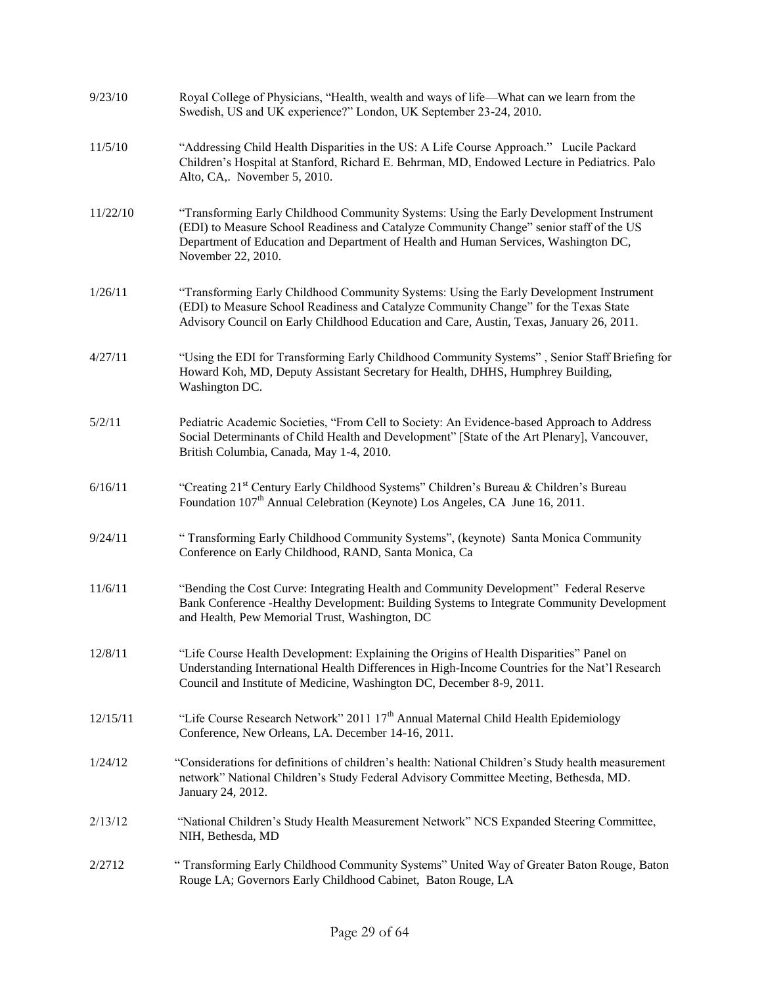| 9/23/10  | Royal College of Physicians, "Health, wealth and ways of life—What can we learn from the<br>Swedish, US and UK experience?" London, UK September 23-24, 2010.                                                                                                                                   |
|----------|-------------------------------------------------------------------------------------------------------------------------------------------------------------------------------------------------------------------------------------------------------------------------------------------------|
| 11/5/10  | "Addressing Child Health Disparities in the US: A Life Course Approach." Lucile Packard<br>Children's Hospital at Stanford, Richard E. Behrman, MD, Endowed Lecture in Pediatrics. Palo<br>Alto, CA,. November 5, 2010.                                                                         |
| 11/22/10 | "Transforming Early Childhood Community Systems: Using the Early Development Instrument<br>(EDI) to Measure School Readiness and Catalyze Community Change" senior staff of the US<br>Department of Education and Department of Health and Human Services, Washington DC,<br>November 22, 2010. |
| 1/26/11  | "Transforming Early Childhood Community Systems: Using the Early Development Instrument<br>(EDI) to Measure School Readiness and Catalyze Community Change" for the Texas State<br>Advisory Council on Early Childhood Education and Care, Austin, Texas, January 26, 2011.                     |
| 4/27/11  | "Using the EDI for Transforming Early Childhood Community Systems", Senior Staff Briefing for<br>Howard Koh, MD, Deputy Assistant Secretary for Health, DHHS, Humphrey Building,<br>Washington DC.                                                                                              |
| 5/2/11   | Pediatric Academic Societies, "From Cell to Society: An Evidence-based Approach to Address<br>Social Determinants of Child Health and Development" [State of the Art Plenary], Vancouver,<br>British Columbia, Canada, May 1-4, 2010.                                                           |
| 6/16/11  | "Creating 21 <sup>st</sup> Century Early Childhood Systems" Children's Bureau & Children's Bureau<br>Foundation 107 <sup>th</sup> Annual Celebration (Keynote) Los Angeles, CA June 16, 2011.                                                                                                   |
| 9/24/11  | "Transforming Early Childhood Community Systems", (keynote) Santa Monica Community<br>Conference on Early Childhood, RAND, Santa Monica, Ca                                                                                                                                                     |
| 11/6/11  | "Bending the Cost Curve: Integrating Health and Community Development" Federal Reserve<br>Bank Conference -Healthy Development: Building Systems to Integrate Community Development<br>and Health, Pew Memorial Trust, Washington, DC                                                           |
| 12/8/11  | "Life Course Health Development: Explaining the Origins of Health Disparities" Panel on<br>Understanding International Health Differences in High-Income Countries for the Nat'l Research<br>Council and Institute of Medicine, Washington DC, December 8-9, 2011.                              |
| 12/15/11 | "Life Course Research Network" 2011 17 <sup>th</sup> Annual Maternal Child Health Epidemiology<br>Conference, New Orleans, LA. December 14-16, 2011.                                                                                                                                            |
| 1/24/12  | "Considerations for definitions of children's health: National Children's Study health measurement<br>network" National Children's Study Federal Advisory Committee Meeting, Bethesda, MD.<br>January 24, 2012.                                                                                 |
| 2/13/12  | "National Children's Study Health Measurement Network" NCS Expanded Steering Committee,<br>NIH, Bethesda, MD                                                                                                                                                                                    |
| 2/2712   | "Transforming Early Childhood Community Systems" United Way of Greater Baton Rouge, Baton<br>Rouge LA; Governors Early Childhood Cabinet, Baton Rouge, LA                                                                                                                                       |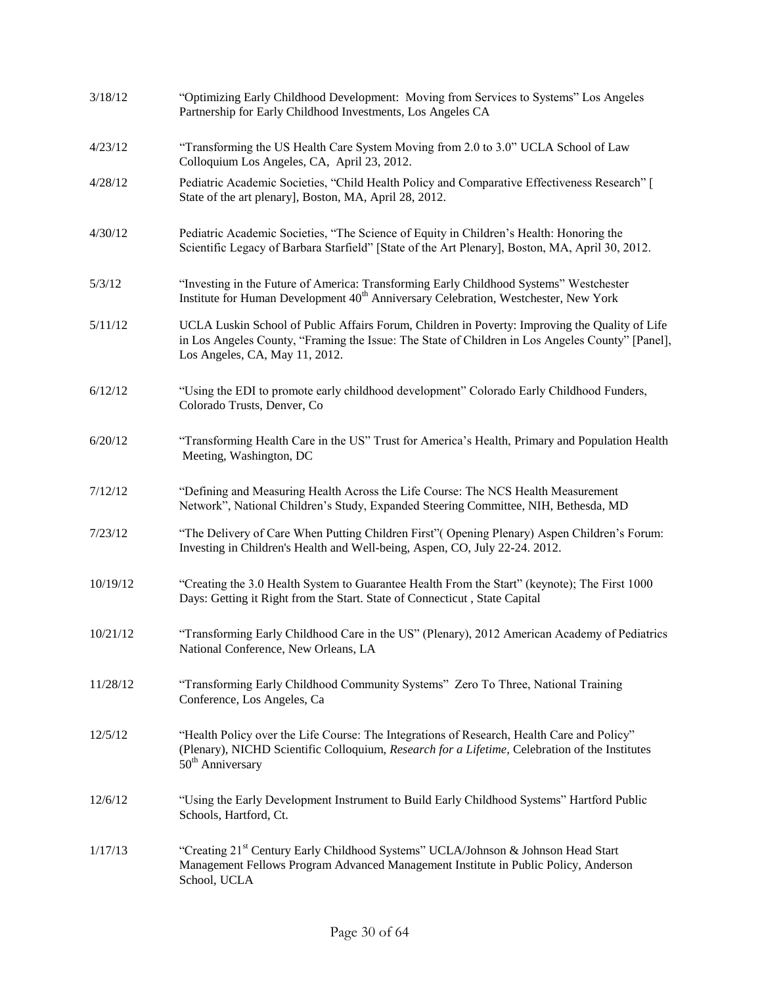| 3/18/12  | "Optimizing Early Childhood Development: Moving from Services to Systems" Los Angeles<br>Partnership for Early Childhood Investments, Los Angeles CA                                                                                 |
|----------|--------------------------------------------------------------------------------------------------------------------------------------------------------------------------------------------------------------------------------------|
| 4/23/12  | "Transforming the US Health Care System Moving from 2.0 to 3.0" UCLA School of Law<br>Colloquium Los Angeles, CA, April 23, 2012.                                                                                                    |
| 4/28/12  | Pediatric Academic Societies, "Child Health Policy and Comparative Effectiveness Research" [<br>State of the art plenary], Boston, MA, April 28, 2012.                                                                               |
| 4/30/12  | Pediatric Academic Societies, "The Science of Equity in Children's Health: Honoring the<br>Scientific Legacy of Barbara Starfield" [State of the Art Plenary], Boston, MA, April 30, 2012.                                           |
| 5/3/12   | "Investing in the Future of America: Transforming Early Childhood Systems" Westchester<br>Institute for Human Development 40 <sup>th</sup> Anniversary Celebration, Westchester, New York                                            |
| 5/11/12  | UCLA Luskin School of Public Affairs Forum, Children in Poverty: Improving the Quality of Life<br>in Los Angeles County, "Framing the Issue: The State of Children in Los Angeles County" [Panel],<br>Los Angeles, CA, May 11, 2012. |
| 6/12/12  | "Using the EDI to promote early childhood development" Colorado Early Childhood Funders,<br>Colorado Trusts, Denver, Co                                                                                                              |
| 6/20/12  | "Transforming Health Care in the US" Trust for America's Health, Primary and Population Health<br>Meeting, Washington, DC                                                                                                            |
| 7/12/12  | "Defining and Measuring Health Across the Life Course: The NCS Health Measurement<br>Network", National Children's Study, Expanded Steering Committee, NIH, Bethesda, MD                                                             |
| 7/23/12  | "The Delivery of Care When Putting Children First" (Opening Plenary) Aspen Children's Forum:<br>Investing in Children's Health and Well-being, Aspen, CO, July 22-24. 2012.                                                          |
| 10/19/12 | "Creating the 3.0 Health System to Guarantee Health From the Start" (keynote); The First 1000<br>Days: Getting it Right from the Start. State of Connecticut, State Capital                                                          |
| 10/21/12 | "Transforming Early Childhood Care in the US" (Plenary), 2012 American Academy of Pediatrics<br>National Conference, New Orleans, LA                                                                                                 |
| 11/28/12 | "Transforming Early Childhood Community Systems" Zero To Three, National Training<br>Conference, Los Angeles, Ca                                                                                                                     |
| 12/5/12  | "Health Policy over the Life Course: The Integrations of Research, Health Care and Policy"<br>(Plenary), NICHD Scientific Colloquium, Research for a Lifetime, Celebration of the Institutes<br>50 <sup>th</sup> Anniversary         |
| 12/6/12  | "Using the Early Development Instrument to Build Early Childhood Systems" Hartford Public<br>Schools, Hartford, Ct.                                                                                                                  |
| 1/17/13  | "Creating 21 <sup>st</sup> Century Early Childhood Systems" UCLA/Johnson & Johnson Head Start<br>Management Fellows Program Advanced Management Institute in Public Policy, Anderson<br>School, UCLA                                 |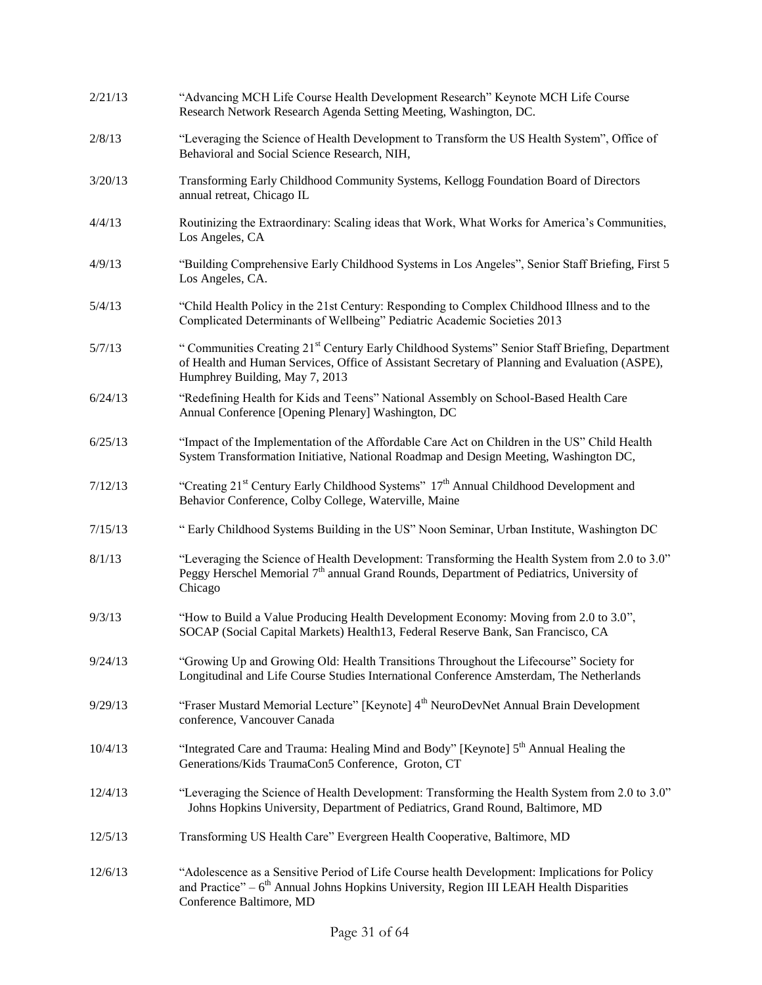| 2/21/13 | "Advancing MCH Life Course Health Development Research" Keynote MCH Life Course<br>Research Network Research Agenda Setting Meeting, Washington, DC.                                                                                          |
|---------|-----------------------------------------------------------------------------------------------------------------------------------------------------------------------------------------------------------------------------------------------|
| 2/8/13  | "Leveraging the Science of Health Development to Transform the US Health System", Office of<br>Behavioral and Social Science Research, NIH,                                                                                                   |
| 3/20/13 | Transforming Early Childhood Community Systems, Kellogg Foundation Board of Directors<br>annual retreat, Chicago IL                                                                                                                           |
| 4/4/13  | Routinizing the Extraordinary: Scaling ideas that Work, What Works for America's Communities,<br>Los Angeles, CA                                                                                                                              |
| 4/9/13  | "Building Comprehensive Early Childhood Systems in Los Angeles", Senior Staff Briefing, First 5<br>Los Angeles, CA.                                                                                                                           |
| 5/4/13  | "Child Health Policy in the 21st Century: Responding to Complex Childhood Illness and to the<br>Complicated Determinants of Wellbeing" Pediatric Academic Societies 2013                                                                      |
| 5/7/13  | "Communities Creating 21 <sup>st</sup> Century Early Childhood Systems" Senior Staff Briefing, Department<br>of Health and Human Services, Office of Assistant Secretary of Planning and Evaluation (ASPE),<br>Humphrey Building, May 7, 2013 |
| 6/24/13 | "Redefining Health for Kids and Teens" National Assembly on School-Based Health Care<br>Annual Conference [Opening Plenary] Washington, DC                                                                                                    |
| 6/25/13 | "Impact of the Implementation of the Affordable Care Act on Children in the US" Child Health<br>System Transformation Initiative, National Roadmap and Design Meeting, Washington DC,                                                         |
| 7/12/13 | "Creating 21 <sup>st</sup> Century Early Childhood Systems" 17 <sup>th</sup> Annual Childhood Development and<br>Behavior Conference, Colby College, Waterville, Maine                                                                        |
| 7/15/13 | "Early Childhood Systems Building in the US" Noon Seminar, Urban Institute, Washington DC                                                                                                                                                     |
| 8/1/13  | "Leveraging the Science of Health Development: Transforming the Health System from 2.0 to 3.0"<br>Peggy Herschel Memorial 7 <sup>th</sup> annual Grand Rounds, Department of Pediatrics, University of<br>Chicago                             |
| 9/3/13  | "How to Build a Value Producing Health Development Economy: Moving from 2.0 to 3.0",<br>SOCAP (Social Capital Markets) Health13, Federal Reserve Bank, San Francisco, CA                                                                      |
| 9/24/13 | "Growing Up and Growing Old: Health Transitions Throughout the Lifecourse" Society for<br>Longitudinal and Life Course Studies International Conference Amsterdam, The Netherlands                                                            |
| 9/29/13 | "Fraser Mustard Memorial Lecture" [Keynote] 4 <sup>th</sup> NeuroDevNet Annual Brain Development<br>conference, Vancouver Canada                                                                                                              |
| 10/4/13 | "Integrated Care and Trauma: Healing Mind and Body" [Keynote] 5 <sup>th</sup> Annual Healing the<br>Generations/Kids TraumaCon5 Conference, Groton, CT                                                                                        |
| 12/4/13 | "Leveraging the Science of Health Development: Transforming the Health System from 2.0 to 3.0"<br>Johns Hopkins University, Department of Pediatrics, Grand Round, Baltimore, MD                                                              |
| 12/5/13 | Transforming US Health Care" Evergreen Health Cooperative, Baltimore, MD                                                                                                                                                                      |
| 12/6/13 | "Adolescence as a Sensitive Period of Life Course health Development: Implications for Policy<br>and Practice" $-6$ <sup>th</sup> Annual Johns Hopkins University, Region III LEAH Health Disparities<br>Conference Baltimore, MD             |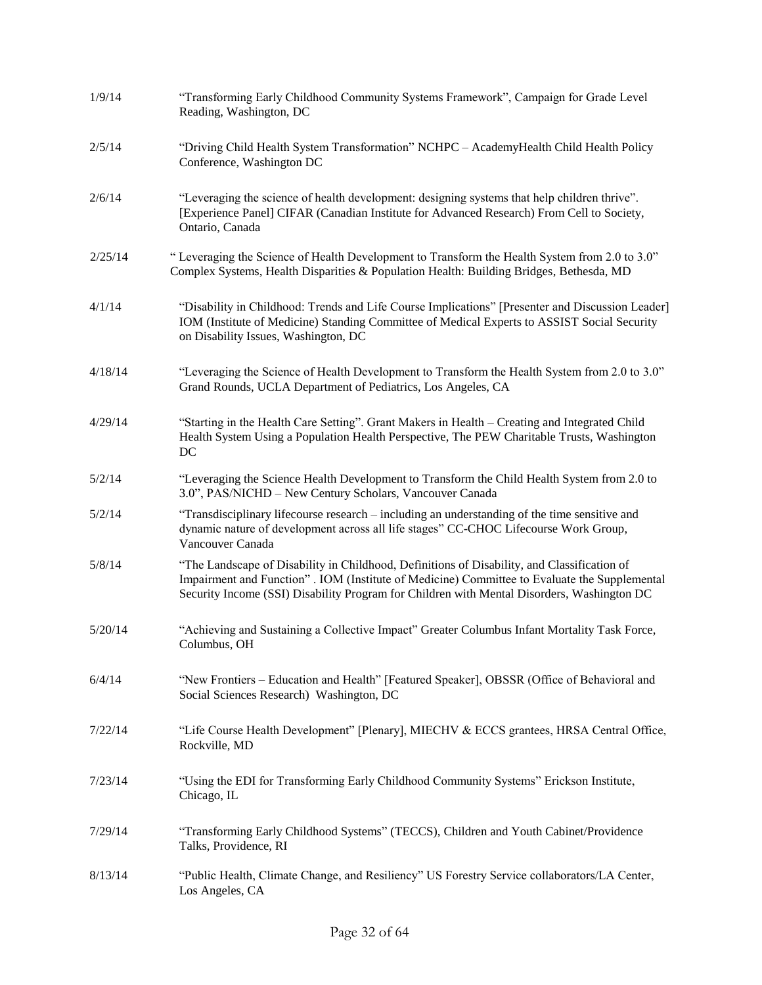| 1/9/14  | "Transforming Early Childhood Community Systems Framework", Campaign for Grade Level<br>Reading, Washington, DC                                                                                                                                                                           |
|---------|-------------------------------------------------------------------------------------------------------------------------------------------------------------------------------------------------------------------------------------------------------------------------------------------|
| 2/5/14  | "Driving Child Health System Transformation" NCHPC - AcademyHealth Child Health Policy<br>Conference, Washington DC                                                                                                                                                                       |
| 2/6/14  | "Leveraging the science of health development: designing systems that help children thrive".<br>[Experience Panel] CIFAR (Canadian Institute for Advanced Research) From Cell to Society,<br>Ontario, Canada                                                                              |
| 2/25/14 | "Leveraging the Science of Health Development to Transform the Health System from 2.0 to 3.0"<br>Complex Systems, Health Disparities & Population Health: Building Bridges, Bethesda, MD                                                                                                  |
| 4/1/14  | "Disability in Childhood: Trends and Life Course Implications" [Presenter and Discussion Leader]<br>IOM (Institute of Medicine) Standing Committee of Medical Experts to ASSIST Social Security<br>on Disability Issues, Washington, DC                                                   |
| 4/18/14 | "Leveraging the Science of Health Development to Transform the Health System from 2.0 to 3.0"<br>Grand Rounds, UCLA Department of Pediatrics, Los Angeles, CA                                                                                                                             |
| 4/29/14 | "Starting in the Health Care Setting". Grant Makers in Health – Creating and Integrated Child<br>Health System Using a Population Health Perspective, The PEW Charitable Trusts, Washington<br>DC                                                                                         |
| 5/2/14  | "Leveraging the Science Health Development to Transform the Child Health System from 2.0 to<br>3.0", PAS/NICHD - New Century Scholars, Vancouver Canada                                                                                                                                   |
| 5/2/14  | "Transdisciplinary lifecourse research – including an understanding of the time sensitive and<br>dynamic nature of development across all life stages" CC-CHOC Lifecourse Work Group,<br>Vancouver Canada                                                                                 |
| 5/8/14  | "The Landscape of Disability in Childhood, Definitions of Disability, and Classification of<br>Impairment and Function". IOM (Institute of Medicine) Committee to Evaluate the Supplemental<br>Security Income (SSI) Disability Program for Children with Mental Disorders, Washington DC |
| 5/20/14 | "Achieving and Sustaining a Collective Impact" Greater Columbus Infant Mortality Task Force,<br>Columbus, OH                                                                                                                                                                              |
| 6/4/14  | "New Frontiers – Education and Health" [Featured Speaker], OBSSR (Office of Behavioral and<br>Social Sciences Research) Washington, DC                                                                                                                                                    |
| 7/22/14 | "Life Course Health Development" [Plenary], MIECHV & ECCS grantees, HRSA Central Office,<br>Rockville, MD                                                                                                                                                                                 |
| 7/23/14 | "Using the EDI for Transforming Early Childhood Community Systems" Erickson Institute,<br>Chicago, IL                                                                                                                                                                                     |
| 7/29/14 | "Transforming Early Childhood Systems" (TECCS), Children and Youth Cabinet/Providence<br>Talks, Providence, RI                                                                                                                                                                            |
| 8/13/14 | "Public Health, Climate Change, and Resiliency" US Forestry Service collaborators/LA Center,<br>Los Angeles, CA                                                                                                                                                                           |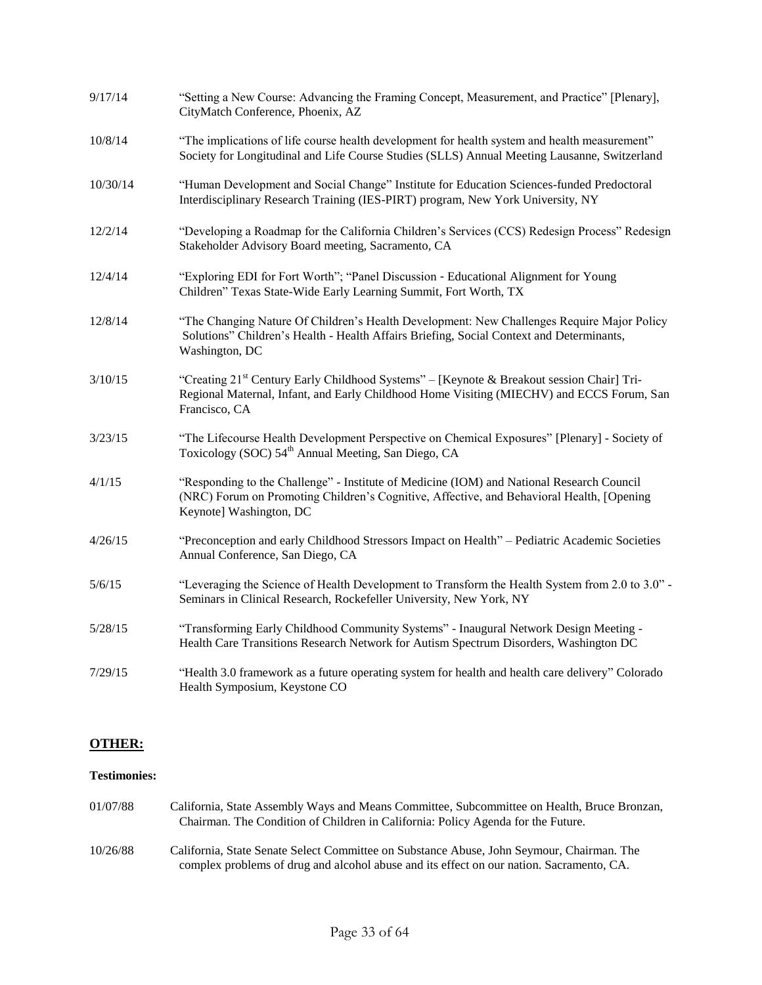| 9/17/14  | "Setting a New Course: Advancing the Framing Concept, Measurement, and Practice" [Plenary],<br>CityMatch Conference, Phoenix, AZ                                                                                    |
|----------|---------------------------------------------------------------------------------------------------------------------------------------------------------------------------------------------------------------------|
| 10/8/14  | "The implications of life course health development for health system and health measurement"<br>Society for Longitudinal and Life Course Studies (SLLS) Annual Meeting Lausanne, Switzerland                       |
| 10/30/14 | "Human Development and Social Change" Institute for Education Sciences-funded Predoctoral<br>Interdisciplinary Research Training (IES-PIRT) program, New York University, NY                                        |
| 12/2/14  | "Developing a Roadmap for the California Children's Services (CCS) Redesign Process" Redesign<br>Stakeholder Advisory Board meeting, Sacramento, CA                                                                 |
| 12/4/14  | "Exploring EDI for Fort Worth"; "Panel Discussion - Educational Alignment for Young<br>Children" Texas State-Wide Early Learning Summit, Fort Worth, TX                                                             |
| 12/8/14  | "The Changing Nature Of Children's Health Development: New Challenges Require Major Policy<br>Solutions" Children's Health - Health Affairs Briefing, Social Context and Determinants,<br>Washington, DC            |
| 3/10/15  | "Creating 21 <sup>st</sup> Century Early Childhood Systems" – [Keynote & Breakout session Chair] Tri-<br>Regional Maternal, Infant, and Early Childhood Home Visiting (MIECHV) and ECCS Forum, San<br>Francisco, CA |
| 3/23/15  | "The Lifecourse Health Development Perspective on Chemical Exposures" [Plenary] - Society of<br>Toxicology (SOC) 54 <sup>th</sup> Annual Meeting, San Diego, CA                                                     |
| 4/1/15   | "Responding to the Challenge" - Institute of Medicine (IOM) and National Research Council<br>(NRC) Forum on Promoting Children's Cognitive, Affective, and Behavioral Health, [Opening<br>Keynote] Washington, DC   |
| 4/26/15  | "Preconception and early Childhood Stressors Impact on Health" - Pediatric Academic Societies<br>Annual Conference, San Diego, CA                                                                                   |
| 5/6/15   | "Leveraging the Science of Health Development to Transform the Health System from 2.0 to 3.0" -<br>Seminars in Clinical Research, Rockefeller University, New York, NY                                              |
| 5/28/15  | "Transforming Early Childhood Community Systems" - Inaugural Network Design Meeting -<br>Health Care Transitions Research Network for Autism Spectrum Disorders, Washington DC                                      |
| 7/29/15  | "Health 3.0 framework as a future operating system for health and health care delivery" Colorado<br>Health Symposium, Keystone CO                                                                                   |

# **OTHER:**

# **Testimonies:**

| 01/07/88 | California, State Assembly Ways and Means Committee, Subcommittee on Health, Bruce Bronzan,<br>Chairman. The Condition of Children in California: Policy Agenda for the Future.       |
|----------|---------------------------------------------------------------------------------------------------------------------------------------------------------------------------------------|
| 10/26/88 | California, State Senate Select Committee on Substance Abuse, John Seymour, Chairman. The<br>complex problems of drug and alcohol abuse and its effect on our nation. Sacramento, CA. |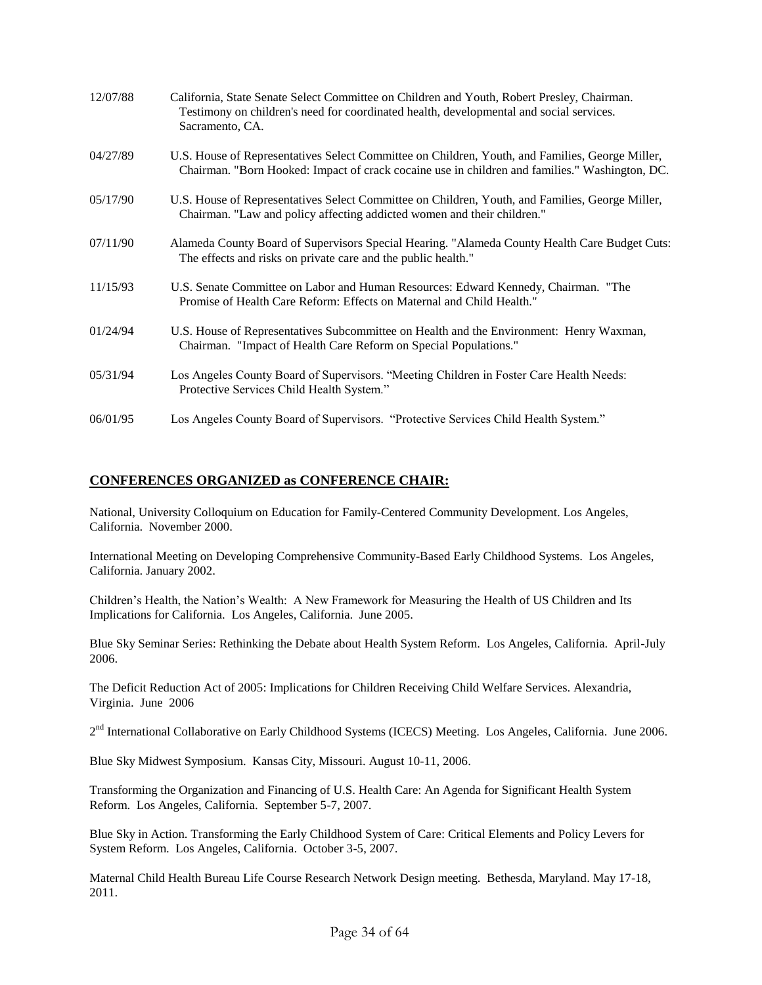| 12/07/88 | California, State Senate Select Committee on Children and Youth, Robert Presley, Chairman.<br>Testimony on children's need for coordinated health, developmental and social services.<br>Sacramento, CA. |
|----------|----------------------------------------------------------------------------------------------------------------------------------------------------------------------------------------------------------|
| 04/27/89 | U.S. House of Representatives Select Committee on Children, Youth, and Families, George Miller,<br>Chairman. "Born Hooked: Impact of crack cocaine use in children and families." Washington, DC.        |
| 05/17/90 | U.S. House of Representatives Select Committee on Children, Youth, and Families, George Miller,<br>Chairman. "Law and policy affecting addicted women and their children."                               |
| 07/11/90 | Alameda County Board of Supervisors Special Hearing. "Alameda County Health Care Budget Cuts:<br>The effects and risks on private care and the public health."                                           |
| 11/15/93 | U.S. Senate Committee on Labor and Human Resources: Edward Kennedy, Chairman. "The<br>Promise of Health Care Reform: Effects on Maternal and Child Health."                                              |
| 01/24/94 | U.S. House of Representatives Subcommittee on Health and the Environment: Henry Waxman,<br>Chairman. "Impact of Health Care Reform on Special Populations."                                              |
| 05/31/94 | Los Angeles County Board of Supervisors. "Meeting Children in Foster Care Health Needs:<br>Protective Services Child Health System."                                                                     |
| 06/01/95 | Los Angeles County Board of Supervisors. "Protective Services Child Health System."                                                                                                                      |

### **CONFERENCES ORGANIZED as CONFERENCE CHAIR:**

National, University Colloquium on Education for Family-Centered Community Development. Los Angeles, California. November 2000.

International Meeting on Developing Comprehensive Community-Based Early Childhood Systems. Los Angeles, California. January 2002.

Children's Health, the Nation's Wealth: A New Framework for Measuring the Health of US Children and Its Implications for California. Los Angeles, California. June 2005.

Blue Sky Seminar Series: Rethinking the Debate about Health System Reform. Los Angeles, California. April-July 2006.

The Deficit Reduction Act of 2005: Implications for Children Receiving Child Welfare Services. Alexandria, Virginia. June 2006

2<sup>nd</sup> International Collaborative on Early Childhood Systems (ICECS) Meeting. Los Angeles, California. June 2006.

Blue Sky Midwest Symposium. Kansas City, Missouri. August 10-11, 2006.

Transforming the Organization and Financing of U.S. Health Care: An Agenda for Significant Health System Reform. Los Angeles, California. September 5-7, 2007.

Blue Sky in Action. Transforming the Early Childhood System of Care: Critical Elements and Policy Levers for System Reform. Los Angeles, California. October 3-5, 2007.

Maternal Child Health Bureau Life Course Research Network Design meeting. Bethesda, Maryland. May 17-18, 2011.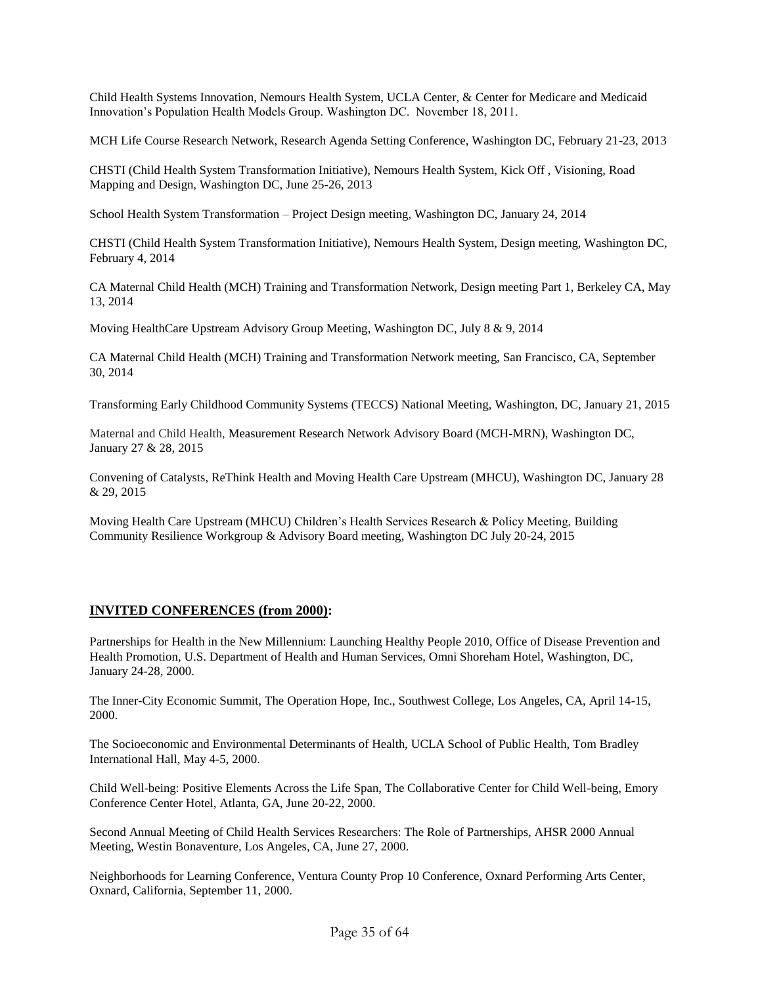Child Health Systems Innovation, Nemours Health System, UCLA Center, & Center for Medicare and Medicaid Innovation's Population Health Models Group. Washington DC. November 18, 2011.

MCH Life Course Research Network, Research Agenda Setting Conference, Washington DC, February 21-23, 2013

CHSTI (Child Health System Transformation Initiative), Nemours Health System, Kick Off , Visioning, Road Mapping and Design, Washington DC, June 25-26, 2013

School Health System Transformation – Project Design meeting, Washington DC, January 24, 2014

CHSTI (Child Health System Transformation Initiative), Nemours Health System, Design meeting, Washington DC, February 4, 2014

CA Maternal Child Health (MCH) Training and Transformation Network, Design meeting Part 1, Berkeley CA, May 13, 2014

Moving HealthCare Upstream Advisory Group Meeting, Washington DC, July 8 & 9, 2014

CA Maternal Child Health (MCH) Training and Transformation Network meeting, San Francisco, CA, September 30, 2014

Transforming Early Childhood Community Systems (TECCS) National Meeting, Washington, DC, January 21, 2015

Maternal and Child Health, Measurement Research Network Advisory Board (MCH-MRN), Washington DC, January 27 & 28, 2015

Convening of Catalysts, ReThink Health and Moving Health Care Upstream (MHCU), Washington DC, January 28 & 29, 2015

Moving Health Care Upstream (MHCU) Children's Health Services Research & Policy Meeting, Building Community Resilience Workgroup & Advisory Board meeting, Washington DC July 20-24, 2015

## **INVITED CONFERENCES (from 2000):**

Partnerships for Health in the New Millennium: Launching Healthy People 2010, Office of Disease Prevention and Health Promotion, U.S. Department of Health and Human Services, Omni Shoreham Hotel, Washington, DC, January 24-28, 2000.

The Inner-City Economic Summit, The Operation Hope, Inc., Southwest College, Los Angeles, CA, April 14-15, 2000.

The Socioeconomic and Environmental Determinants of Health, UCLA School of Public Health, Tom Bradley International Hall, May 4-5, 2000.

Child Well-being: Positive Elements Across the Life Span, The Collaborative Center for Child Well-being, Emory Conference Center Hotel, Atlanta, GA, June 20-22, 2000.

Second Annual Meeting of Child Health Services Researchers: The Role of Partnerships, AHSR 2000 Annual Meeting, Westin Bonaventure, Los Angeles, CA, June 27, 2000.

Neighborhoods for Learning Conference, Ventura County Prop 10 Conference, Oxnard Performing Arts Center, Oxnard, California, September 11, 2000.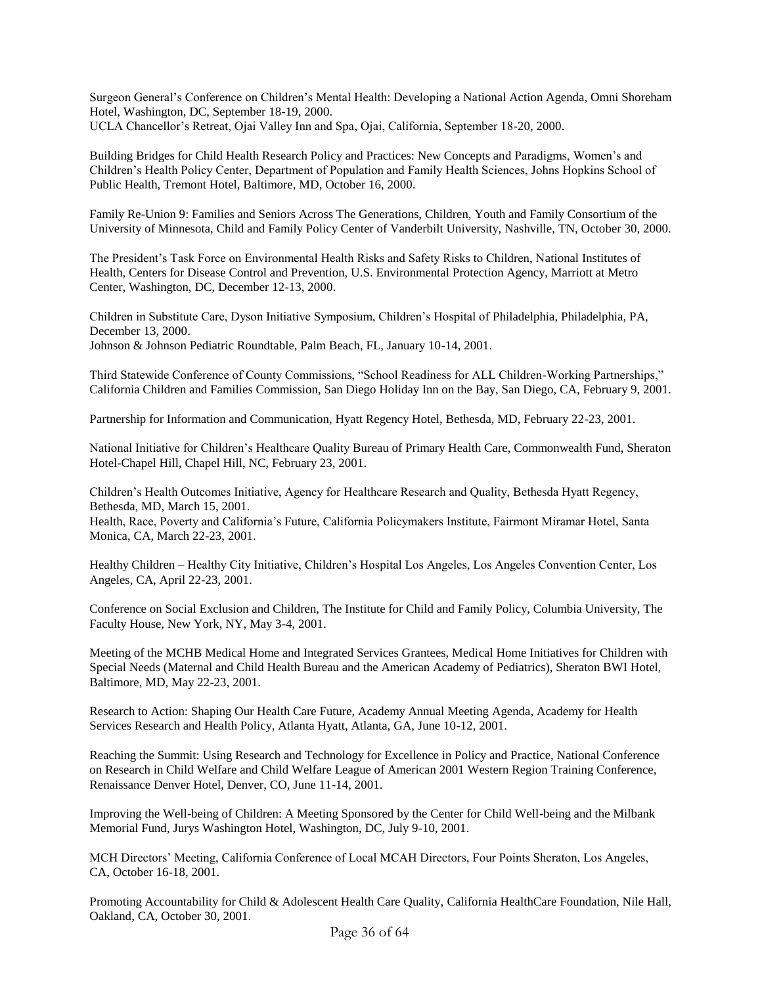Surgeon General's Conference on Children's Mental Health: Developing a National Action Agenda, Omni Shoreham Hotel, Washington, DC, September 18-19, 2000. UCLA Chancellor's Retreat, Ojai Valley Inn and Spa, Ojai, California, September 18-20, 2000.

Building Bridges for Child Health Research Policy and Practices: New Concepts and Paradigms, Women's and Children's Health Policy Center, Department of Population and Family Health Sciences, Johns Hopkins School of Public Health, Tremont Hotel, Baltimore, MD, October 16, 2000.

Family Re-Union 9: Families and Seniors Across The Generations, Children, Youth and Family Consortium of the University of Minnesota, Child and Family Policy Center of Vanderbilt University, Nashville, TN, October 30, 2000.

The President's Task Force on Environmental Health Risks and Safety Risks to Children, National Institutes of Health, Centers for Disease Control and Prevention, U.S. Environmental Protection Agency, Marriott at Metro Center, Washington, DC, December 12-13, 2000.

Children in Substitute Care, Dyson Initiative Symposium, Children's Hospital of Philadelphia, Philadelphia, PA, December 13, 2000. Johnson & Johnson Pediatric Roundtable, Palm Beach, FL, January 10-14, 2001.

Third Statewide Conference of County Commissions, "School Readiness for ALL Children-Working Partnerships," California Children and Families Commission, San Diego Holiday Inn on the Bay, San Diego, CA, February 9, 2001.

Partnership for Information and Communication, Hyatt Regency Hotel, Bethesda, MD, February 22-23, 2001.

National Initiative for Children's Healthcare Quality Bureau of Primary Health Care, Commonwealth Fund, Sheraton Hotel-Chapel Hill, Chapel Hill, NC, February 23, 2001.

Children's Health Outcomes Initiative, Agency for Healthcare Research and Quality, Bethesda Hyatt Regency, Bethesda, MD, March 15, 2001.

Health, Race, Poverty and California's Future, California Policymakers Institute, Fairmont Miramar Hotel, Santa Monica, CA, March 22-23, 2001.

Healthy Children – Healthy City Initiative, Children's Hospital Los Angeles, Los Angeles Convention Center, Los Angeles, CA, April 22-23, 2001.

Conference on Social Exclusion and Children, The Institute for Child and Family Policy, Columbia University, The Faculty House, New York, NY, May 3-4, 2001.

Meeting of the MCHB Medical Home and Integrated Services Grantees, Medical Home Initiatives for Children with Special Needs (Maternal and Child Health Bureau and the American Academy of Pediatrics), Sheraton BWI Hotel, Baltimore, MD, May 22-23, 2001.

Research to Action: Shaping Our Health Care Future, Academy Annual Meeting Agenda, Academy for Health Services Research and Health Policy, Atlanta Hyatt, Atlanta, GA, June 10-12, 2001.

Reaching the Summit: Using Research and Technology for Excellence in Policy and Practice, National Conference on Research in Child Welfare and Child Welfare League of American 2001 Western Region Training Conference, Renaissance Denver Hotel, Denver, CO, June 11-14, 2001.

Improving the Well-being of Children: A Meeting Sponsored by the Center for Child Well-being and the Milbank Memorial Fund, Jurys Washington Hotel, Washington, DC, July 9-10, 2001.

MCH Directors' Meeting, California Conference of Local MCAH Directors, Four Points Sheraton, Los Angeles, CA, October 16-18, 2001.

Promoting Accountability for Child & Adolescent Health Care Quality, California HealthCare Foundation, Nile Hall, Oakland, CA, October 30, 2001.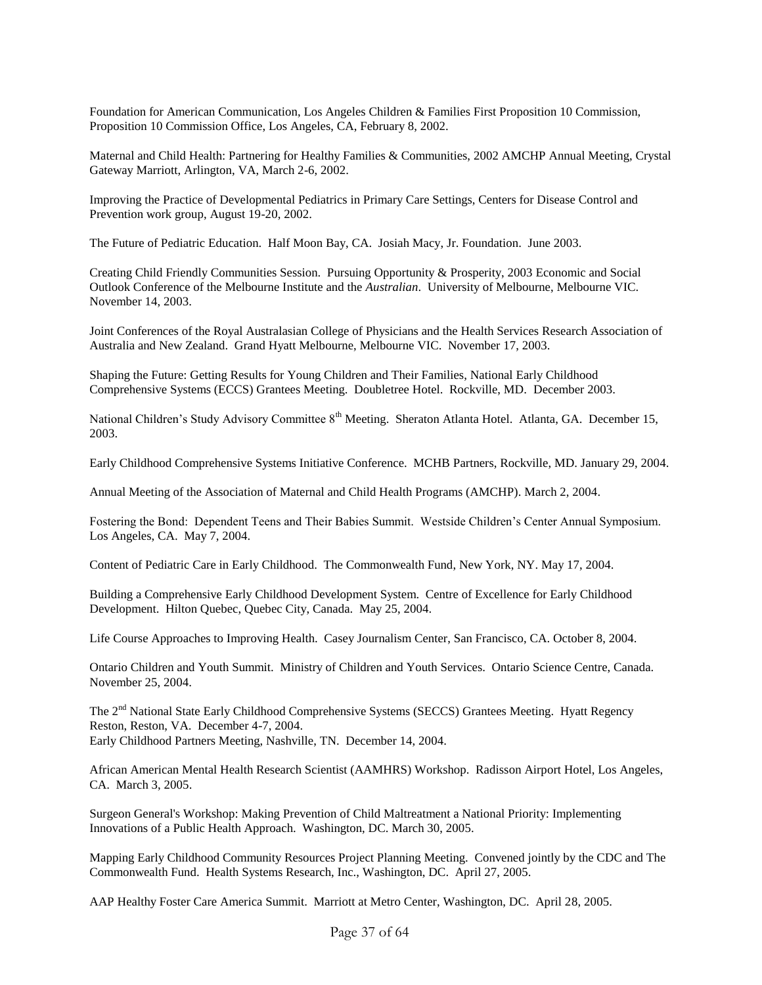Foundation for American Communication, Los Angeles Children & Families First Proposition 10 Commission, Proposition 10 Commission Office, Los Angeles, CA, February 8, 2002.

Maternal and Child Health: Partnering for Healthy Families & Communities, 2002 AMCHP Annual Meeting, Crystal Gateway Marriott, Arlington, VA, March 2-6, 2002.

Improving the Practice of Developmental Pediatrics in Primary Care Settings, Centers for Disease Control and Prevention work group, August 19-20, 2002.

The Future of Pediatric Education. Half Moon Bay, CA. Josiah Macy, Jr. Foundation. June 2003.

Creating Child Friendly Communities Session. Pursuing Opportunity & Prosperity, 2003 Economic and Social Outlook Conference of the Melbourne Institute and the *Australian*. University of Melbourne, Melbourne VIC. November 14, 2003.

Joint Conferences of the Royal Australasian College of Physicians and the Health Services Research Association of Australia and New Zealand. Grand Hyatt Melbourne, Melbourne VIC. November 17, 2003.

Shaping the Future: Getting Results for Young Children and Their Families, National Early Childhood Comprehensive Systems (ECCS) Grantees Meeting. Doubletree Hotel. Rockville, MD. December 2003.

National Children's Study Advisory Committee 8<sup>th</sup> Meeting. Sheraton Atlanta Hotel. Atlanta, GA. December 15, 2003.

Early Childhood Comprehensive Systems Initiative Conference. MCHB Partners, Rockville, MD. January 29, 2004.

Annual Meeting of the Association of Maternal and Child Health Programs (AMCHP). March 2, 2004.

Fostering the Bond: Dependent Teens and Their Babies Summit. Westside Children's Center Annual Symposium. Los Angeles, CA. May 7, 2004.

Content of Pediatric Care in Early Childhood. The Commonwealth Fund, New York, NY. May 17, 2004.

Building a Comprehensive Early Childhood Development System. Centre of Excellence for Early Childhood Development. Hilton Quebec, Quebec City, Canada. May 25, 2004.

Life Course Approaches to Improving Health. Casey Journalism Center, San Francisco, CA. October 8, 2004.

Ontario Children and Youth Summit. Ministry of Children and Youth Services. Ontario Science Centre, Canada. November 25, 2004.

The 2<sup>nd</sup> National State Early Childhood Comprehensive Systems (SECCS) Grantees Meeting. Hyatt Regency Reston, Reston, VA. December 4-7, 2004. Early Childhood Partners Meeting, Nashville, TN. December 14, 2004.

African American Mental Health Research Scientist (AAMHRS) Workshop. Radisson Airport Hotel, Los Angeles, CA. March 3, 2005.

Surgeon General's Workshop: Making Prevention of Child Maltreatment a National Priority: Implementing Innovations of a Public Health Approach. Washington, DC. March 30, 2005.

Mapping Early Childhood Community Resources Project Planning Meeting. Convened jointly by the CDC and The Commonwealth Fund. Health Systems Research, Inc., Washington, DC. April 27, 2005.

AAP Healthy Foster Care America Summit. Marriott at Metro Center, Washington, DC. April 28, 2005.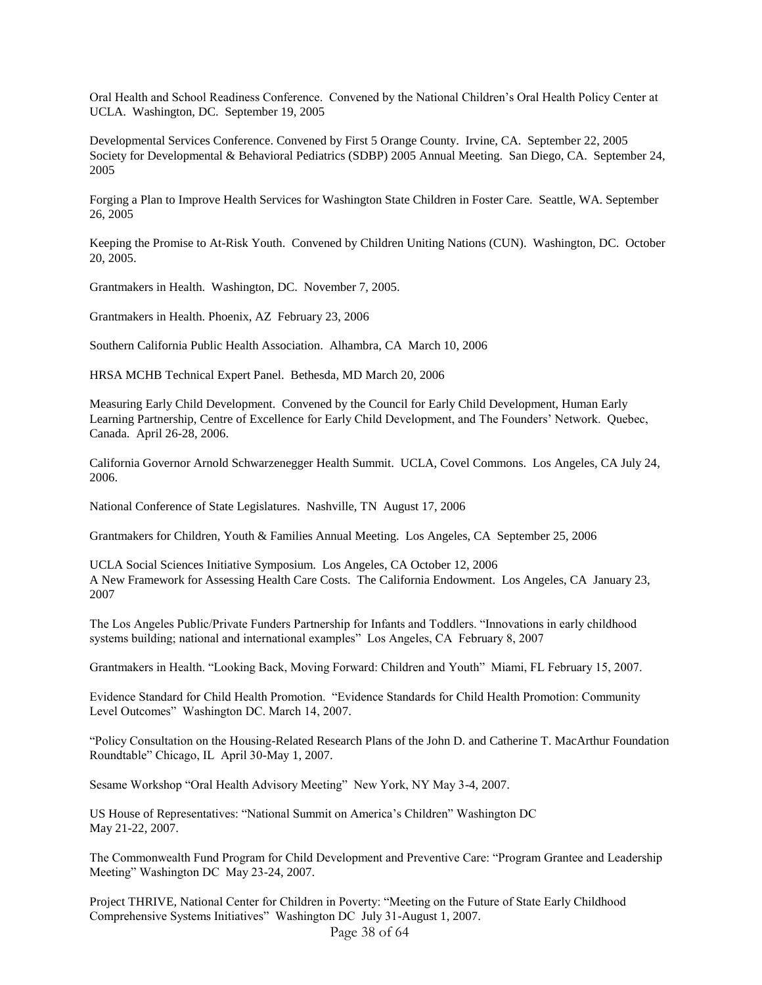Oral Health and School Readiness Conference. Convened by the National Children's Oral Health Policy Center at UCLA. Washington, DC. September 19, 2005

Developmental Services Conference. Convened by First 5 Orange County. Irvine, CA. September 22, 2005 Society for Developmental & Behavioral Pediatrics (SDBP) 2005 Annual Meeting. San Diego, CA. September 24, 2005

Forging a Plan to Improve Health Services for Washington State Children in Foster Care. Seattle, WA. September 26, 2005

Keeping the Promise to At-Risk Youth. Convened by Children Uniting Nations (CUN). Washington, DC. October 20, 2005.

Grantmakers in Health. Washington, DC. November 7, 2005.

Grantmakers in Health. Phoenix, AZ February 23, 2006

Southern California Public Health Association. Alhambra, CA March 10, 2006

HRSA MCHB Technical Expert Panel. Bethesda, MD March 20, 2006

Measuring Early Child Development. Convened by the Council for Early Child Development, Human Early Learning Partnership, Centre of Excellence for Early Child Development, and The Founders' Network. Quebec, Canada. April 26-28, 2006.

California Governor Arnold Schwarzenegger Health Summit. UCLA, Covel Commons. Los Angeles, CA July 24, 2006.

National Conference of State Legislatures. Nashville, TN August 17, 2006

Grantmakers for Children, Youth & Families Annual Meeting. Los Angeles, CA September 25, 2006

UCLA Social Sciences Initiative Symposium. Los Angeles, CA October 12, 2006 A New Framework for Assessing Health Care Costs. The California Endowment. Los Angeles, CA January 23, 2007

The Los Angeles Public/Private Funders Partnership for Infants and Toddlers. "Innovations in early childhood systems building; national and international examples" Los Angeles, CA February 8, 2007

Grantmakers in Health. "Looking Back, Moving Forward: Children and Youth" Miami, FL February 15, 2007.

Evidence Standard for Child Health Promotion. "Evidence Standards for Child Health Promotion: Community Level Outcomes" Washington DC. March 14, 2007.

"Policy Consultation on the Housing-Related Research Plans of the John D. and Catherine T. MacArthur Foundation Roundtable" Chicago, IL April 30-May 1, 2007.

Sesame Workshop "Oral Health Advisory Meeting" New York, NY May 3-4, 2007.

US House of Representatives: "National Summit on America's Children" Washington DC May 21-22, 2007.

The Commonwealth Fund Program for Child Development and Preventive Care: "Program Grantee and Leadership Meeting" Washington DC May 23-24, 2007.

Project THRIVE, National Center for Children in Poverty: "Meeting on the Future of State Early Childhood Comprehensive Systems Initiatives" Washington DC July 31-August 1, 2007.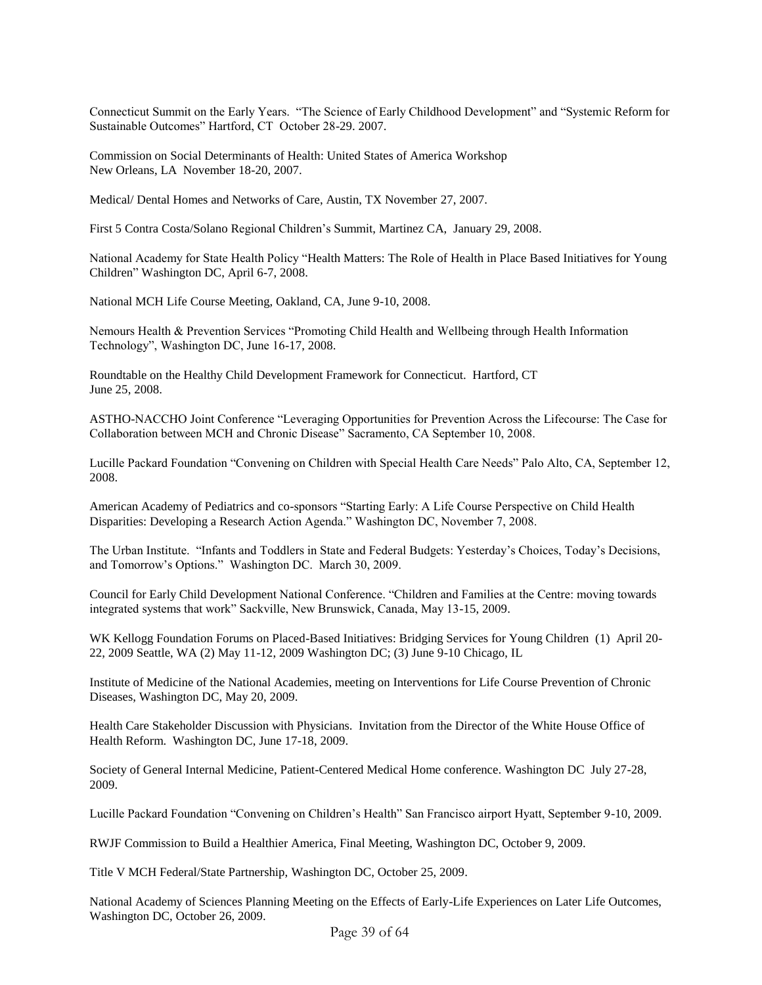Connecticut Summit on the Early Years. "The Science of Early Childhood Development" and "Systemic Reform for Sustainable Outcomes" Hartford, CT October 28-29. 2007.

Commission on Social Determinants of Health: United States of America Workshop New Orleans, LA November 18-20, 2007.

Medical/ Dental Homes and Networks of Care, Austin, TX November 27, 2007.

First 5 Contra Costa/Solano Regional Children's Summit, Martinez CA, January 29, 2008.

National Academy for State Health Policy "Health Matters: The Role of Health in Place Based Initiatives for Young Children" Washington DC, April 6-7, 2008.

National MCH Life Course Meeting, Oakland, CA, June 9-10, 2008.

Nemours Health & Prevention Services "Promoting Child Health and Wellbeing through Health Information Technology", Washington DC, June 16-17, 2008.

Roundtable on the Healthy Child Development Framework for Connecticut. Hartford, CT June 25, 2008.

ASTHO-NACCHO Joint Conference "Leveraging Opportunities for Prevention Across the Lifecourse: The Case for Collaboration between MCH and Chronic Disease" Sacramento, CA September 10, 2008.

Lucille Packard Foundation "Convening on Children with Special Health Care Needs" Palo Alto, CA, September 12, 2008.

American Academy of Pediatrics and co-sponsors "Starting Early: A Life Course Perspective on Child Health Disparities: Developing a Research Action Agenda." Washington DC, November 7, 2008.

The Urban Institute. "Infants and Toddlers in State and Federal Budgets: Yesterday's Choices, Today's Decisions, and Tomorrow's Options." Washington DC. March 30, 2009.

Council for Early Child Development National Conference. "Children and Families at the Centre: moving towards integrated systems that work" Sackville, New Brunswick, Canada, May 13-15, 2009.

WK Kellogg Foundation Forums on Placed-Based Initiatives: Bridging Services for Young Children (1) April 20- 22, 2009 Seattle, WA (2) May 11-12, 2009 Washington DC; (3) June 9-10 Chicago, IL

Institute of Medicine of the National Academies, meeting on Interventions for Life Course Prevention of Chronic Diseases, Washington DC, May 20, 2009.

Health Care Stakeholder Discussion with Physicians. Invitation from the Director of the White House Office of Health Reform. Washington DC, June 17-18, 2009.

Society of General Internal Medicine, Patient-Centered Medical Home conference. Washington DC July 27-28, 2009.

Lucille Packard Foundation "Convening on Children's Health" San Francisco airport Hyatt, September 9-10, 2009.

RWJF Commission to Build a Healthier America, Final Meeting, Washington DC, October 9, 2009.

Title V MCH Federal/State Partnership, Washington DC, October 25, 2009.

National Academy of Sciences Planning Meeting on the Effects of Early-Life Experiences on Later Life Outcomes, Washington DC, October 26, 2009.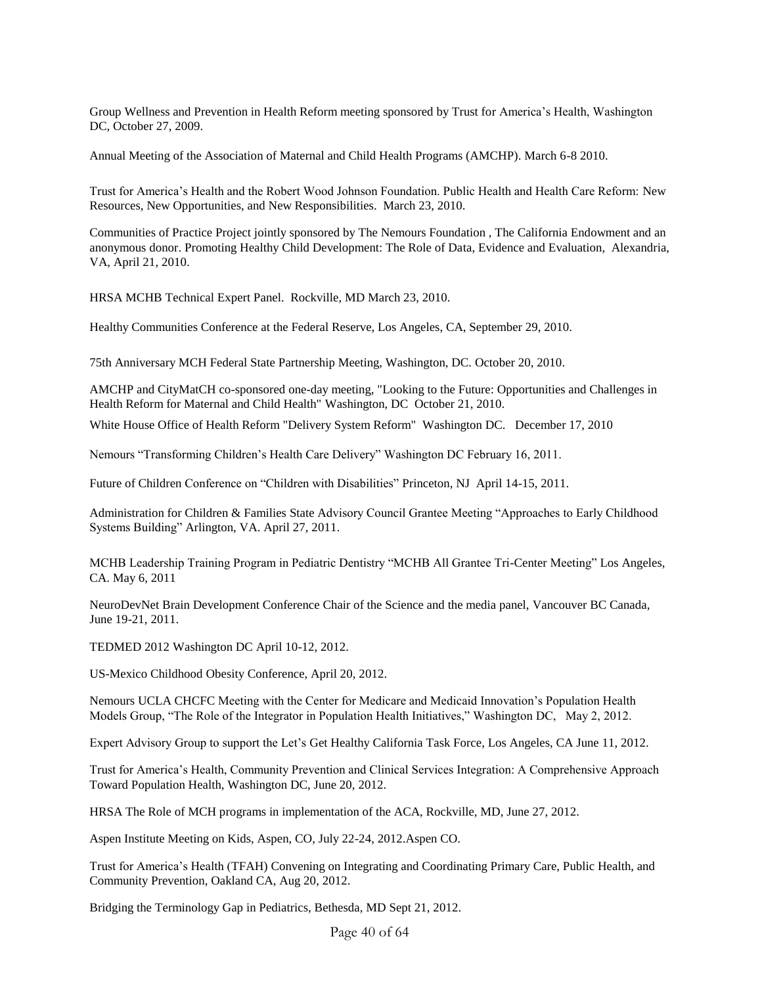Group Wellness and Prevention in Health Reform meeting sponsored by Trust for America's Health, Washington DC, October 27, 2009.

Annual Meeting of the Association of Maternal and Child Health Programs (AMCHP). March 6-8 2010.

Trust for America's Health and the Robert Wood Johnson Foundation. Public Health and Health Care Reform: New Resources, New Opportunities, and New Responsibilities. March 23, 2010.

Communities of Practice Project jointly sponsored by The Nemours Foundation , The California Endowment and an anonymous donor. Promoting Healthy Child Development: The Role of Data, Evidence and Evaluation, Alexandria, VA, April 21, 2010.

HRSA MCHB Technical Expert Panel. Rockville, MD March 23, 2010.

Healthy Communities Conference at the Federal Reserve, Los Angeles, CA, September 29, 2010.

75th Anniversary MCH Federal State Partnership Meeting, Washington, DC. October 20, 2010.

AMCHP and CityMatCH co-sponsored one-day meeting, "Looking to the Future: Opportunities and Challenges in Health Reform for Maternal and Child Health" Washington, DC October 21, 2010.

White House Office of Health Reform "Delivery System Reform" Washington DC. December 17, 2010

Nemours "Transforming Children's Health Care Delivery" Washington DC February 16, 2011.

Future of Children Conference on "Children with Disabilities" Princeton, NJ April 14-15, 2011.

Administration for Children & Families State Advisory Council Grantee Meeting "Approaches to Early Childhood Systems Building" Arlington, VA. April 27, 2011.

MCHB Leadership Training Program in Pediatric Dentistry "MCHB All Grantee Tri-Center Meeting" Los Angeles, CA. May 6, 2011

NeuroDevNet Brain Development Conference Chair of the Science and the media panel, Vancouver BC Canada, June 19-21, 2011.

TEDMED 2012 Washington DC April 10-12, 2012.

US-Mexico Childhood Obesity Conference, April 20, 2012.

Nemours UCLA CHCFC Meeting with the Center for Medicare and Medicaid Innovation's Population Health Models Group, "The Role of the Integrator in Population Health Initiatives," Washington DC, May 2, 2012.

Expert Advisory Group to support the Let's Get Healthy California Task Force, Los Angeles, CA June 11, 2012.

Trust for America's Health, Community Prevention and Clinical Services Integration: A Comprehensive Approach Toward Population Health, Washington DC, June 20, 2012.

HRSA The Role of MCH programs in implementation of the ACA, Rockville, MD, June 27, 2012.

Aspen Institute Meeting on Kids, Aspen, CO, July 22-24, 2012.Aspen CO.

Trust for America's Health (TFAH) Convening on Integrating and Coordinating Primary Care, Public Health, and Community Prevention, Oakland CA, Aug 20, 2012.

Bridging the Terminology Gap in Pediatrics, Bethesda, MD Sept 21, 2012.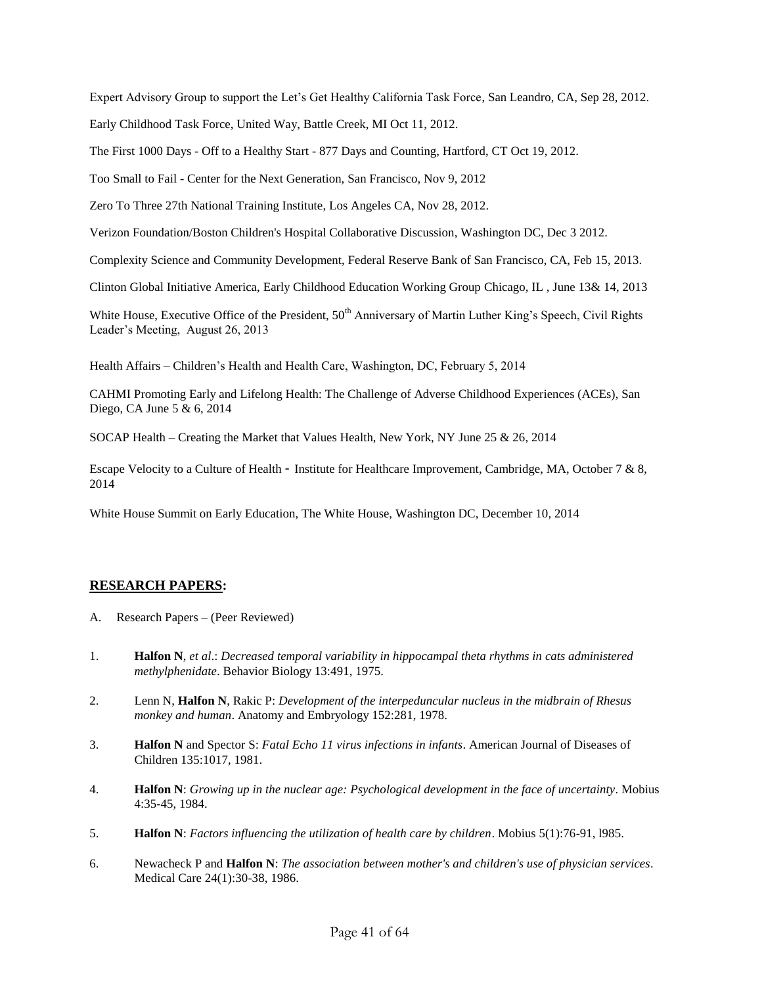Expert Advisory Group to support the Let's Get Healthy California Task Force, San Leandro, CA, Sep 28, 2012.

Early Childhood Task Force, United Way, Battle Creek, MI Oct 11, 2012.

The First 1000 Days - Off to a Healthy Start - 877 Days and Counting, Hartford, CT Oct 19, 2012.

Too Small to Fail - Center for the Next Generation, San Francisco, Nov 9, 2012

Zero To Three 27th National Training Institute, Los Angeles CA, Nov 28, 2012.

Verizon Foundation/Boston Children's Hospital Collaborative Discussion, Washington DC, Dec 3 2012.

Complexity Science and Community Development, Federal Reserve Bank of San Francisco, CA, Feb 15, 2013.

Clinton Global Initiative America, Early Childhood Education Working Group Chicago, IL , June 13& 14, 2013

White House, Executive Office of the President,  $50<sup>th</sup>$  Anniversary of Martin Luther King's Speech, Civil Rights Leader's Meeting, August 26, 2013

Health Affairs – Children's Health and Health Care, Washington, DC, February 5, 2014

CAHMI Promoting Early and Lifelong Health: The Challenge of Adverse Childhood Experiences (ACEs), San Diego, CA June 5 & 6, 2014

SOCAP Health – Creating the Market that Values Health, New York, NY June 25 & 26, 2014

Escape Velocity to a Culture of Health - Institute for Healthcare Improvement, Cambridge, MA, October 7 & 8, 2014

White House Summit on Early Education, The White House, Washington DC, December 10, 2014

### **RESEARCH PAPERS:**

- A. Research Papers (Peer Reviewed)
- 1. **Halfon N**, *et al*.: *Decreased temporal variability in hippocampal theta rhythms in cats administered methylphenidate*. Behavior Biology 13:491, 1975.
- 2. Lenn N, **Halfon N**, Rakic P: *Development of the interpeduncular nucleus in the midbrain of Rhesus monkey and human*. Anatomy and Embryology 152:281, 1978.
- 3. **Halfon N** and Spector S: *Fatal Echo 11 virus infections in infants*. American Journal of Diseases of Children 135:1017, 1981.
- 4. **Halfon N**: *Growing up in the nuclear age: Psychological development in the face of uncertainty*. Mobius 4:35-45, 1984.
- 5. **Halfon N**: *Factors influencing the utilization of health care by children*. Mobius 5(1):76-91, l985.
- 6. Newacheck P and **Halfon N**: *The association between mother's and children's use of physician services*. Medical Care 24(1):30-38, 1986.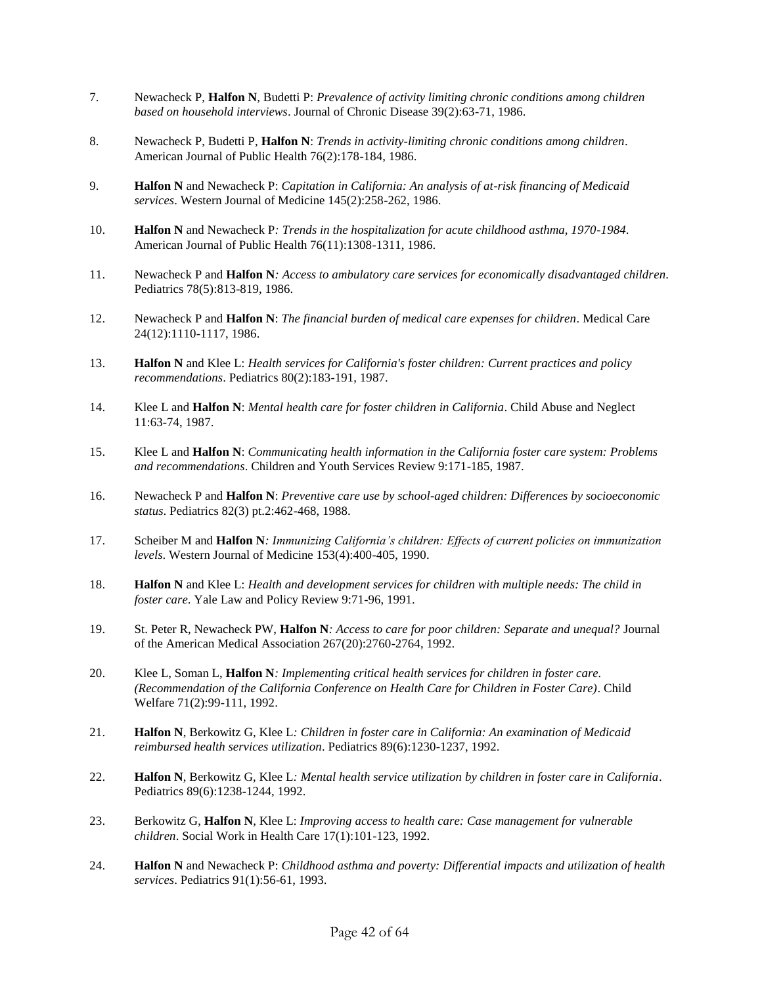- 7. Newacheck P, **Halfon N**, Budetti P: *Prevalence of activity limiting chronic conditions among children based on household interviews*. Journal of Chronic Disease 39(2):63-71, 1986.
- 8. Newacheck P, Budetti P, **Halfon N**: *Trends in activity-limiting chronic conditions among children*. American Journal of Public Health 76(2):178-184, 1986.
- 9. **Halfon N** and Newacheck P: *Capitation in California: An analysis of at-risk financing of Medicaid services*. Western Journal of Medicine 145(2):258-262, 1986.
- 10. **Halfon N** and Newacheck P*: Trends in the hospitalization for acute childhood asthma, 1970-1984*. American Journal of Public Health 76(11):1308-1311, 1986.
- 11. Newacheck P and **Halfon N***: Access to ambulatory care services for economically disadvantaged children*. Pediatrics 78(5):813-819, 1986.
- 12. Newacheck P and **Halfon N**: *The financial burden of medical care expenses for children*. Medical Care 24(12):1110-1117, 1986.
- 13. **Halfon N** and Klee L: *Health services for California's foster children: Current practices and policy recommendations*. Pediatrics 80(2):183-191, 1987.
- 14. Klee L and **Halfon N**: *Mental health care for foster children in California*. Child Abuse and Neglect 11:63-74, 1987.
- 15. Klee L and **Halfon N**: *Communicating health information in the California foster care system: Problems and recommendations*. Children and Youth Services Review 9:171-185, 1987.
- 16. Newacheck P and **Halfon N**: *Preventive care use by school-aged children: Differences by socioeconomic status*. Pediatrics 82(3) pt.2:462-468, 1988.
- 17. Scheiber M and **Halfon N***: Immunizing California's children: Effects of current policies on immunization levels*. Western Journal of Medicine 153(4):400-405, 1990.
- 18. **Halfon N** and Klee L: *Health and development services for children with multiple needs: The child in foster care*. Yale Law and Policy Review 9:71-96, 1991.
- 19. St. Peter R, Newacheck PW, **Halfon N***: Access to care for poor children: Separate and unequal?* Journal of the American Medical Association 267(20):2760-2764, 1992.
- 20. Klee L, Soman L, **Halfon N***: Implementing critical health services for children in foster care. (Recommendation of the California Conference on Health Care for Children in Foster Care)*. Child Welfare 71(2):99-111, 1992.
- 21. **Halfon N**, Berkowitz G, Klee L*: Children in foster care in California: An examination of Medicaid reimbursed health services utilization*. Pediatrics 89(6):1230-1237, 1992.
- 22. **Halfon N**, Berkowitz G, Klee L*: Mental health service utilization by children in foster care in California*. Pediatrics 89(6):1238-1244, 1992.
- 23. Berkowitz G, **Halfon N**, Klee L: *Improving access to health care: Case management for vulnerable children*. Social Work in Health Care 17(1):101-123, 1992.
- 24. **Halfon N** and Newacheck P: *Childhood asthma and poverty: Differential impacts and utilization of health services*. Pediatrics 91(1):56-61, 1993.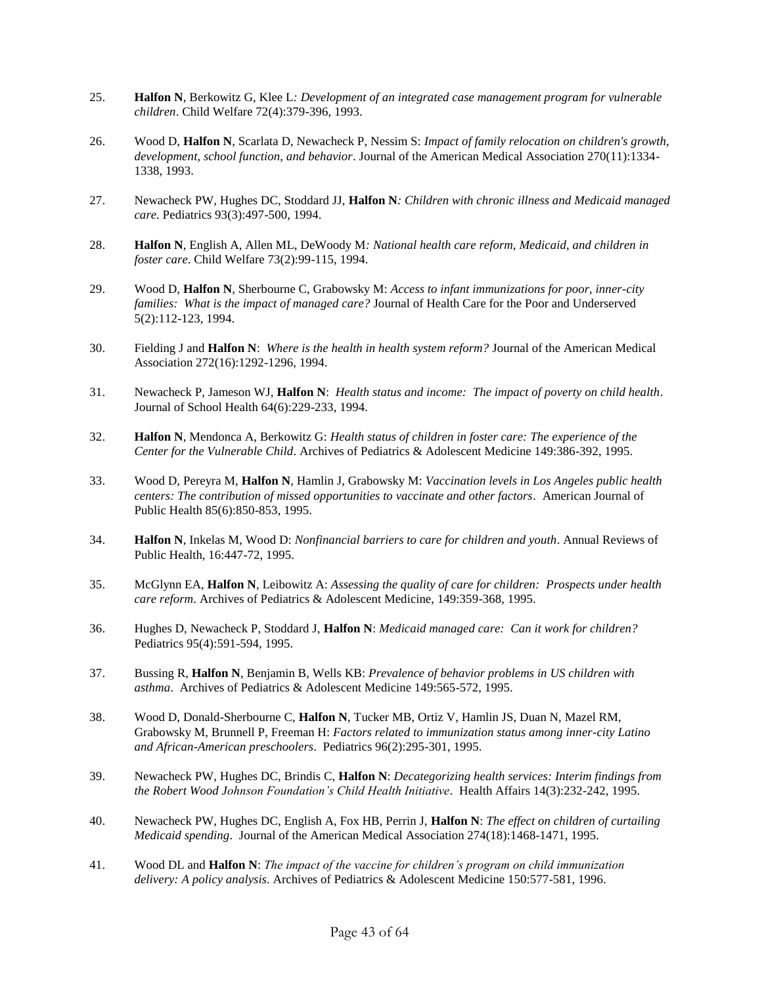- 25. **Halfon N**, Berkowitz G, Klee L*: Development of an integrated case management program for vulnerable children*. Child Welfare 72(4):379-396, 1993.
- 26. Wood D, **Halfon N**, Scarlata D, Newacheck P, Nessim S: *Impact of family relocation on children's growth, development, school function, and behavior*. Journal of the American Medical Association 270(11):1334- 1338, 1993.
- 27. Newacheck PW, Hughes DC, Stoddard JJ, **Halfon N***: Children with chronic illness and Medicaid managed care*. Pediatrics 93(3):497-500, 1994.
- 28. **Halfon N**, English A, Allen ML, DeWoody M*: National health care reform, Medicaid, and children in foster care*. Child Welfare 73(2):99-115, 1994.
- 29. Wood D, **Halfon N**, Sherbourne C, Grabowsky M: *Access to infant immunizations for poor, inner-city families: What is the impact of managed care?* Journal of Health Care for the Poor and Underserved 5(2):112-123, 1994.
- 30. Fielding J and **Halfon N**: *Where is the health in health system reform?* Journal of the American Medical Association 272(16):1292-1296, 1994.
- 31. Newacheck P, Jameson WJ, **Halfon N**: *Health status and income: The impact of poverty on child health*. Journal of School Health 64(6):229-233, 1994.
- 32. **Halfon N**, Mendonca A, Berkowitz G: *Health status of children in foster care: The experience of the Center for the Vulnerable Child*. Archives of Pediatrics & Adolescent Medicine 149:386-392, 1995.
- 33. Wood D, Pereyra M, **Halfon N**, Hamlin J, Grabowsky M: *Vaccination levels in Los Angeles public health centers: The contribution of missed opportunities to vaccinate and other factors*. American Journal of Public Health 85(6):850-853, 1995.
- 34. **Halfon N**, Inkelas M, Wood D: *Nonfinancial barriers to care for children and youth*. Annual Reviews of Public Health, 16:447-72, 1995.
- 35. McGlynn EA, **Halfon N**, Leibowitz A: *Assessing the quality of care for children: Prospects under health care reform*. Archives of Pediatrics & Adolescent Medicine, 149:359-368, 1995.
- 36. Hughes D, Newacheck P, Stoddard J, **Halfon N**: *Medicaid managed care: Can it work for children?* Pediatrics 95(4):591-594, 1995.
- 37. Bussing R, **Halfon N**, Benjamin B, Wells KB: *Prevalence of behavior problems in US children with asthma*. Archives of Pediatrics & Adolescent Medicine 149:565-572, 1995.
- 38. Wood D, Donald-Sherbourne C, **Halfon N**, Tucker MB, Ortiz V, Hamlin JS, Duan N, Mazel RM, Grabowsky M, Brunnell P, Freeman H: *Factors related to immunization status among inner-city Latino and African-American preschoolers*. Pediatrics 96(2):295-301, 1995.
- 39. Newacheck PW, Hughes DC, Brindis C, **Halfon N**: *Decategorizing health services: Interim findings from the Robert Wood Johnson Foundation's Child Health Initiative*. Health Affairs 14(3):232-242, 1995.
- 40. Newacheck PW, Hughes DC, English A, Fox HB, Perrin J, **Halfon N**: *The effect on children of curtailing Medicaid spending*. Journal of the American Medical Association 274(18):1468-1471, 1995.
- 41. Wood DL and **Halfon N**: *The impact of the vaccine for children's program on child immunization delivery: A policy analysis*. Archives of Pediatrics & Adolescent Medicine 150:577-581, 1996.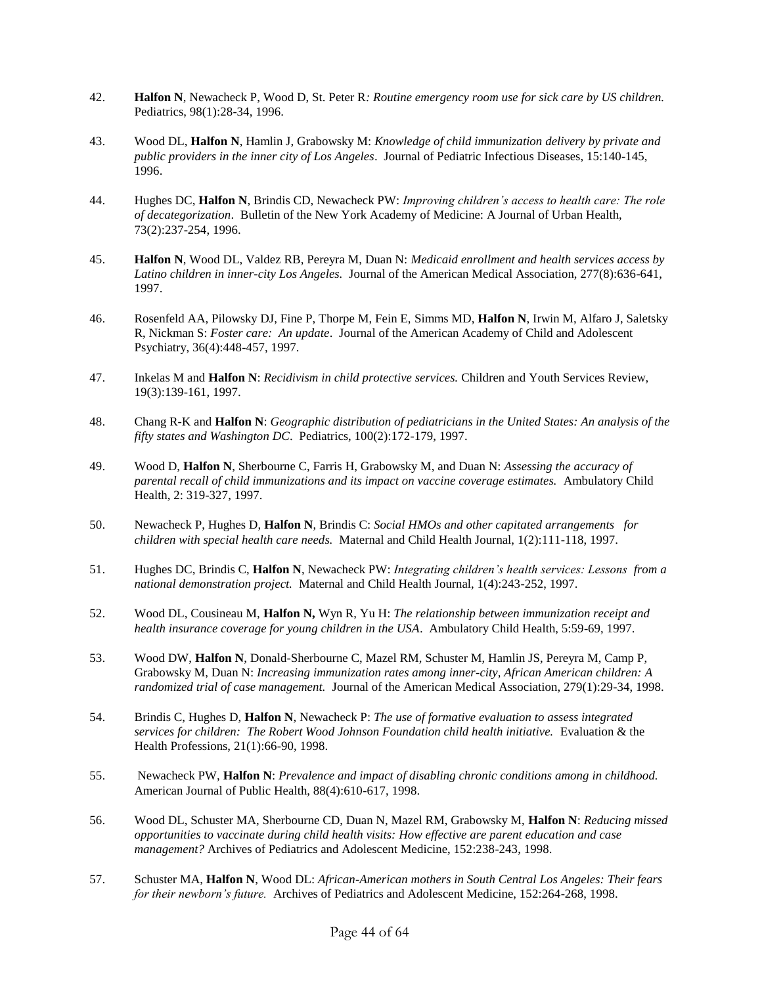- 42. **Halfon N**, Newacheck P, Wood D, St. Peter R*: Routine emergency room use for sick care by US children.* Pediatrics, 98(1):28-34, 1996.
- 43. Wood DL, **Halfon N**, Hamlin J, Grabowsky M: *Knowledge of child immunization delivery by private and public providers in the inner city of Los Angeles*. Journal of Pediatric Infectious Diseases, 15:140-145, 1996.
- 44. Hughes DC, **Halfon N**, Brindis CD, Newacheck PW: *Improving children's access to health care: The role of decategorization*. Bulletin of the New York Academy of Medicine: A Journal of Urban Health, 73(2):237-254, 1996.
- 45. **Halfon N**, Wood DL, Valdez RB, Pereyra M, Duan N: *Medicaid enrollment and health services access by Latino children in inner-city Los Angeles.* Journal of the American Medical Association, 277(8):636-641, 1997.
- 46. Rosenfeld AA, Pilowsky DJ, Fine P, Thorpe M, Fein E, Simms MD, **Halfon N**, Irwin M, Alfaro J, Saletsky R, Nickman S: *Foster care: An update*. Journal of the American Academy of Child and Adolescent Psychiatry, 36(4):448-457, 1997.
- 47. Inkelas M and **Halfon N**: *Recidivism in child protective services.* Children and Youth Services Review, 19(3):139-161, 1997.
- 48. Chang R-K and **Halfon N**: *Geographic distribution of pediatricians in the United States: An analysis of the fifty states and Washington DC*. Pediatrics, 100(2):172-179, 1997.
- 49. Wood D, **Halfon N**, Sherbourne C, Farris H, Grabowsky M, and Duan N: *Assessing the accuracy of parental recall of child immunizations and its impact on vaccine coverage estimates.* Ambulatory Child Health, 2: 319-327, 1997.
- 50. Newacheck P, Hughes D, **Halfon N**, Brindis C: *Social HMOs and other capitated arrangements for children with special health care needs.* Maternal and Child Health Journal, 1(2):111-118, 1997.
- 51. Hughes DC, Brindis C, **Halfon N**, Newacheck PW: *Integrating children's health services: Lessons from a national demonstration project.* Maternal and Child Health Journal, 1(4):243-252, 1997.
- 52. Wood DL, Cousineau M, **Halfon N,** Wyn R, Yu H: *The relationship between immunization receipt and health insurance coverage for young children in the USA*. Ambulatory Child Health, 5:59-69, 1997.
- 53. Wood DW, **Halfon N**, Donald-Sherbourne C, Mazel RM, Schuster M, Hamlin JS, Pereyra M, Camp P, Grabowsky M, Duan N: *Increasing immunization rates among inner-city, African American children: A randomized trial of case management.* Journal of the American Medical Association, 279(1):29-34, 1998.
- 54. Brindis C, Hughes D, **Halfon N**, Newacheck P: *The use of formative evaluation to assess integrated services for children: The Robert Wood Johnson Foundation child health initiative.* Evaluation & the Health Professions, 21(1):66-90, 1998.
- 55. Newacheck PW, **Halfon N**: *Prevalence and impact of disabling chronic conditions among in childhood.*  American Journal of Public Health, 88(4):610-617, 1998.
- 56. Wood DL, Schuster MA, Sherbourne CD, Duan N, Mazel RM, Grabowsky M, **Halfon N**: *Reducing missed opportunities to vaccinate during child health visits: How effective are parent education and case management?* Archives of Pediatrics and Adolescent Medicine, 152:238-243, 1998.
- 57. Schuster MA, **Halfon N**, Wood DL: *African-American mothers in South Central Los Angeles: Their fears for their newborn's future.* Archives of Pediatrics and Adolescent Medicine, 152:264-268, 1998.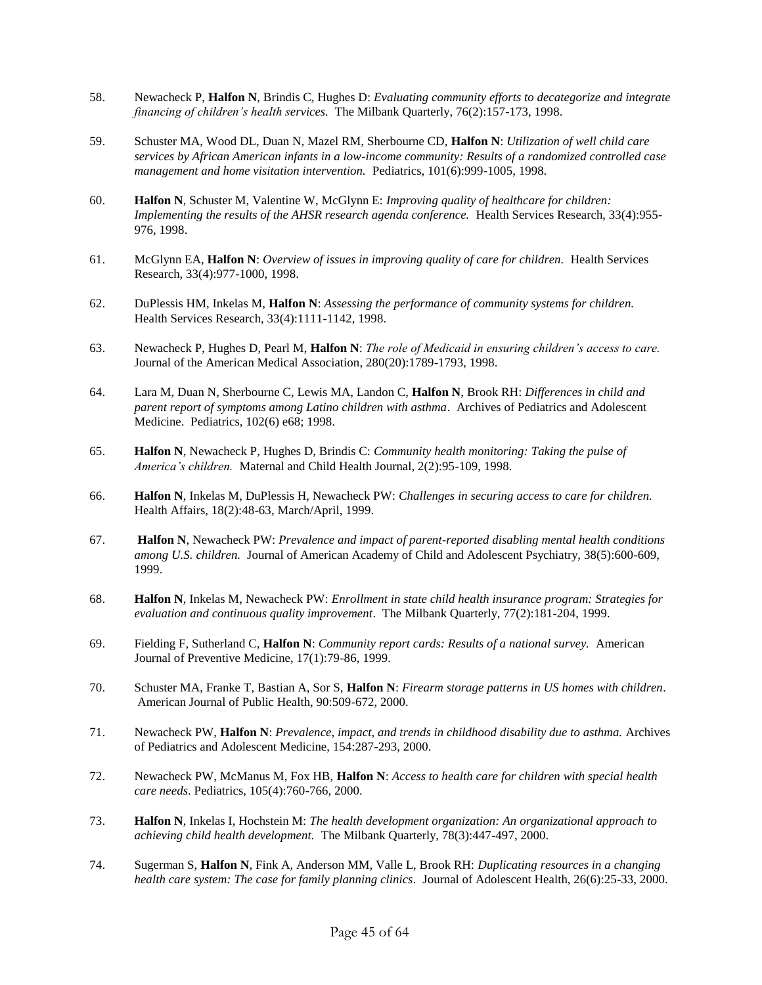- 58. Newacheck P, **Halfon N**, Brindis C, Hughes D: *Evaluating community efforts to decategorize and integrate financing of children's health services.* The Milbank Quarterly, 76(2):157-173, 1998.
- 59. Schuster MA, Wood DL, Duan N, Mazel RM, Sherbourne CD, **Halfon N**: *Utilization of well child care services by African American infants in a low-income community: Results of a randomized controlled case management and home visitation intervention.* Pediatrics, 101(6):999-1005, 1998*.*
- 60. **Halfon N**, Schuster M, Valentine W, McGlynn E: *Improving quality of healthcare for children: Implementing the results of the AHSR research agenda conference.* Health Services Research, 33(4):955- 976, 1998.
- 61. McGlynn EA, **Halfon N**: *Overview of issues in improving quality of care for children.* Health Services Research, 33(4):977-1000, 1998.
- 62. DuPlessis HM, Inkelas M, **Halfon N**: *Assessing the performance of community systems for children.* Health Services Research, 33(4):1111-1142, 1998.
- 63. Newacheck P, Hughes D, Pearl M, **Halfon N**: *The role of Medicaid in ensuring children's access to care.* Journal of the American Medical Association, 280(20):1789-1793, 1998.
- 64. Lara M, Duan N, Sherbourne C, Lewis MA, Landon C, **Halfon N**, Brook RH: *Differences in child and parent report of symptoms among Latino children with asthma*. Archives of Pediatrics and Adolescent Medicine. Pediatrics, 102(6) e68; 1998.
- 65. **Halfon N**, Newacheck P, Hughes D, Brindis C: *Community health monitoring: Taking the pulse of America's children.* Maternal and Child Health Journal, 2(2):95-109, 1998.
- 66. **Halfon N**, Inkelas M, DuPlessis H, Newacheck PW: *Challenges in securing access to care for children.* Health Affairs, 18(2):48-63, March/April, 1999.
- 67. **Halfon N**, Newacheck PW: *Prevalence and impact of parent-reported disabling mental health conditions among U.S. children.* Journal of American Academy of Child and Adolescent Psychiatry, 38(5):600-609, 1999.
- 68. **Halfon N**, Inkelas M, Newacheck PW: *Enrollment in state child health insurance program: Strategies for evaluation and continuous quality improvement*. The Milbank Quarterly, 77(2):181-204, 1999.
- 69. Fielding F, Sutherland C, **Halfon N**: *Community report cards: Results of a national survey.* American Journal of Preventive Medicine, 17(1):79-86, 1999.
- 70. Schuster MA, Franke T, Bastian A, Sor S, **Halfon N**: *Firearm storage patterns in US homes with children.* American Journal of Public Health, 90:509-672, 2000.
- 71. Newacheck PW, **Halfon N**: *Prevalence, impact, and trends in childhood disability due to asthma.* Archives of Pediatrics and Adolescent Medicine, 154:287-293, 2000.
- 72. Newacheck PW, McManus M, Fox HB, **Halfon N**: *Access to health care for children with special health care needs*. Pediatrics, 105(4):760-766, 2000.
- 73. **Halfon N**, Inkelas I, Hochstein M: *The health development organization: An organizational approach to achieving child health development.* The Milbank Quarterly, 78(3):447-497, 2000.
- 74. Sugerman S, **Halfon N**, Fink A, Anderson MM, Valle L, Brook RH: *Duplicating resources in a changing health care system: The case for family planning clinics*. Journal of Adolescent Health, 26(6):25-33, 2000.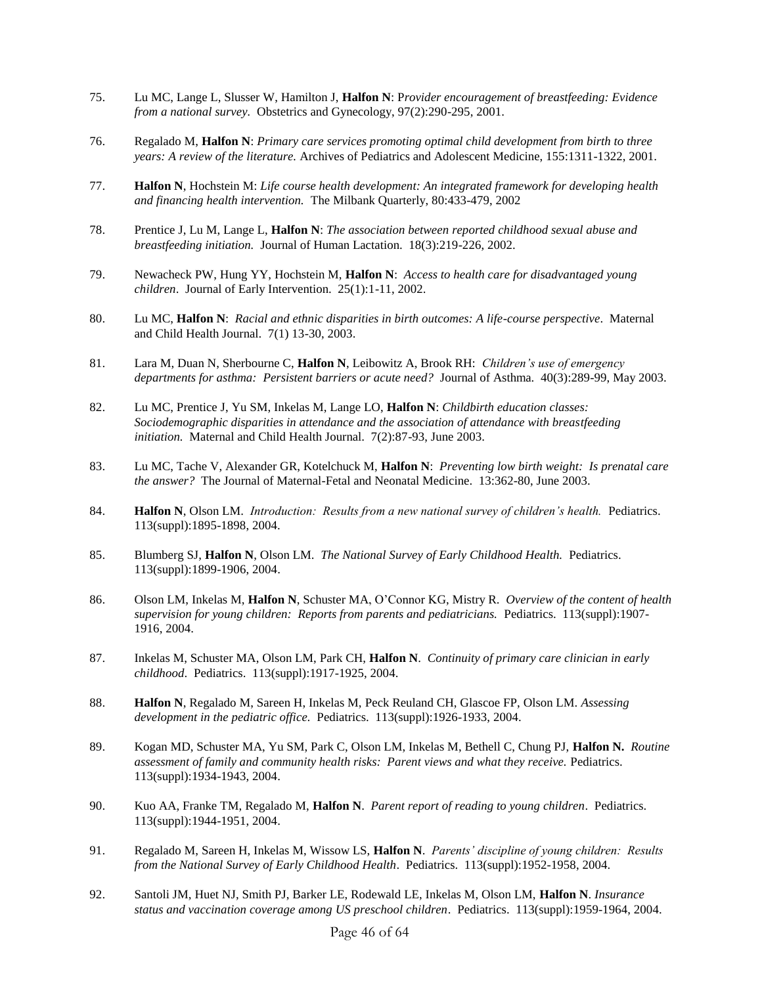- 75. Lu MC, Lange L, Slusser W, Hamilton J, **Halfon N**: P*rovider encouragement of breastfeeding: Evidence from a national survey.* Obstetrics and Gynecology, 97(2):290-295, 2001.
- 76. Regalado M, **Halfon N**: *Primary care services promoting optimal child development from birth to three years: A review of the literature.* Archives of Pediatrics and Adolescent Medicine, 155:1311-1322, 2001.
- 77. **Halfon N**, Hochstein M: *Life course health development: An integrated framework for developing health and financing health intervention.* The Milbank Quarterly, 80:433-479, 2002
- 78. Prentice J, Lu M, Lange L, **Halfon N**: *The association between reported childhood sexual abuse and breastfeeding initiation.* Journal of Human Lactation. 18(3):219-226, 2002.
- 79. Newacheck PW, Hung YY, Hochstein M, **Halfon N**: *Access to health care for disadvantaged young children*. Journal of Early Intervention. 25(1):1-11, 2002.
- 80. Lu MC, **Halfon N**: *Racial and ethnic disparities in birth outcomes: A life-course perspective*. Maternal and Child Health Journal. 7(1) 13-30, 2003.
- 81. Lara M, Duan N, Sherbourne C, **Halfon N**, Leibowitz A, Brook RH: *Children's use of emergency departments for asthma: Persistent barriers or acute need?* Journal of Asthma. 40(3):289-99, May 2003.
- 82. Lu MC, Prentice J, Yu SM, Inkelas M, Lange LO, **Halfon N**: *Childbirth education classes: Sociodemographic disparities in attendance and the association of attendance with breastfeeding initiation.* Maternal and Child Health Journal. 7(2):87-93, June 2003.
- 83. Lu MC, Tache V, Alexander GR, Kotelchuck M, **Halfon N**: *Preventing low birth weight: Is prenatal care the answer?* The Journal of Maternal-Fetal and Neonatal Medicine. 13:362-80, June 2003.
- 84. **Halfon N**, Olson LM. *Introduction: Results from a new national survey of children's health.* Pediatrics. 113(suppl):1895-1898, 2004.
- 85. Blumberg SJ, **Halfon N**, Olson LM. *The National Survey of Early Childhood Health.* Pediatrics. 113(suppl):1899-1906, 2004.
- 86. Olson LM, Inkelas M, **Halfon N**, Schuster MA, O'Connor KG, Mistry R. *Overview of the content of health supervision for young children: Reports from parents and pediatricians.* Pediatrics. 113(suppl):1907- 1916, 2004.
- 87. Inkelas M, Schuster MA, Olson LM, Park CH, **Halfon N**. *Continuity of primary care clinician in early childhood*. Pediatrics. 113(suppl):1917-1925, 2004.
- 88. **Halfon N**, Regalado M, Sareen H, Inkelas M, Peck Reuland CH, Glascoe FP, Olson LM. *Assessing development in the pediatric office.* Pediatrics. 113(suppl):1926-1933, 2004.
- 89. Kogan MD, Schuster MA, Yu SM, Park C, Olson LM, Inkelas M, Bethell C, Chung PJ, **Halfon N.** *Routine assessment of family and community health risks: Parent views and what they receive.* Pediatrics. 113(suppl):1934-1943, 2004.
- 90. Kuo AA, Franke TM, Regalado M, **Halfon N**. *Parent report of reading to young children*. Pediatrics. 113(suppl):1944-1951, 2004.
- 91. Regalado M, Sareen H, Inkelas M, Wissow LS, **Halfon N**. *Parents' discipline of young children: Results from the National Survey of Early Childhood Health*. Pediatrics. 113(suppl):1952-1958, 2004.
- 92. Santoli JM, Huet NJ, Smith PJ, Barker LE, Rodewald LE, Inkelas M, Olson LM, **Halfon N**. *Insurance status and vaccination coverage among US preschool children*. Pediatrics. 113(suppl):1959-1964, 2004.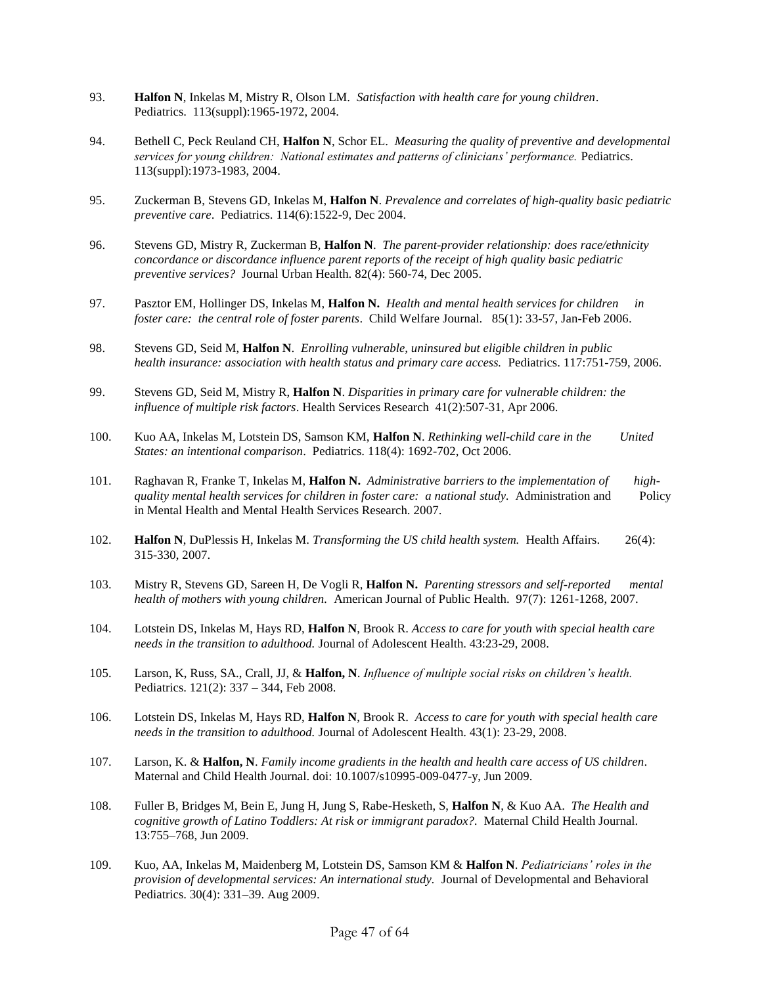- 93. **Halfon N**, Inkelas M, Mistry R, Olson LM. *Satisfaction with health care for young children*. Pediatrics. 113(suppl):1965-1972, 2004.
- 94. Bethell C, Peck Reuland CH, **Halfon N**, Schor EL. *Measuring the quality of preventive and developmental services for young children: National estimates and patterns of clinicians' performance.* Pediatrics. 113(suppl):1973-1983, 2004.
- 95. Zuckerman B, Stevens GD, Inkelas M, **Halfon N**. *Prevalence and correlates of high-quality basic pediatric preventive care*. Pediatrics. 114(6):1522-9, Dec 2004.
- 96. Stevens GD, Mistry R, Zuckerman B, **Halfon N**. *The parent-provider relationship: does race/ethnicity concordance or discordance influence parent reports of the receipt of high quality basic pediatric preventive services?* Journal Urban Health. 82(4): 560-74, Dec 2005.
- 97. Pasztor EM, Hollinger DS, Inkelas M, **Halfon N.** *Health and mental health services for children in foster care: the central role of foster parents*. Child Welfare Journal. 85(1): 33-57, Jan-Feb 2006.
- 98. Stevens GD, Seid M, **Halfon N**. *Enrolling vulnerable, uninsured but eligible children in public health insurance: association with health status and primary care access.* Pediatrics. 117:751-759, 2006.
- 99. Stevens GD, Seid M, Mistry R, **Halfon N**. *Disparities in primary care for vulnerable children: the influence of multiple risk factors*. Health Services Research 41(2):507-31, Apr 2006.
- 100. Kuo AA, Inkelas M, Lotstein DS, Samson KM, **Halfon N**. *Rethinking well-child care in the United States: an intentional comparison*. Pediatrics. 118(4): 1692-702, Oct 2006.
- 101. Raghavan R, Franke T, Inkelas M, **Halfon N.** *Administrative barriers to the implementation of highquality mental health services for children in foster care: a national study.* Administration and Policy in Mental Health and Mental Health Services Research. 2007.
- 102. **Halfon N**, DuPlessis H, Inkelas M. *Transforming the US child health system.* Health Affairs. 26(4): 315-330, 2007.
- 103. Mistry R, Stevens GD, Sareen H, De Vogli R, **Halfon N.** *Parenting stressors and self-reported mental health of mothers with young children.* American Journal of Public Health. 97(7): 1261-1268, 2007.
- 104. Lotstein DS, Inkelas M, Hays RD, **Halfon N**, Brook R. *Access to care for youth with special health care needs in the transition to adulthood.* Journal of Adolescent Health. 43:23-29, 2008.
- 105. Larson, K, Russ, SA., Crall, JJ, & **Halfon, N**. *Influence of multiple social risks on children's health.*  Pediatrics. 121(2): 337 – 344, Feb 2008.
- 106. Lotstein DS, Inkelas M, Hays RD, **Halfon N**, Brook R. *Access to care for youth with special health care needs in the transition to adulthood.* Journal of Adolescent Health. 43(1): 23-29, 2008.
- 107. Larson, K. & **Halfon, N**. *Family income gradients in the health and health care access of US children*. Maternal and Child Health Journal. doi: 10.1007/s10995-009-0477-y, Jun 2009.
- 108. Fuller B, Bridges M, Bein E, Jung H, Jung S, Rabe-Hesketh, S, **Halfon N**, & Kuo AA. *The Health and cognitive growth of Latino Toddlers: At risk or immigrant paradox?.* Maternal Child Health Journal. 13:755–768, Jun 2009.
- 109. Kuo, AA, Inkelas M, Maidenberg M, Lotstein DS, Samson KM & **Halfon N**. *Pediatricians' roles in the provision of developmental services: An international study.* Journal of Developmental and Behavioral Pediatrics. 30(4): 331–39. Aug 2009.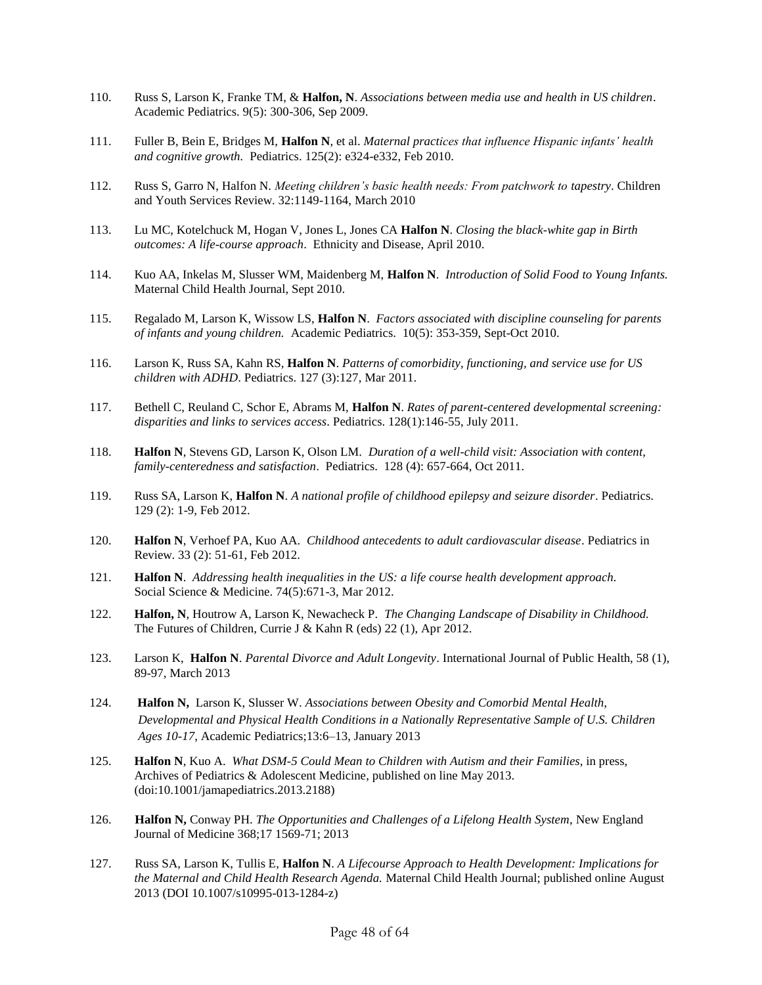- 110. Russ S, Larson K, Franke TM, & **Halfon, N**. *Associations between media use and health in US children*. Academic Pediatrics. 9(5): 300-306, Sep 2009.
- 111. Fuller B, Bein E, Bridges M, **Halfon N**, et al. *Maternal practices that influence Hispanic infants' health and cognitive growth.* Pediatrics. 125(2): e324-e332, Feb 2010.
- 112. Russ S, Garro N, Halfon N. *Meeting children's basic health needs: From patchwork to tapestry*. Children and Youth Services Review. 32:1149-1164, March 2010
- 113. Lu MC, Kotelchuck M, Hogan V, Jones L, Jones CA **Halfon N**. *Closing the black-white gap in Birth outcomes: A life-course approach*. Ethnicity and Disease, April 2010.
- 114. Kuo AA, Inkelas M, Slusser WM, Maidenberg M, **Halfon N**. *Introduction of Solid Food to Young Infants.* Maternal Child Health Journal, Sept 2010.
- 115. Regalado M, Larson K, Wissow LS, **Halfon N**. *Factors associated with discipline counseling for parents of infants and young children.* Academic Pediatrics. 10(5): 353-359, Sept-Oct 2010.
- 116. Larson K, Russ SA, Kahn RS, **Halfon N**. *Patterns of comorbidity, functioning, and service use for US children with ADHD*. Pediatrics. 127 (3):127, Mar 2011.
- 117. Bethell C, Reuland C, Schor E, Abrams M, **Halfon N**. *Rates of parent-centered developmental screening: disparities and links to services access*. Pediatrics. 128(1):146-55, July 2011.
- 118. **Halfon N**, Stevens GD, Larson K, Olson LM. *Duration of a well-child visit: Association with content, family-centeredness and satisfaction*. Pediatrics. 128 (4): 657-664, Oct 2011.
- 119. Russ SA, Larson K, **Halfon N**. *A national profile of childhood epilepsy and seizure disorder*. Pediatrics. 129 (2): 1-9, Feb 2012.
- 120. **Halfon N**, Verhoef PA, Kuo AA. *Childhood antecedents to adult cardiovascular disease*. Pediatrics in Review. 33 (2): 51-61, Feb 2012.
- 121. **Halfon N**. *Addressing health inequalities in the US: a life course health development approach.* Social Science & Medicine. 74(5):671-3, Mar 2012.
- 122. **Halfon, N**, Houtrow A, Larson K, Newacheck P. *The Changing Landscape of Disability in Childhood.*  The Futures of Children, Currie J & Kahn R (eds) 22 (1), Apr 2012.
- 123. Larson K, **Halfon N**. *Parental Divorce and Adult Longevity*. International Journal of Public Health, 58 (1), 89-97, March 2013
- 124. **Halfon N,** Larson K, Slusser W. *Associations between Obesity and Comorbid Mental Health, Developmental and Physical Health Conditions in a Nationally Representative Sample of U.S. Children Ages 10-17*, Academic Pediatrics;13:6–13, January 2013
- 125. **Halfon N**, Kuo A. *What DSM-5 Could Mean to Children with Autism and their Families*, in press, Archives of Pediatrics & Adolescent Medicine, published on line May 2013. (doi:10.1001/jamapediatrics.2013.2188)
- 126. **Halfon N,** Conway PH. *The Opportunities and Challenges of a Lifelong Health System*, New England Journal of Medicine 368;17 1569-71; 2013
- 127. Russ SA, Larson K, Tullis E, **Halfon N**. *A Lifecourse Approach to Health Development: Implications for the Maternal and Child Health Research Agenda.* Maternal Child Health Journal; published online August 2013 (DOI 10.1007/s10995-013-1284-z)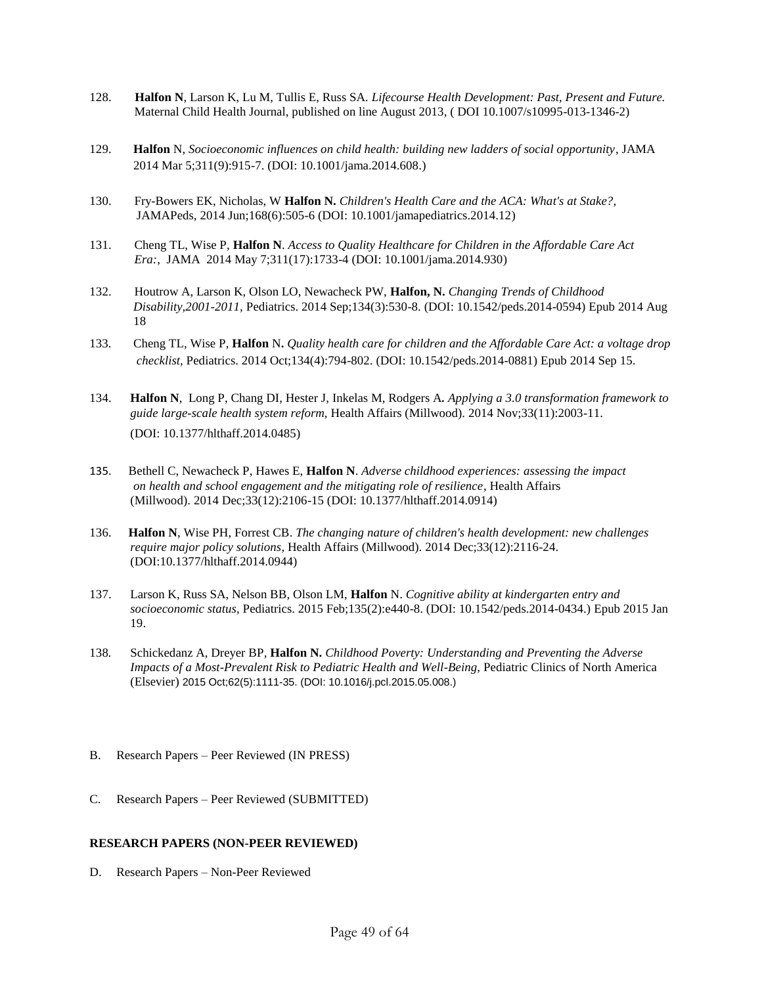- 128. **Halfon N**, Larson K, Lu M, Tullis E, Russ SA. *Lifecourse Health Development: Past, Present and Future.* Maternal Child Health Journal, published on line August 2013, ( DOI 10.1007/s10995-013-1346-2)
- 129.**Halfon** N, *Socioeconomic influences on child health: building new ladders of social opportunity*, JAMA 2014 Mar 5;311(9):915-7. (DOI: 10.1001/jama.2014.608.)
- 130. Fry-Bowers EK, Nicholas, W **Halfon N.** *Children's Health Care and the ACA: What's at Stake?,* JAMAPeds, 2014 Jun;168(6):505-6 (DOI: 10.1001/jamapediatrics.2014.12)
- 131. Cheng TL, Wise P, **Halfon N**. *Access to Quality Healthcare for Children in the Affordable Care Act Era:*, JAMA 2014 May 7;311(17):1733-4 (DOI: 10.1001/jama.2014.930)
- 132. Houtrow A, Larson K, Olson LO, Newacheck PW, **Halfon, N.** *Changing Trends of Childhood Disability,2001-2011,* [Pediatrics.](http://www.ncbi.nlm.nih.gov/pubmed/25136051) 2014 Sep;134(3):530-8. (DOI: 10.1542/peds.2014-0594) Epub 2014 Aug 18
- 133. Cheng TL, Wise P, **Halfon** N**.** *Quality health care for children and the Affordable Care Act: a voltage drop checklist,* [Pediatrics.](http://www.ncbi.nlm.nih.gov/pubmed/25225140) 2014 Oct;134(4):794-802. (DOI: 10.1542/peds.2014-0881) Epub 2014 Sep 15.
- 134. **[Halfon N](http://www.ncbi.nlm.nih.gov/pubmed/?term=Halfon%20N%5BAuthor%5D&cauthor=true&cauthor_uid=25367996)**, [Long P,](http://www.ncbi.nlm.nih.gov/pubmed/?term=Long%20P%5BAuthor%5D&cauthor=true&cauthor_uid=25367996) [Chang DI,](http://www.ncbi.nlm.nih.gov/pubmed/?term=Chang%20DI%5BAuthor%5D&cauthor=true&cauthor_uid=25367996) [Hester J,](http://www.ncbi.nlm.nih.gov/pubmed/?term=Hester%20J%5BAuthor%5D&cauthor=true&cauthor_uid=25367996) [Inkelas M,](http://www.ncbi.nlm.nih.gov/pubmed/?term=Inkelas%20M%5BAuthor%5D&cauthor=true&cauthor_uid=25367996) [Rodgers A](http://www.ncbi.nlm.nih.gov/pubmed/?term=Rodgers%20A%5BAuthor%5D&cauthor=true&cauthor_uid=25367996)*. Applying a 3.0 transformation framework to guide large-scale health system reform,* [Health Affairs](http://www.ncbi.nlm.nih.gov/pubmed/25367996) (Millwood). 2014 Nov;33(11):2003-11. (DOI: 10.1377/hlthaff.2014.0485)
- 135.Bethell C, Newacheck P, Hawes E, **Halfon N**. *Adverse childhood experiences: assessing the impact on health and school engagement and the mitigating role of resilience*[, Health Affairs](http://www.ncbi.nlm.nih.gov/pubmed/25489028)   [\(Millwood\).](http://www.ncbi.nlm.nih.gov/pubmed/25489028) 2014 Dec;33(12):2106-15 (DOI: 10.1377/hlthaff.2014.0914)
- 136. **[Halfon N](http://www.ncbi.nlm.nih.gov/pubmed/?term=Halfon%20N%5BAuthor%5D&cauthor=true&cauthor_uid=25489029)**, [Wise PH,](http://www.ncbi.nlm.nih.gov/pubmed/?term=Wise%20PH%5BAuthor%5D&cauthor=true&cauthor_uid=25489029) [Forrest CB.](http://www.ncbi.nlm.nih.gov/pubmed/?term=Forrest%20CB%5BAuthor%5D&cauthor=true&cauthor_uid=25489029) *The changing nature of children's health development: new challenges require major policy solutions,* [Health Affairs](http://www.ncbi.nlm.nih.gov/pubmed/25489029) (Millwood). 2014 Dec;33(12):2116-24. (DOI:10.1377/hlthaff.2014.0944)
- 137. Larson K, Russ SA, Nelson BB, Olson LM, **Halfon** N. *Cognitive ability at kindergarten entry and socioeconomic status,* [Pediatrics.](http://www.ncbi.nlm.nih.gov/pubmed/25601983) 2015 Feb;135(2):e440-8. (DOI: 10.1542/peds.2014-0434.) Epub 2015 Jan 19.
- 138*.* Schickedanz A, Dreyer BP*,* **Halfon N.** *Childhood Poverty: Understanding and Preventing the Adverse Impacts of a Most-Prevalent Risk to Pediatric Health and Well-Being*, Pediatric Clinics of North America (Elsevier) 2015 Oct;62(5):1111-35. (DOI: 10.1016/j.pcl.2015.05.008.)
- B. Research Papers Peer Reviewed (IN PRESS)
- C. Research Papers Peer Reviewed (SUBMITTED)

### **RESEARCH PAPERS (NON-PEER REVIEWED)**

D. Research Papers – Non-Peer Reviewed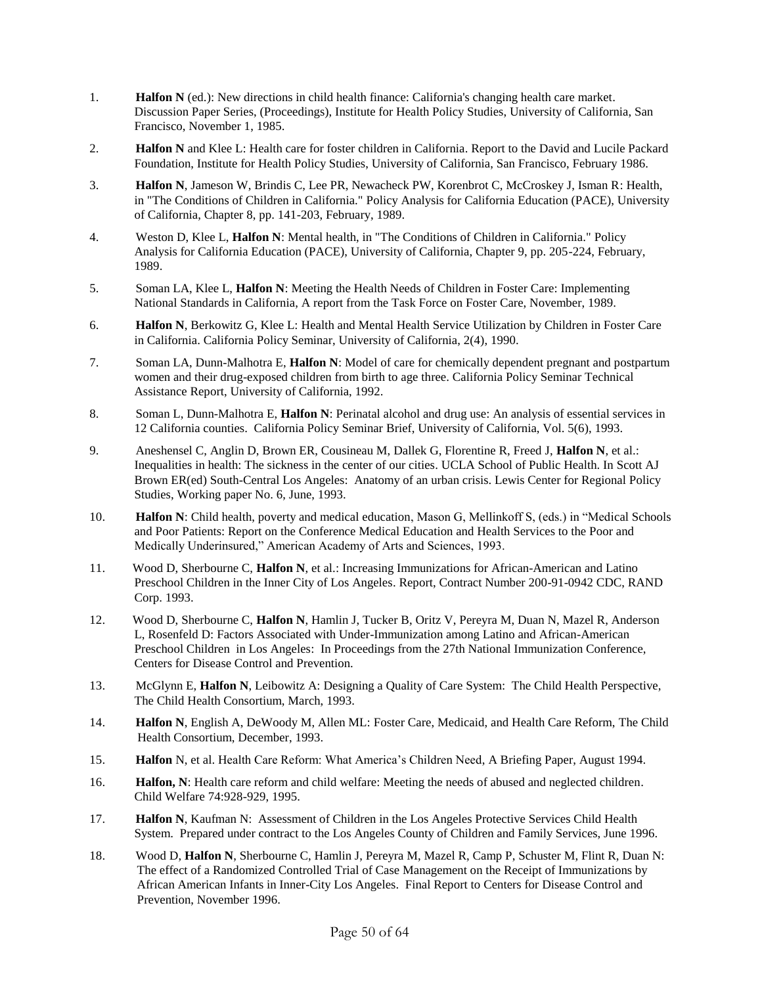- 1. **Halfon N** (ed.): New directions in child health finance: California's changing health care market. Discussion Paper Series, (Proceedings), Institute for Health Policy Studies, University of California, San Francisco, November 1, 1985.
- 2. **Halfon N** and Klee L: Health care for foster children in California. Report to the David and Lucile Packard Foundation, Institute for Health Policy Studies, University of California, San Francisco, February 1986.
- 3. **Halfon N**, Jameson W, Brindis C, Lee PR, Newacheck PW, Korenbrot C, McCroskey J, Isman R: Health, in "The Conditions of Children in California." Policy Analysis for California Education (PACE), University of California, Chapter 8, pp. 141-203, February, 1989.
- 4. Weston D, Klee L, **Halfon N**: Mental health, in "The Conditions of Children in California." Policy Analysis for California Education (PACE), University of California, Chapter 9, pp. 205-224, February, 1989.
- 5. Soman LA, Klee L, **Halfon N**: Meeting the Health Needs of Children in Foster Care: Implementing National Standards in California, A report from the Task Force on Foster Care, November, 1989.
- 6. **Halfon N**, Berkowitz G, Klee L: Health and Mental Health Service Utilization by Children in Foster Care in California. California Policy Seminar, University of California, 2(4), 1990.
- 7. Soman LA, Dunn-Malhotra E, **Halfon N**: Model of care for chemically dependent pregnant and postpartum women and their drug-exposed children from birth to age three. California Policy Seminar Technical Assistance Report, University of California, 1992.
- 8. Soman L, Dunn-Malhotra E, **Halfon N**: Perinatal alcohol and drug use: An analysis of essential services in 12 California counties. California Policy Seminar Brief, University of California, Vol. 5(6), 1993.
- 9. Aneshensel C, Anglin D, Brown ER, Cousineau M, Dallek G, Florentine R, Freed J, **Halfon N**, et al.: Inequalities in health: The sickness in the center of our cities. UCLA School of Public Health. In Scott AJ Brown ER(ed) South-Central Los Angeles: Anatomy of an urban crisis. Lewis Center for Regional Policy Studies, Working paper No. 6, June, 1993.
- 10. **Halfon N**: Child health, poverty and medical education, Mason G, Mellinkoff S, (eds.) in "Medical Schools and Poor Patients: Report on the Conference Medical Education and Health Services to the Poor and Medically Underinsured," American Academy of Arts and Sciences, 1993.
- 11. Wood D, Sherbourne C, **Halfon N**, et al.: Increasing Immunizations for African-American and Latino Preschool Children in the Inner City of Los Angeles. Report, Contract Number 200-91-0942 CDC, RAND Corp. 1993.
- 12. Wood D, Sherbourne C, **Halfon N**, Hamlin J, Tucker B, Oritz V, Pereyra M, Duan N, Mazel R, Anderson L, Rosenfeld D: Factors Associated with Under-Immunization among Latino and African-American Preschool Children in Los Angeles: In Proceedings from the 27th National Immunization Conference, Centers for Disease Control and Prevention.
- 13. McGlynn E, **Halfon N**, Leibowitz A: Designing a Quality of Care System: The Child Health Perspective, The Child Health Consortium, March, 1993.
- 14. **Halfon N**, English A, DeWoody M, Allen ML: Foster Care, Medicaid, and Health Care Reform, The Child Health Consortium, December, 1993.
- 15. **Halfon** N, et al. Health Care Reform: What America's Children Need, A Briefing Paper, August 1994.
- 16. **Halfon, N**: Health care reform and child welfare: Meeting the needs of abused and neglected children. Child Welfare 74:928-929, 1995.
- 17. **Halfon N**, Kaufman N: Assessment of Children in the Los Angeles Protective Services Child Health System. Prepared under contract to the Los Angeles County of Children and Family Services, June 1996.
- 18. Wood D, **Halfon N**, Sherbourne C, Hamlin J, Pereyra M, Mazel R, Camp P, Schuster M, Flint R, Duan N: The effect of a Randomized Controlled Trial of Case Management on the Receipt of Immunizations by African American Infants in Inner-City Los Angeles. Final Report to Centers for Disease Control and Prevention, November 1996.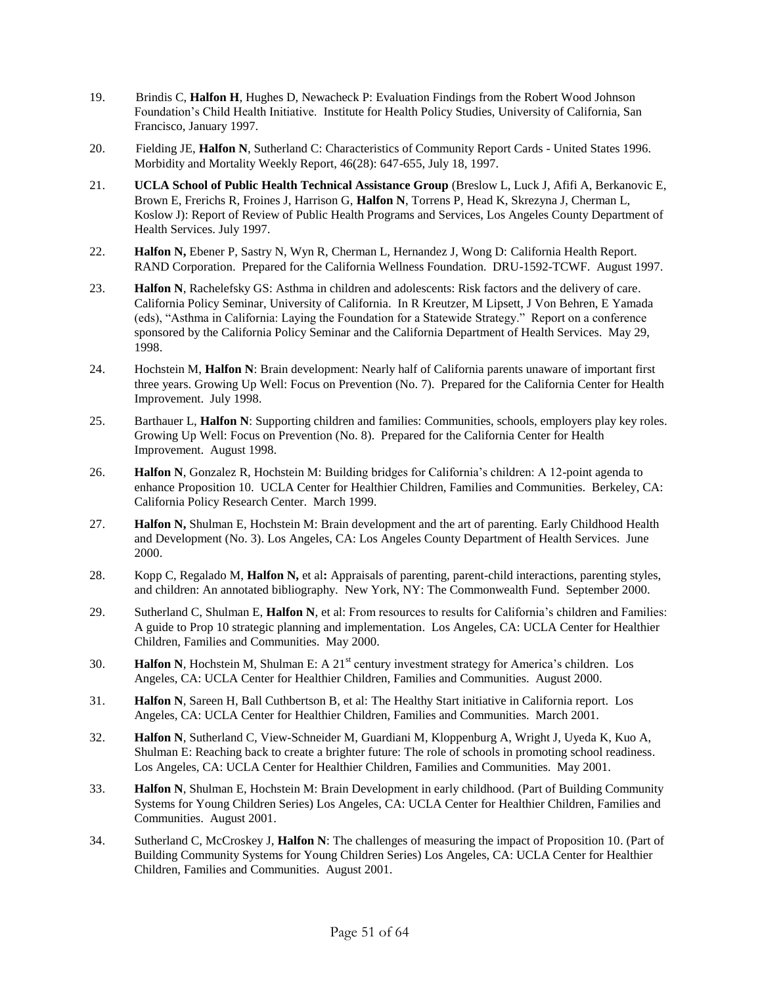- 19. Brindis C, **Halfon H**, Hughes D, Newacheck P: Evaluation Findings from the Robert Wood Johnson Foundation's Child Health Initiative. Institute for Health Policy Studies, University of California, San Francisco, January 1997.
- 20. Fielding JE, **Halfon N**, Sutherland C: Characteristics of Community Report Cards United States 1996. Morbidity and Mortality Weekly Report, 46(28): 647-655, July 18, 1997.
- 21. **UCLA School of Public Health Technical Assistance Group** (Breslow L, Luck J, Afifi A, Berkanovic E, Brown E, Frerichs R, Froines J, Harrison G, **Halfon N**, Torrens P, Head K, Skrezyna J, Cherman L, Koslow J): Report of Review of Public Health Programs and Services, Los Angeles County Department of Health Services. July 1997.
- 22. **Halfon N,** Ebener P, Sastry N, Wyn R, Cherman L, Hernandez J, Wong D: California Health Report. RAND Corporation. Prepared for the California Wellness Foundation. DRU-1592-TCWF. August 1997.
- 23. **Halfon N**, Rachelefsky GS: Asthma in children and adolescents: Risk factors and the delivery of care. California Policy Seminar, University of California. In R Kreutzer, M Lipsett, J Von Behren, E Yamada (eds), "Asthma in California: Laying the Foundation for a Statewide Strategy." Report on a conference sponsored by the California Policy Seminar and the California Department of Health Services. May 29, 1998.
- 24. Hochstein M, **Halfon N**: Brain development: Nearly half of California parents unaware of important first three years. Growing Up Well: Focus on Prevention (No. 7). Prepared for the California Center for Health Improvement. July 1998.
- 25. Barthauer L, **Halfon N**: Supporting children and families: Communities, schools, employers play key roles. Growing Up Well: Focus on Prevention (No. 8). Prepared for the California Center for Health Improvement. August 1998.
- 26. **Halfon N**, Gonzalez R, Hochstein M: Building bridges for California's children: A 12-point agenda to enhance Proposition 10. UCLA Center for Healthier Children, Families and Communities. Berkeley, CA: California Policy Research Center. March 1999.
- 27. **Halfon N,** Shulman E, Hochstein M: Brain development and the art of parenting. Early Childhood Health and Development (No. 3). Los Angeles, CA: Los Angeles County Department of Health Services. June 2000.
- 28. Kopp C, Regalado M, **Halfon N,** et al**:** Appraisals of parenting, parent-child interactions, parenting styles, and children: An annotated bibliography. New York, NY: The Commonwealth Fund. September 2000.
- 29. Sutherland C, Shulman E, **Halfon N**, et al: From resources to results for California's children and Families: A guide to Prop 10 strategic planning and implementation. Los Angeles, CA: UCLA Center for Healthier Children, Families and Communities. May 2000.
- 30. **Halfon N**, Hochstein M, Shulman E: A 21<sup>st</sup> century investment strategy for America's children. Los Angeles, CA: UCLA Center for Healthier Children, Families and Communities. August 2000.
- 31. **Halfon N**, Sareen H, Ball Cuthbertson B, et al: The Healthy Start initiative in California report. Los Angeles, CA: UCLA Center for Healthier Children, Families and Communities. March 2001.
- 32. **Halfon N**, Sutherland C, View-Schneider M, Guardiani M, Kloppenburg A, Wright J, Uyeda K, Kuo A, Shulman E: Reaching back to create a brighter future: The role of schools in promoting school readiness. Los Angeles, CA: UCLA Center for Healthier Children, Families and Communities. May 2001.
- 33. **Halfon N**, Shulman E, Hochstein M: Brain Development in early childhood. (Part of Building Community Systems for Young Children Series) Los Angeles, CA: UCLA Center for Healthier Children, Families and Communities. August 2001.
- 34. Sutherland C, McCroskey J, **Halfon N**: The challenges of measuring the impact of Proposition 10. (Part of Building Community Systems for Young Children Series) Los Angeles, CA: UCLA Center for Healthier Children, Families and Communities. August 2001.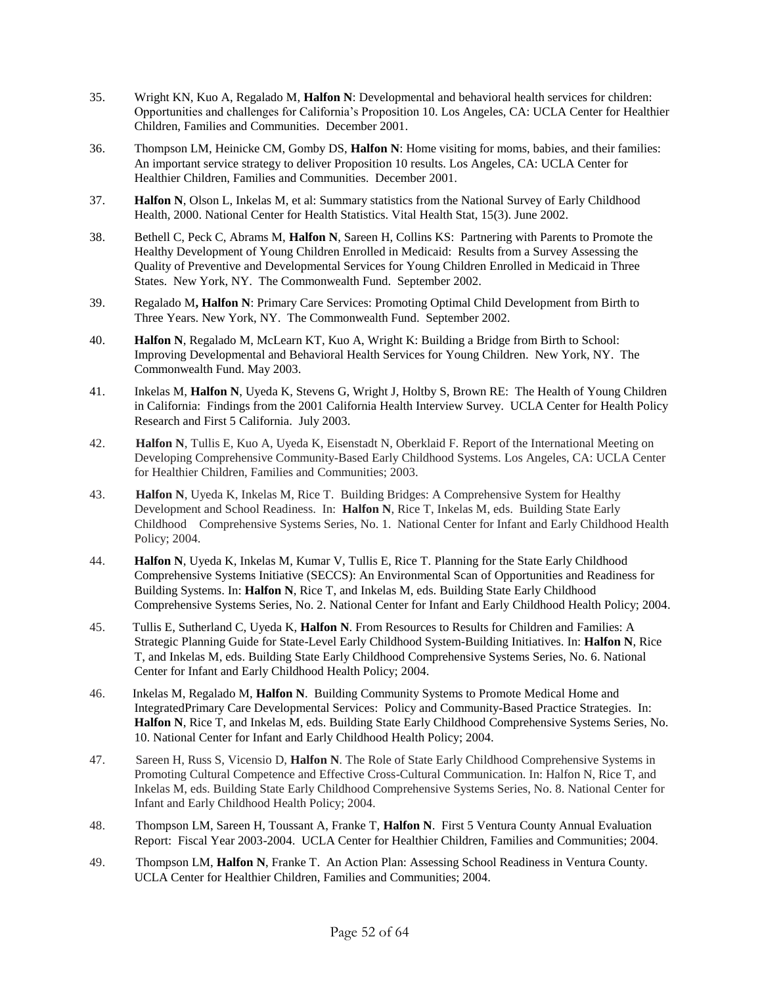- 35. Wright KN, Kuo A, Regalado M, **Halfon N**: Developmental and behavioral health services for children: Opportunities and challenges for California's Proposition 10. Los Angeles, CA: UCLA Center for Healthier Children, Families and Communities. December 2001.
- 36. Thompson LM, Heinicke CM, Gomby DS, **Halfon N**: Home visiting for moms, babies, and their families: An important service strategy to deliver Proposition 10 results. Los Angeles, CA: UCLA Center for Healthier Children, Families and Communities. December 2001.
- 37. **Halfon N**, Olson L, Inkelas M, et al: Summary statistics from the National Survey of Early Childhood Health, 2000. National Center for Health Statistics. Vital Health Stat, 15(3). June 2002.
- 38. Bethell C, Peck C, Abrams M, **Halfon N**, Sareen H, Collins KS: Partnering with Parents to Promote the Healthy Development of Young Children Enrolled in Medicaid: Results from a Survey Assessing the Quality of Preventive and Developmental Services for Young Children Enrolled in Medicaid in Three States. New York, NY. The Commonwealth Fund. September 2002.
- 39. Regalado M**, Halfon N**: Primary Care Services: Promoting Optimal Child Development from Birth to Three Years. New York, NY. The Commonwealth Fund. September 2002.
- 40. **Halfon N**, Regalado M, McLearn KT, Kuo A, Wright K: Building a Bridge from Birth to School: Improving Developmental and Behavioral Health Services for Young Children. New York, NY. The Commonwealth Fund. May 2003.
- 41. Inkelas M, **Halfon N**, Uyeda K, Stevens G, Wright J, Holtby S, Brown RE: The Health of Young Children in California: Findings from the 2001 California Health Interview Survey. UCLA Center for Health Policy Research and First 5 California. July 2003.
- 42. **Halfon N**, Tullis E, Kuo A, Uyeda K, Eisenstadt N, Oberklaid F. Report of the International Meeting on Developing Comprehensive Community-Based Early Childhood Systems. Los Angeles, CA: UCLA Center for Healthier Children, Families and Communities; 2003.
- 43. **Halfon N**, Uyeda K, Inkelas M, Rice T. Building Bridges: A Comprehensive System for Healthy Development and School Readiness. In: **Halfon N**, Rice T, Inkelas M, eds. Building State Early Childhood Comprehensive Systems Series, No. 1. National Center for Infant and Early Childhood Health Policy; 2004.
- 44. **Halfon N**, Uyeda K, Inkelas M, Kumar V, Tullis E, Rice T. Planning for the State Early Childhood Comprehensive Systems Initiative (SECCS): An Environmental Scan of Opportunities and Readiness for Building Systems. In: **Halfon N**, Rice T, and Inkelas M, eds. Building State Early Childhood Comprehensive Systems Series, No. 2. National Center for Infant and Early Childhood Health Policy; 2004.
- 45. Tullis E, Sutherland C, Uyeda K, **Halfon N**. From Resources to Results for Children and Families: A Strategic Planning Guide for State-Level Early Childhood System-Building Initiatives. In: **Halfon N**, Rice T, and Inkelas M, eds. Building State Early Childhood Comprehensive Systems Series, No. 6. National Center for Infant and Early Childhood Health Policy; 2004.
- 46. Inkelas M, Regalado M, **Halfon N**. Building Community Systems to Promote Medical Home and IntegratedPrimary Care Developmental Services: Policy and Community-Based Practice Strategies. In: **Halfon N**, Rice T, and Inkelas M, eds. Building State Early Childhood Comprehensive Systems Series, No. 10. National Center for Infant and Early Childhood Health Policy; 2004.
- 47. Sareen H, Russ S, Vicensio D, **Halfon N**. The Role of State Early Childhood Comprehensive Systems in Promoting Cultural Competence and Effective Cross-Cultural Communication. In: Halfon N, Rice T, and Inkelas M, eds. Building State Early Childhood Comprehensive Systems Series, No. 8. National Center for Infant and Early Childhood Health Policy; 2004.
- 48. Thompson LM, Sareen H, Toussant A, Franke T, **Halfon N**. First 5 Ventura County Annual Evaluation Report: Fiscal Year 2003-2004. UCLA Center for Healthier Children, Families and Communities; 2004.
- 49. Thompson LM, **Halfon N**, Franke T. An Action Plan: Assessing School Readiness in Ventura County. UCLA Center for Healthier Children, Families and Communities; 2004.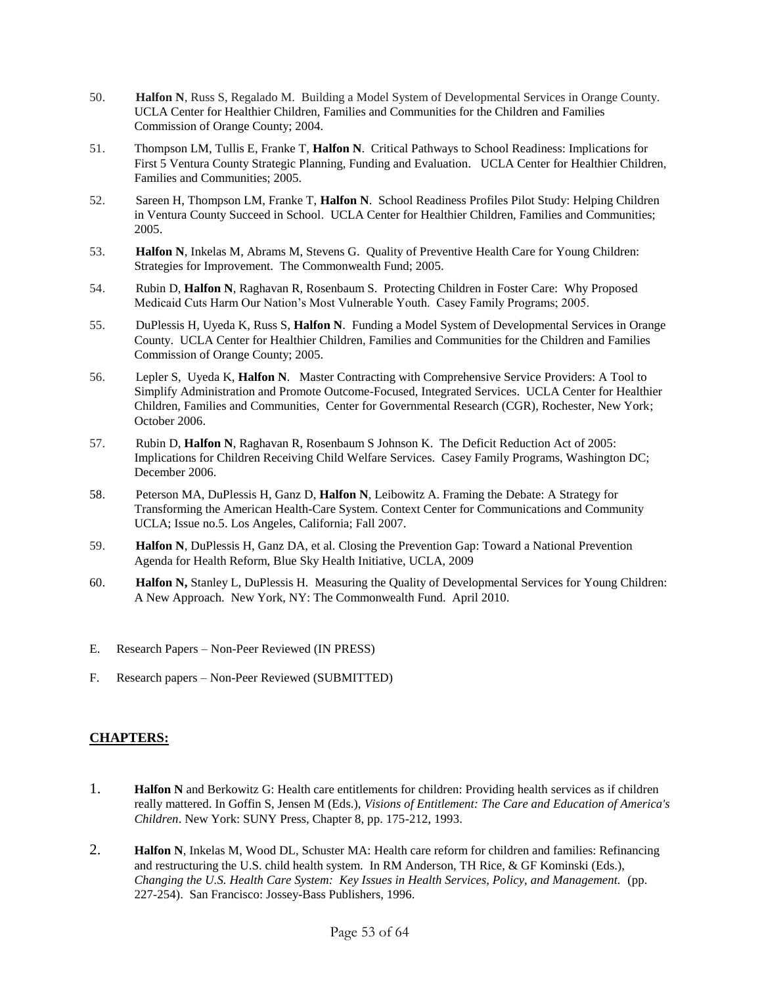- 50. **Halfon N**, Russ S, Regalado M. Building a Model System of Developmental Services in Orange County. UCLA Center for Healthier Children, Families and Communities for the Children and Families Commission of Orange County; 2004.
- 51. Thompson LM, Tullis E, Franke T, **Halfon N**. Critical Pathways to School Readiness: Implications for First 5 Ventura County Strategic Planning, Funding and Evaluation. UCLA Center for Healthier Children, Families and Communities; 2005.
- 52. Sareen H, Thompson LM, Franke T, **Halfon N**. School Readiness Profiles Pilot Study: Helping Children in Ventura County Succeed in School. UCLA Center for Healthier Children, Families and Communities; 2005.
- 53. **Halfon N**, Inkelas M, Abrams M, Stevens G. Quality of Preventive Health Care for Young Children: Strategies for Improvement. The Commonwealth Fund; 2005.
- 54. Rubin D, **Halfon N**, Raghavan R, Rosenbaum S. Protecting Children in Foster Care: Why Proposed Medicaid Cuts Harm Our Nation's Most Vulnerable Youth. Casey Family Programs; 2005.
- 55. DuPlessis H, Uyeda K, Russ S, **Halfon N**. Funding a Model System of Developmental Services in Orange County. UCLA Center for Healthier Children, Families and Communities for the Children and Families Commission of Orange County; 2005.
- 56. Lepler S, Uyeda K, **Halfon N**. Master Contracting with Comprehensive Service Providers: A Tool to Simplify Administration and Promote Outcome-Focused, Integrated Services. UCLA Center for Healthier Children, Families and Communities, Center for Governmental Research (CGR), Rochester, New York; October 2006.
- 57. Rubin D, **Halfon N**, Raghavan R, Rosenbaum S Johnson K. The Deficit Reduction Act of 2005: Implications for Children Receiving Child Welfare Services. Casey Family Programs, Washington DC; December 2006.
- 58. Peterson MA, DuPlessis H, Ganz D, **Halfon N**, Leibowitz A. Framing the Debate: A Strategy for Transforming the American Health-Care System. Context Center for Communications and Community UCLA; Issue no.5. Los Angeles, California; Fall 2007.
- 59. **Halfon N**, DuPlessis H, Ganz DA, et al. Closing the Prevention Gap: Toward a National Prevention Agenda for Health Reform, Blue Sky Health Initiative, UCLA, 2009
- 60. **Halfon N,** Stanley L, DuPlessis H. Measuring the Quality of Developmental Services for Young Children: A New Approach. New York, NY: The Commonwealth Fund. April 2010.
- E. Research Papers Non-Peer Reviewed (IN PRESS)
- F. Research papers Non-Peer Reviewed (SUBMITTED)

## **CHAPTERS:**

- 1. **Halfon N** and Berkowitz G: Health care entitlements for children: Providing health services as if children really mattered. In Goffin S, Jensen M (Eds.), *Visions of Entitlement: The Care and Education of America's Children*. New York: SUNY Press, Chapter 8, pp. 175-212, 1993.
- 2. **Halfon N**, Inkelas M, Wood DL, Schuster MA: Health care reform for children and families: Refinancing and restructuring the U.S. child health system. In RM Anderson, TH Rice, & GF Kominski (Eds.), *Changing the U.S. Health Care System: Key Issues in Health Services, Policy, and Management.* (pp. 227-254). San Francisco: Jossey-Bass Publishers, 1996.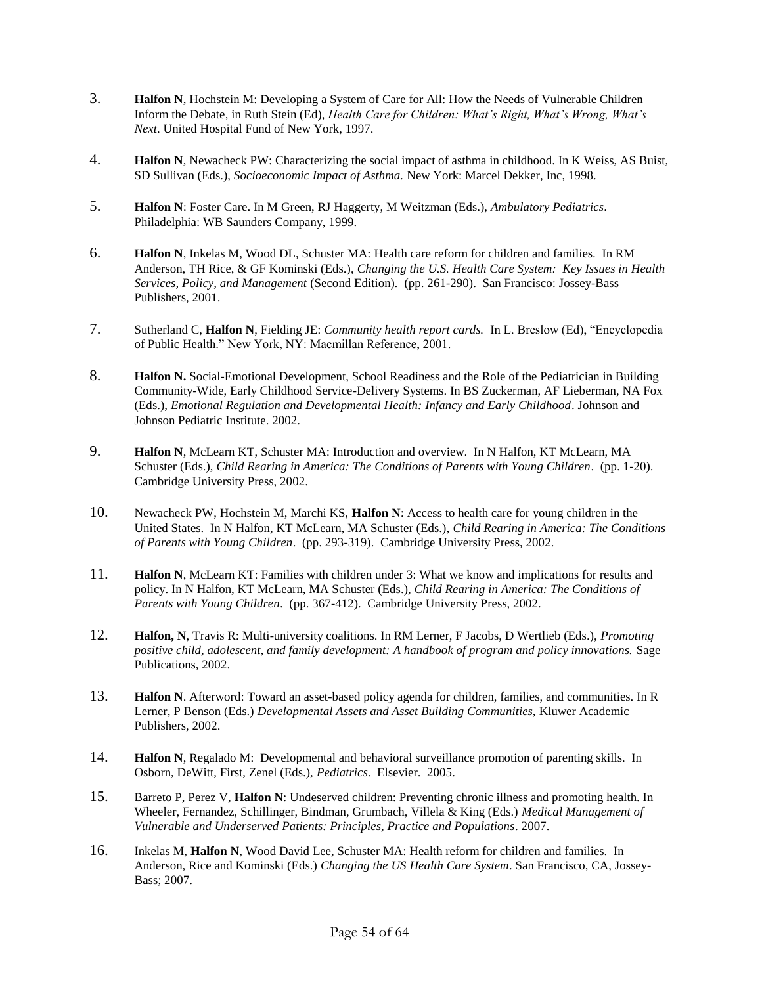- 3. **Halfon N**, Hochstein M: Developing a System of Care for All: How the Needs of Vulnerable Children Inform the Debate*,* in Ruth Stein (Ed), *Health Care for Children: What's Right, What's Wrong, What's Next*. United Hospital Fund of New York, 1997.
- 4. **Halfon N**, Newacheck PW: Characterizing the social impact of asthma in childhood. In K Weiss, AS Buist, SD Sullivan (Eds.), *Socioeconomic Impact of Asthma.* New York: Marcel Dekker, Inc, 1998.
- 5. **Halfon N**: Foster Care. In M Green, RJ Haggerty, M Weitzman (Eds.), *Ambulatory Pediatrics*. Philadelphia: WB Saunders Company, 1999.
- 6. **Halfon N**, Inkelas M, Wood DL, Schuster MA: Health care reform for children and families. In RM Anderson, TH Rice, & GF Kominski (Eds.), *Changing the U.S. Health Care System: Key Issues in Health Services, Policy, and Management* (Second Edition)*.* (pp. 261-290). San Francisco: Jossey-Bass Publishers, 2001.
- 7. Sutherland C, **Halfon N**, Fielding JE: *Community health report cards.* In L. Breslow (Ed), "Encyclopedia of Public Health." New York, NY: Macmillan Reference, 2001.
- 8. **Halfon N.** Social-Emotional Development, School Readiness and the Role of the Pediatrician in Building Community-Wide, Early Childhood Service-Delivery Systems. In BS Zuckerman, AF Lieberman, NA Fox (Eds.), *Emotional Regulation and Developmental Health: Infancy and Early Childhood*. Johnson and Johnson Pediatric Institute. 2002.
- 9. **Halfon N**, McLearn KT, Schuster MA: Introduction and overview. In N Halfon, KT McLearn, MA Schuster (Eds.), *Child Rearing in America: The Conditions of Parents with Young Children*. (pp. 1-20). Cambridge University Press, 2002.
- 10. Newacheck PW, Hochstein M, Marchi KS, **Halfon N**: Access to health care for young children in the United States. In N Halfon, KT McLearn, MA Schuster (Eds.), *Child Rearing in America: The Conditions of Parents with Young Children*. (pp. 293-319). Cambridge University Press, 2002.
- 11. **Halfon N**, McLearn KT: Families with children under 3: What we know and implications for results and policy. In N Halfon, KT McLearn, MA Schuster (Eds.), *Child Rearing in America: The Conditions of Parents with Young Children*. (pp. 367-412). Cambridge University Press, 2002.
- 12. **Halfon, N**, Travis R: Multi-university coalitions. In RM Lerner, F Jacobs, D Wertlieb (Eds.), *Promoting positive child, adolescent, and family development: A handbook of program and policy innovations.* Sage Publications, 2002.
- 13. **Halfon N**. Afterword: Toward an asset-based policy agenda for children, families, and communities. In R Lerner, P Benson (Eds.) *Developmental Assets and Asset Building Communities,* Kluwer Academic Publishers, 2002.
- 14. **Halfon N**, Regalado M: Developmental and behavioral surveillance promotion of parenting skills. In Osborn, DeWitt, First, Zenel (Eds.), *Pediatrics*. Elsevier. 2005.
- 15. Barreto P, Perez V, **Halfon N**: Undeserved children: Preventing chronic illness and promoting health. In Wheeler, Fernandez, Schillinger, Bindman, Grumbach, Villela & King (Eds.) *Medical Management of Vulnerable and Underserved Patients: Principles, Practice and Populations*. 2007.
- 16. Inkelas M, **Halfon N**, Wood David Lee, Schuster MA: Health reform for children and families. In Anderson, Rice and Kominski (Eds.) *Changing the US Health Care System*. San Francisco, CA, Jossey-Bass; 2007.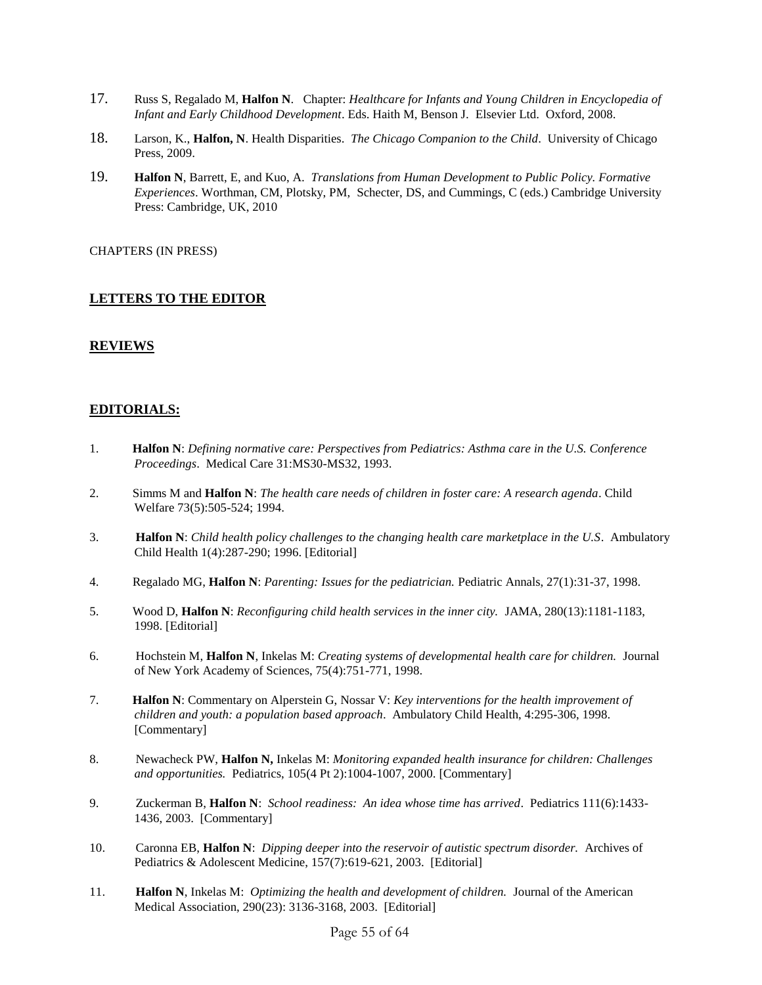- 17. Russ S, Regalado M, **Halfon N**. Chapter: *Healthcare for Infants and Young Children in Encyclopedia of Infant and Early Childhood Development*. Eds. Haith M, Benson J. Elsevier Ltd. Oxford, 2008.
- 18. Larson, K., **Halfon, N**. Health Disparities. *The Chicago Companion to the Child*. University of Chicago Press, 2009.
- 19. **Halfon N**, Barrett, E, and Kuo, A. *Translations from Human Development to Public Policy. Formative Experiences*. Worthman, CM, Plotsky, PM, Schecter, DS, and Cummings, C (eds.) Cambridge University Press: Cambridge, UK, 2010

CHAPTERS (IN PRESS)

### **LETTERS TO THE EDITOR**

### **REVIEWS**

### **EDITORIALS:**

- 1. **Halfon N**: *Defining normative care: Perspectives from Pediatrics: Asthma care in the U.S. Conference Proceedings*. Medical Care 31:MS30-MS32, 1993.
- 2. Simms M and **Halfon N**: *The health care needs of children in foster care: A research agenda*. Child Welfare 73(5):505-524; 1994.
- 3. **Halfon N**: *Child health policy challenges to the changing health care marketplace in the U.S*. Ambulatory Child Health 1(4):287-290; 1996. [Editorial]
- 4. Regalado MG, **Halfon N**: *Parenting: Issues for the pediatrician.* Pediatric Annals, 27(1):31-37, 1998.
- 5. Wood D, **Halfon N**: *Reconfiguring child health services in the inner city.* JAMA, 280(13):1181-1183, 1998. [Editorial]
- 6. Hochstein M, **Halfon N**, Inkelas M: *Creating systems of developmental health care for children.* Journal of New York Academy of Sciences, 75(4):751-771, 1998.
- 7. **Halfon N**: Commentary on Alperstein G, Nossar V: *Key interventions for the health improvement of children and youth: a population based approach*. Ambulatory Child Health, 4:295-306, 1998. [Commentary]
- 8. Newacheck PW, **Halfon N,** Inkelas M: *Monitoring expanded health insurance for children: Challenges and opportunities.* Pediatrics, 105(4 Pt 2):1004-1007, 2000. [Commentary]
- 9. Zuckerman B, **Halfon N**: *School readiness: An idea whose time has arrived*. Pediatrics 111(6):1433- 1436, 2003. [Commentary]
- 10. Caronna EB, **Halfon N**: *Dipping deeper into the reservoir of autistic spectrum disorder.* Archives of Pediatrics & Adolescent Medicine, 157(7):619-621, 2003. [Editorial]
- 11. **Halfon N**, Inkelas M: *Optimizing the health and development of children.* Journal of the American Medical Association, 290(23): 3136-3168, 2003. [Editorial]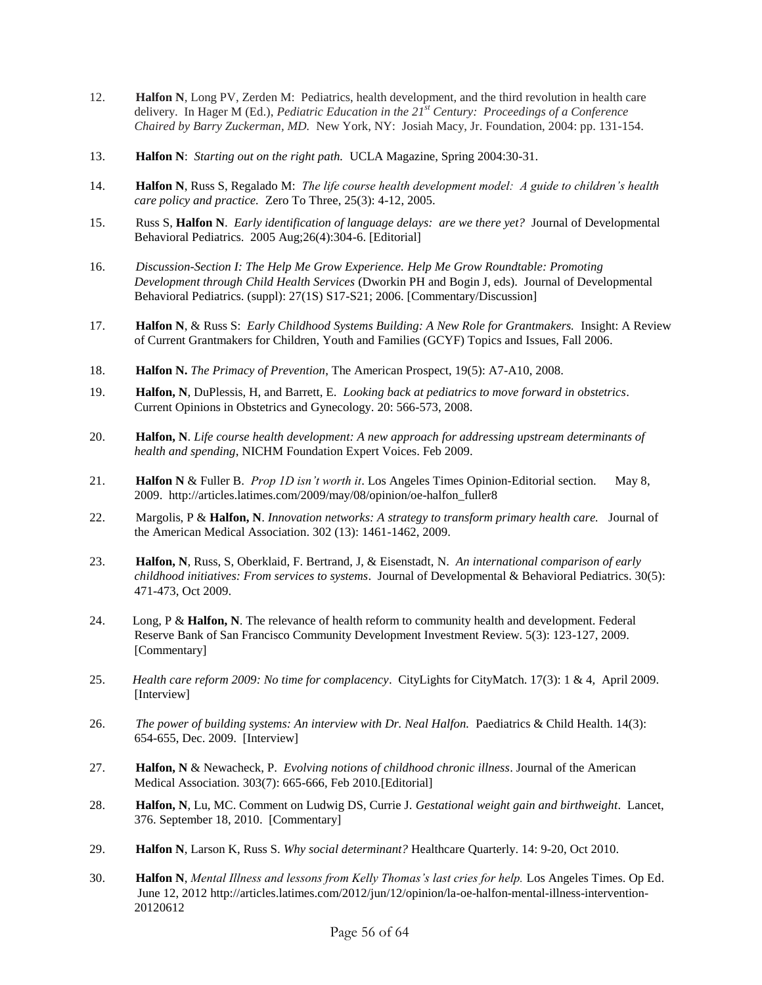- 12. **Halfon N**, Long PV, Zerden M: Pediatrics, health development, and the third revolution in health care delivery. In Hager M (Ed.), *Pediatric Education in the 21st Century: Proceedings of a Conference Chaired by Barry Zuckerman, MD.* New York, NY: Josiah Macy, Jr. Foundation, 2004: pp. 131-154.
- 13. **Halfon N**:*Starting out on the right path.* UCLA Magazine, Spring 2004:30-31.
- 14. **Halfon N**, Russ S, Regalado M: *The life course health development model: A guide to children's health care policy and practice.* Zero To Three, 25(3): 4-12, 2005.
- 15. Russ S, **Halfon N**. *Early identification of language delays: are we there yet?* Journal of Developmental Behavioral Pediatrics. 2005 Aug;26(4):304-6. [Editorial]
- 16. *Discussion-Section I: The Help Me Grow Experience. Help Me Grow Roundtable: Promoting Development through Child Health Services* (Dworkin PH and Bogin J, eds). Journal of Developmental Behavioral Pediatrics. (suppl): 27(1S) S17-S21; 2006. [Commentary/Discussion]
- 17. **Halfon N**, & Russ S: *Early Childhood Systems Building: A New Role for Grantmakers.* Insight: A Review of Current Grantmakers for Children, Youth and Families (GCYF) Topics and Issues, Fall 2006.
- 18. **Halfon N.** *The Primacy of Prevention*, The American Prospect, 19(5): A7-A10, 2008.
- 19. **Halfon, N**, DuPlessis, H, and Barrett, E. *Looking back at pediatrics to move forward in obstetrics*. Current Opinions in Obstetrics and Gynecology. 20: 566-573, 2008.
- 20. **Halfon, N**. *Life course health development: A new approach for addressing upstream determinants of health and spending*, NICHM Foundation Expert Voices. Feb 2009.
- 21. **Halfon N** & Fuller B. *Prop 1D isn't worth it*. Los Angeles Times Opinion-Editorial section. May 8, 2009. http://articles.latimes.com/2009/may/08/opinion/oe-halfon\_fuller8
- 22. Margolis, P & **Halfon, N**. *Innovation networks: A strategy to transform primary health care.* Journal of the American Medical Association. 302 (13): 1461-1462, 2009.
- 23. **Halfon, N**, Russ, S, Oberklaid, F. Bertrand, J, & Eisenstadt, N. *An international comparison of early childhood initiatives: From services to systems*. Journal of Developmental & Behavioral Pediatrics. 30(5): 471-473, Oct 2009.
- 24. Long, P & **Halfon, N**. The relevance of health reform to community health and development. Federal Reserve Bank of San Francisco Community Development Investment Review. 5(3): 123-127, 2009. [Commentary]
- 25. *Health care reform 2009: No time for complacency*. CityLights for CityMatch. 17(3): 1 & 4, April 2009. [Interview]
- 26. *The power of building systems: An interview with Dr. Neal Halfon.* Paediatrics & Child Health. 14(3): 654-655, Dec. 2009. [Interview]
- 27. **Halfon, N** & Newacheck, P. *Evolving notions of childhood chronic illness*. Journal of the American Medical Association. 303(7): 665-666, Feb 2010.[Editorial]
- 28. **Halfon, N**, Lu, MC. Comment on Ludwig DS, Currie J. *Gestational weight gain and birthweight*. Lancet, 376. September 18, 2010. [Commentary]
- 29. **Halfon N**, Larson K, Russ S. *Why social determinant?* Healthcare Quarterly. 14: 9-20, Oct 2010.
- 30. **Halfon N**, *Mental Illness and lessons from Kelly Thomas's last cries for help.* Los Angeles Times. Op Ed. June 12, 2012 [http://articles.latimes.com/2012/jun/12/opinion/la-oe-halfon-mental-illness-intervention-](http://articles.latimes.com/2012/jun/12/opinion/la-oe-halfon-mental-illness-intervention-20120612)[20120612](http://articles.latimes.com/2012/jun/12/opinion/la-oe-halfon-mental-illness-intervention-20120612)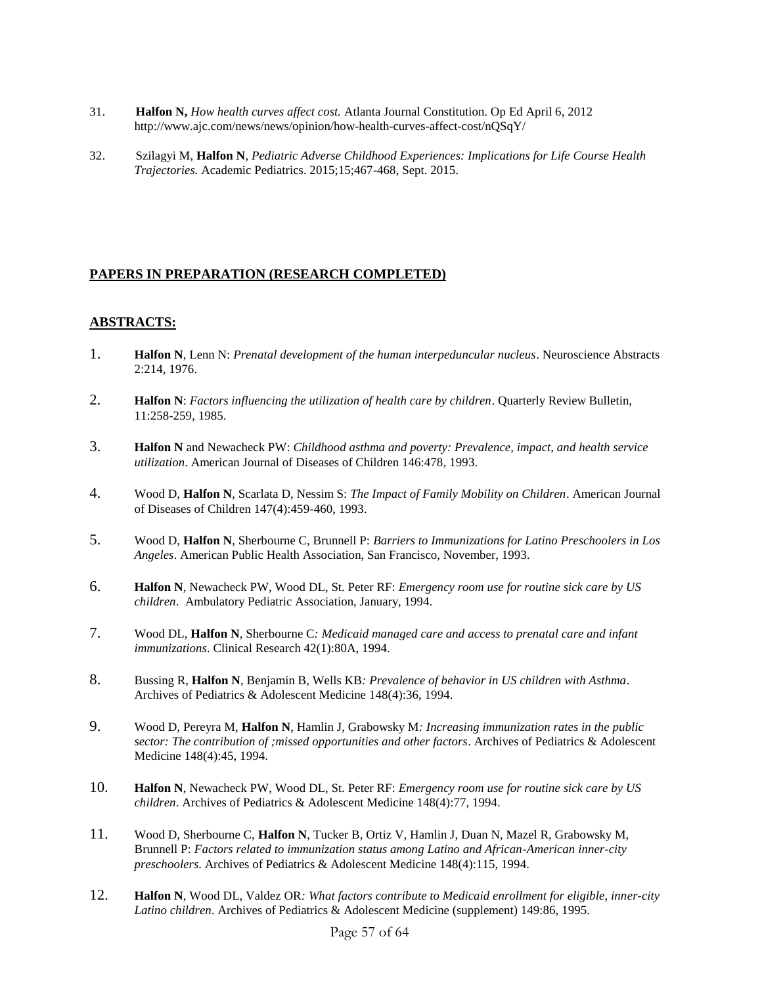- 31. **Halfon N,** *How health curves affect cost.* Atlanta Journal Constitution. Op Ed April 6, 2012 <http://www.ajc.com/news/news/opinion/how-health-curves-affect-cost/nQSqY/>
- 32. Szilagyi M, **Halfon N**, *Pediatric Adverse Childhood Experiences: Implications for Life Course Health Trajectories.* Academic Pediatrics. 2015;15;467-468, Sept. 2015.

# **PAPERS IN PREPARATION (RESEARCH COMPLETED)**

## **ABSTRACTS:**

- 1. **Halfon N**, Lenn N: *Prenatal development of the human interpeduncular nucleus*. Neuroscience Abstracts 2:214, 1976.
- 2. **Halfon N**: *Factors influencing the utilization of health care by children*. Quarterly Review Bulletin, 11:258-259, 1985.
- 3. **Halfon N** and Newacheck PW: *Childhood asthma and poverty: Prevalence, impact, and health service utilization*. American Journal of Diseases of Children 146:478, 1993.
- 4. Wood D, **Halfon N**, Scarlata D, Nessim S: *The Impact of Family Mobility on Children*. American Journal of Diseases of Children 147(4):459-460, 1993.
- 5. Wood D, **Halfon N**, Sherbourne C, Brunnell P: *Barriers to Immunizations for Latino Preschoolers in Los Angeles*. American Public Health Association, San Francisco, November, 1993.
- 6. **Halfon N**, Newacheck PW, Wood DL, St. Peter RF: *Emergency room use for routine sick care by US children*. Ambulatory Pediatric Association, January, 1994.
- 7. Wood DL, **Halfon N**, Sherbourne C*: Medicaid managed care and access to prenatal care and infant immunizations*. Clinical Research 42(1):80A, 1994.
- 8. Bussing R, **Halfon N**, Benjamin B, Wells KB*: Prevalence of behavior in US children with Asthma*. Archives of Pediatrics & Adolescent Medicine 148(4):36, 1994.
- 9. Wood D, Pereyra M, **Halfon N**, Hamlin J, Grabowsky M*: Increasing immunization rates in the public sector: The contribution of ;missed opportunities and other factors*. Archives of Pediatrics & Adolescent Medicine 148(4):45, 1994.
- 10. **Halfon N**, Newacheck PW, Wood DL, St. Peter RF: *Emergency room use for routine sick care by US children*. Archives of Pediatrics & Adolescent Medicine 148(4):77, 1994.
- 11. Wood D, Sherbourne C, **Halfon N**, Tucker B, Ortiz V, Hamlin J, Duan N, Mazel R, Grabowsky M, Brunnell P: *Factors related to immunization status among Latino and African-American inner-city preschoolers*. Archives of Pediatrics & Adolescent Medicine 148(4):115, 1994.
- 12. **Halfon N**, Wood DL, Valdez OR*: What factors contribute to Medicaid enrollment for eligible, inner-city Latino children*. Archives of Pediatrics & Adolescent Medicine (supplement) 149:86, 1995.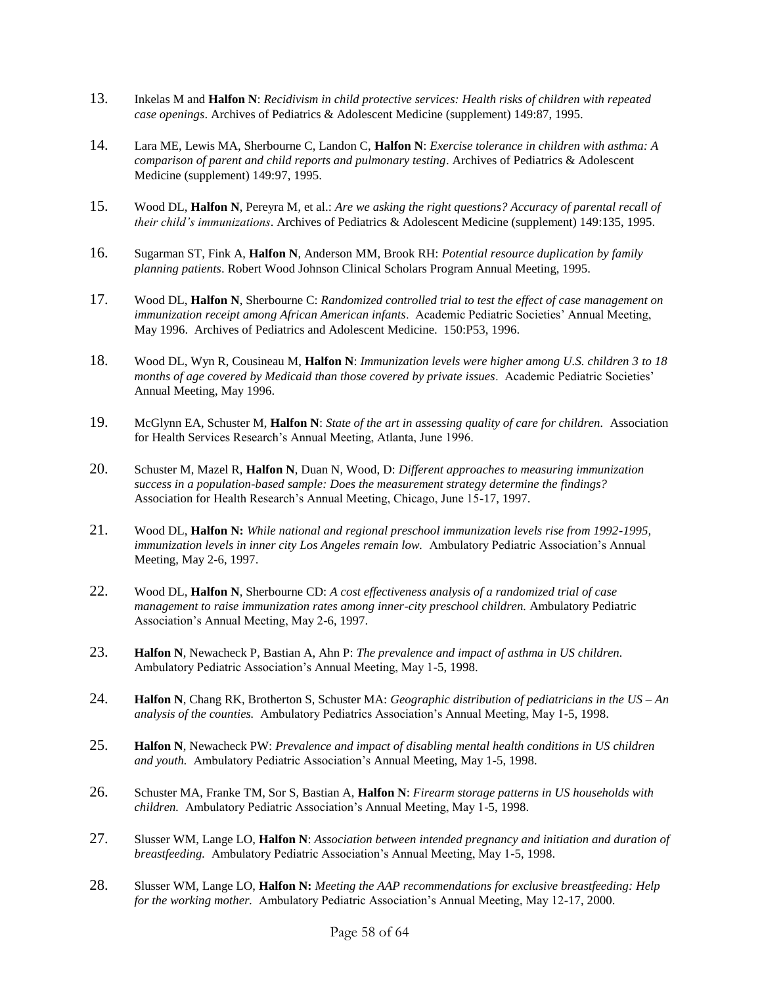- 13. Inkelas M and **Halfon N**: *Recidivism in child protective services: Health risks of children with repeated case openings*. Archives of Pediatrics & Adolescent Medicine (supplement) 149:87, 1995.
- 14. Lara ME, Lewis MA, Sherbourne C, Landon C, **Halfon N**: *Exercise tolerance in children with asthma: A comparison of parent and child reports and pulmonary testing*. Archives of Pediatrics & Adolescent Medicine (supplement) 149:97, 1995.
- 15. Wood DL, **Halfon N**, Pereyra M, et al.: *Are we asking the right questions? Accuracy of parental recall of their child's immunizations*. Archives of Pediatrics & Adolescent Medicine (supplement) 149:135, 1995.
- 16. Sugarman ST, Fink A, **Halfon N**, Anderson MM, Brook RH: *Potential resource duplication by family planning patients*. Robert Wood Johnson Clinical Scholars Program Annual Meeting, 1995.
- 17. Wood DL, **Halfon N**, Sherbourne C: *Randomized controlled trial to test the effect of case management on immunization receipt among African American infants*. Academic Pediatric Societies' Annual Meeting, May 1996. Archives of Pediatrics and Adolescent Medicine. 150:P53, 1996.
- 18. Wood DL, Wyn R, Cousineau M, **Halfon N**: *Immunization levels were higher among U.S. children 3 to 18 months of age covered by Medicaid than those covered by private issues*. Academic Pediatric Societies' Annual Meeting, May 1996.
- 19. McGlynn EA, Schuster M, **Halfon N**: *State of the art in assessing quality of care for children.* Association for Health Services Research's Annual Meeting, Atlanta, June 1996.
- 20. Schuster M, Mazel R, **Halfon N**, Duan N, Wood, D: *Different approaches to measuring immunization success in a population-based sample: Does the measurement strategy determine the findings?*  Association for Health Research's Annual Meeting, Chicago, June 15-17, 1997.
- 21. Wood DL, **Halfon N:** *While national and regional preschool immunization levels rise from 1992-1995, immunization levels in inner city Los Angeles remain low.* Ambulatory Pediatric Association's Annual Meeting, May 2-6, 1997.
- 22. Wood DL, **Halfon N**, Sherbourne CD: *A cost effectiveness analysis of a randomized trial of case management to raise immunization rates among inner-city preschool children.* Ambulatory Pediatric Association's Annual Meeting, May 2-6, 1997.
- 23. **Halfon N**, Newacheck P, Bastian A, Ahn P: *The prevalence and impact of asthma in US children.* Ambulatory Pediatric Association's Annual Meeting, May 1-5, 1998.
- 24. **Halfon N**, Chang RK, Brotherton S, Schuster MA: *Geographic distribution of pediatricians in the US – An analysis of the counties.* Ambulatory Pediatrics Association's Annual Meeting, May 1-5, 1998.
- 25. **Halfon N**, Newacheck PW: *Prevalence and impact of disabling mental health conditions in US children and youth.* Ambulatory Pediatric Association's Annual Meeting, May 1-5, 1998.
- 26. Schuster MA, Franke TM, Sor S, Bastian A, **Halfon N**: *Firearm storage patterns in US households with children.* Ambulatory Pediatric Association's Annual Meeting, May 1-5, 1998.
- 27. Slusser WM, Lange LO, **Halfon N**: *Association between intended pregnancy and initiation and duration of breastfeeding.* Ambulatory Pediatric Association's Annual Meeting, May 1-5, 1998.
- 28. Slusser WM, Lange LO, **Halfon N:** *Meeting the AAP recommendations for exclusive breastfeeding: Help for the working mother.* Ambulatory Pediatric Association's Annual Meeting, May 12-17, 2000.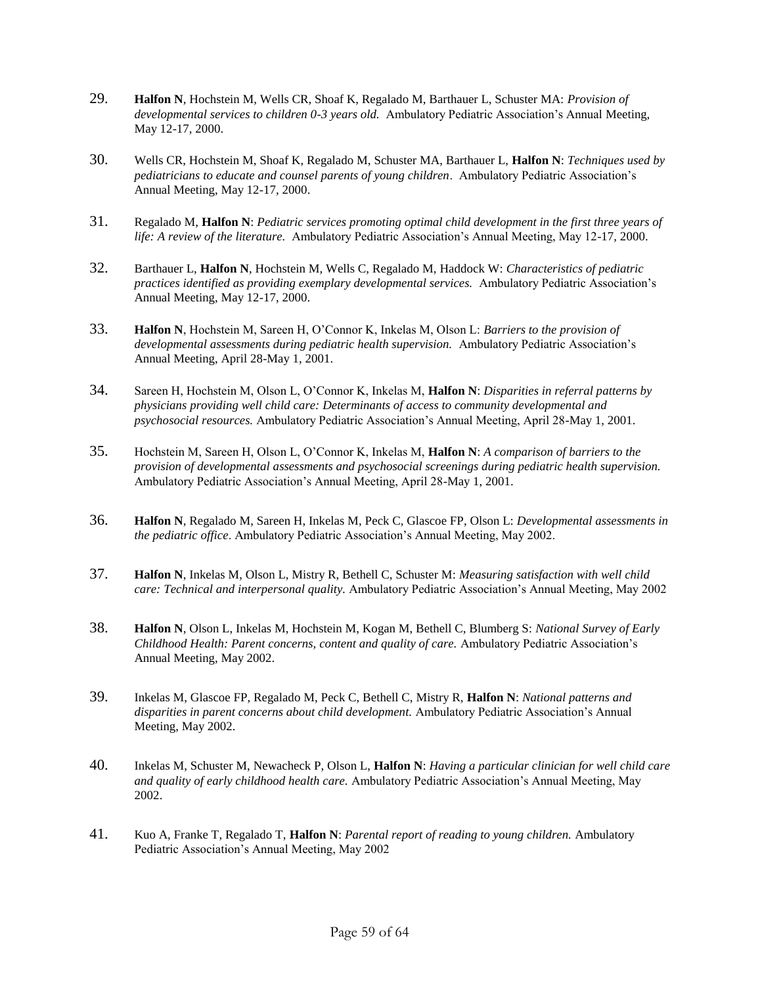- 29. **Halfon N**, Hochstein M, Wells CR, Shoaf K, Regalado M, Barthauer L, Schuster MA: *Provision of developmental services to children 0-3 years old.* Ambulatory Pediatric Association's Annual Meeting, May 12-17, 2000.
- 30. Wells CR, Hochstein M, Shoaf K, Regalado M, Schuster MA, Barthauer L, **Halfon N**: *Techniques used by pediatricians to educate and counsel parents of young children*. Ambulatory Pediatric Association's Annual Meeting, May 12-17, 2000.
- 31. Regalado M, **Halfon N**: *Pediatric services promoting optimal child development in the first three years of life: A review of the literature.* Ambulatory Pediatric Association's Annual Meeting, May 12-17, 2000.
- 32. Barthauer L, **Halfon N**, Hochstein M, Wells C, Regalado M, Haddock W: *Characteristics of pediatric practices identified as providing exemplary developmental services.* Ambulatory Pediatric Association's Annual Meeting, May 12-17, 2000.
- 33. **Halfon N**, Hochstein M, Sareen H, O'Connor K, Inkelas M, Olson L: *Barriers to the provision of developmental assessments during pediatric health supervision.* Ambulatory Pediatric Association's Annual Meeting, April 28-May 1, 2001.
- 34. Sareen H, Hochstein M, Olson L, O'Connor K, Inkelas M, **Halfon N**: *Disparities in referral patterns by physicians providing well child care: Determinants of access to community developmental and psychosocial resources.* Ambulatory Pediatric Association's Annual Meeting, April 28-May 1, 2001.
- 35. Hochstein M, Sareen H, Olson L, O'Connor K, Inkelas M, **Halfon N**: *A comparison of barriers to the provision of developmental assessments and psychosocial screenings during pediatric health supervision.* Ambulatory Pediatric Association's Annual Meeting, April 28-May 1, 2001.
- 36. **Halfon N**, Regalado M, Sareen H, Inkelas M, Peck C, Glascoe FP, Olson L: *Developmental assessments in the pediatric office*. Ambulatory Pediatric Association's Annual Meeting, May 2002.
- 37. **Halfon N**, Inkelas M, Olson L, Mistry R, Bethell C, Schuster M: *Measuring satisfaction with well child care: Technical and interpersonal quality.* Ambulatory Pediatric Association's Annual Meeting, May 2002
- 38. **Halfon N**, Olson L, Inkelas M, Hochstein M, Kogan M, Bethell C, Blumberg S: *National Survey of Early Childhood Health: Parent concerns, content and quality of care.* Ambulatory Pediatric Association's Annual Meeting, May 2002.
- 39. Inkelas M, Glascoe FP, Regalado M, Peck C, Bethell C, Mistry R, **Halfon N**: *National patterns and disparities in parent concerns about child development.* Ambulatory Pediatric Association's Annual Meeting, May 2002.
- 40. Inkelas M, Schuster M, Newacheck P, Olson L, **Halfon N**: *Having a particular clinician for well child care and quality of early childhood health care.* Ambulatory Pediatric Association's Annual Meeting, May 2002.
- 41. Kuo A, Franke T, Regalado T, **Halfon N**: *Parental report of reading to young children.* Ambulatory Pediatric Association's Annual Meeting, May 2002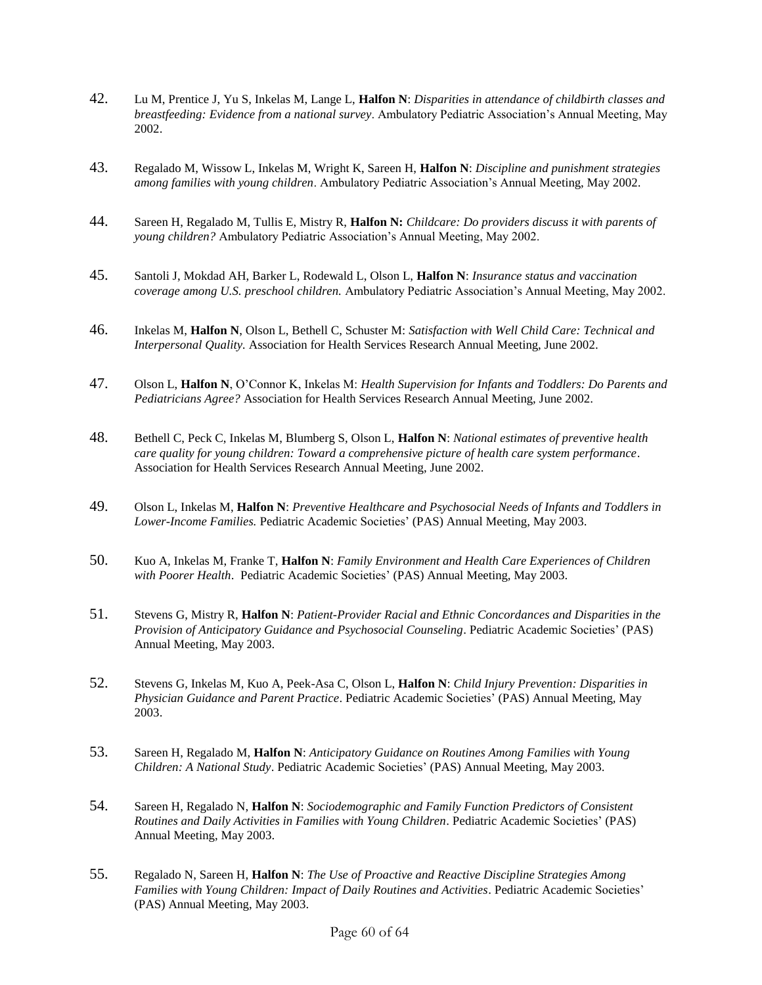- 42. Lu M, Prentice J, Yu S, Inkelas M, Lange L, **Halfon N**: *Disparities in attendance of childbirth classes and breastfeeding: Evidence from a national survey*. Ambulatory Pediatric Association's Annual Meeting, May 2002.
- 43. Regalado M, Wissow L, Inkelas M, Wright K, Sareen H, **Halfon N**: *Discipline and punishment strategies among families with young children*. Ambulatory Pediatric Association's Annual Meeting, May 2002.
- 44. Sareen H, Regalado M, Tullis E, Mistry R, **Halfon N:** *Childcare: Do providers discuss it with parents of young children?* Ambulatory Pediatric Association's Annual Meeting, May 2002.
- 45. Santoli J, Mokdad AH, Barker L, Rodewald L, Olson L, **Halfon N**: *Insurance status and vaccination coverage among U.S. preschool children.* Ambulatory Pediatric Association's Annual Meeting, May 2002.
- 46. Inkelas M, **Halfon N**, Olson L, Bethell C, Schuster M: *Satisfaction with Well Child Care: Technical and Interpersonal Quality.* Association for Health Services Research Annual Meeting, June 2002.
- 47. Olson L, **Halfon N**, O'Connor K, Inkelas M: *Health Supervision for Infants and Toddlers: Do Parents and Pediatricians Agree?* Association for Health Services Research Annual Meeting, June 2002.
- 48. Bethell C, Peck C, Inkelas M, Blumberg S, Olson L, **Halfon N**: *National estimates of preventive health care quality for young children: Toward a comprehensive picture of health care system performance*. Association for Health Services Research Annual Meeting, June 2002.
- 49. Olson L, Inkelas M, **Halfon N**: *Preventive Healthcare and Psychosocial Needs of Infants and Toddlers in Lower-Income Families.* Pediatric Academic Societies' (PAS) Annual Meeting, May 2003.
- 50. Kuo A, Inkelas M, Franke T, **Halfon N**: *Family Environment and Health Care Experiences of Children with Poorer Health*. Pediatric Academic Societies' (PAS) Annual Meeting, May 2003.
- 51. Stevens G, Mistry R, **Halfon N**: *Patient-Provider Racial and Ethnic Concordances and Disparities in the Provision of Anticipatory Guidance and Psychosocial Counseling*. Pediatric Academic Societies' (PAS) Annual Meeting, May 2003.
- 52. Stevens G, Inkelas M, Kuo A, Peek-Asa C, Olson L, **Halfon N**: *Child Injury Prevention: Disparities in Physician Guidance and Parent Practice*. Pediatric Academic Societies' (PAS) Annual Meeting, May 2003.
- 53. Sareen H, Regalado M, **Halfon N**: *Anticipatory Guidance on Routines Among Families with Young Children: A National Study*. Pediatric Academic Societies' (PAS) Annual Meeting, May 2003.
- 54. Sareen H, Regalado N, **Halfon N**: *Sociodemographic and Family Function Predictors of Consistent Routines and Daily Activities in Families with Young Children*. Pediatric Academic Societies' (PAS) Annual Meeting, May 2003.
- 55. Regalado N, Sareen H, **Halfon N**: *The Use of Proactive and Reactive Discipline Strategies Among Families with Young Children: Impact of Daily Routines and Activities*. Pediatric Academic Societies' (PAS) Annual Meeting, May 2003.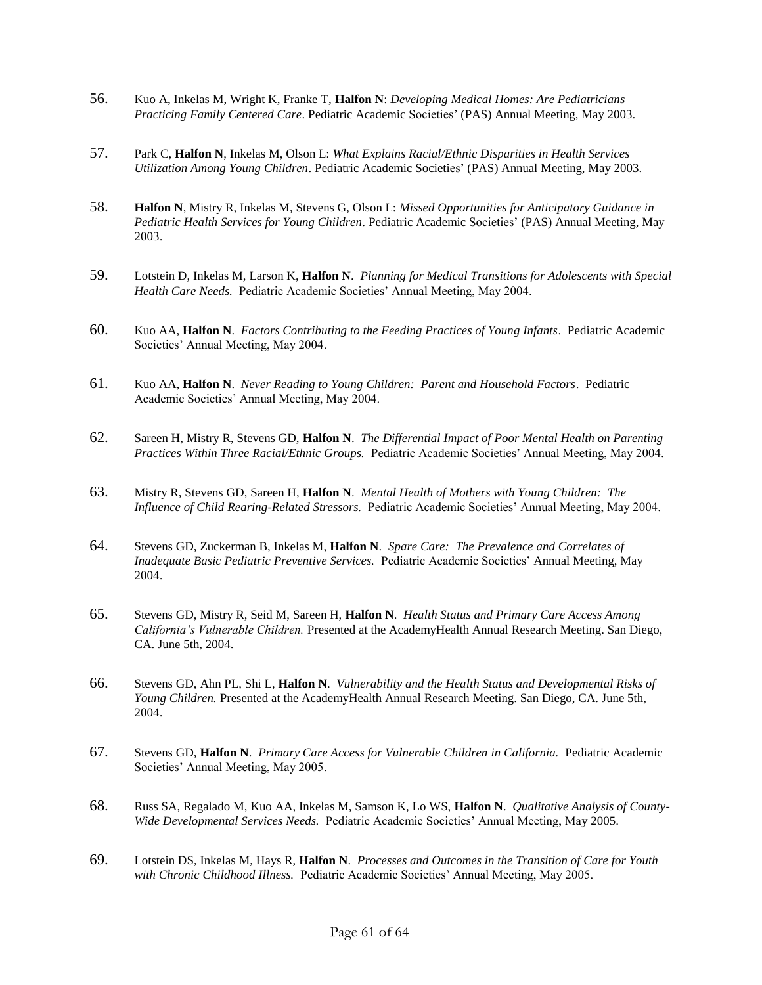- 56. Kuo A, Inkelas M, Wright K, Franke T, **Halfon N**: *Developing Medical Homes: Are Pediatricians Practicing Family Centered Care*. Pediatric Academic Societies' (PAS) Annual Meeting, May 2003.
- 57. Park C, **Halfon N**, Inkelas M, Olson L: *What Explains Racial/Ethnic Disparities in Health Services Utilization Among Young Children*. Pediatric Academic Societies' (PAS) Annual Meeting, May 2003.
- 58. **Halfon N**, Mistry R, Inkelas M, Stevens G, Olson L: *Missed Opportunities for Anticipatory Guidance in Pediatric Health Services for Young Children*. Pediatric Academic Societies' (PAS) Annual Meeting, May 2003.
- 59. Lotstein D, Inkelas M, Larson K, **Halfon N**. *Planning for Medical Transitions for Adolescents with Special Health Care Needs.* Pediatric Academic Societies' Annual Meeting, May 2004.
- 60. Kuo AA, **Halfon N**. *Factors Contributing to the Feeding Practices of Young Infants*. Pediatric Academic Societies' Annual Meeting, May 2004.
- 61. Kuo AA, **Halfon N**. *Never Reading to Young Children: Parent and Household Factors*. Pediatric Academic Societies' Annual Meeting, May 2004.
- 62. Sareen H, Mistry R, Stevens GD, **Halfon N**. *The Differential Impact of Poor Mental Health on Parenting Practices Within Three Racial/Ethnic Groups.* Pediatric Academic Societies' Annual Meeting, May 2004.
- 63. Mistry R, Stevens GD, Sareen H, **Halfon N**. *Mental Health of Mothers with Young Children: The Influence of Child Rearing-Related Stressors.* Pediatric Academic Societies' Annual Meeting, May 2004.
- 64. Stevens GD, Zuckerman B, Inkelas M, **Halfon N**. *Spare Care: The Prevalence and Correlates of Inadequate Basic Pediatric Preventive Services.* Pediatric Academic Societies' Annual Meeting, May 2004.
- 65. Stevens GD, Mistry R, Seid M, Sareen H, **Halfon N**. *Health Status and Primary Care Access Among California's Vulnerable Children.* Presented at the AcademyHealth Annual Research Meeting. San Diego, CA. June 5th, 2004.
- 66. Stevens GD, Ahn PL, Shi L, **Halfon N**. *Vulnerability and the Health Status and Developmental Risks of Young Children.* Presented at the AcademyHealth Annual Research Meeting. San Diego, CA. June 5th, 2004.
- 67. Stevens GD, **Halfon N**. *Primary Care Access for Vulnerable Children in California.* Pediatric Academic Societies' Annual Meeting, May 2005.
- 68. Russ SA, Regalado M, Kuo AA, Inkelas M, Samson K, Lo WS, **Halfon N**. *Qualitative Analysis of County-Wide Developmental Services Needs.* Pediatric Academic Societies' Annual Meeting, May 2005.
- 69. Lotstein DS, Inkelas M, Hays R, **Halfon N**. *Processes and Outcomes in the Transition of Care for Youth with Chronic Childhood Illness.* Pediatric Academic Societies' Annual Meeting, May 2005.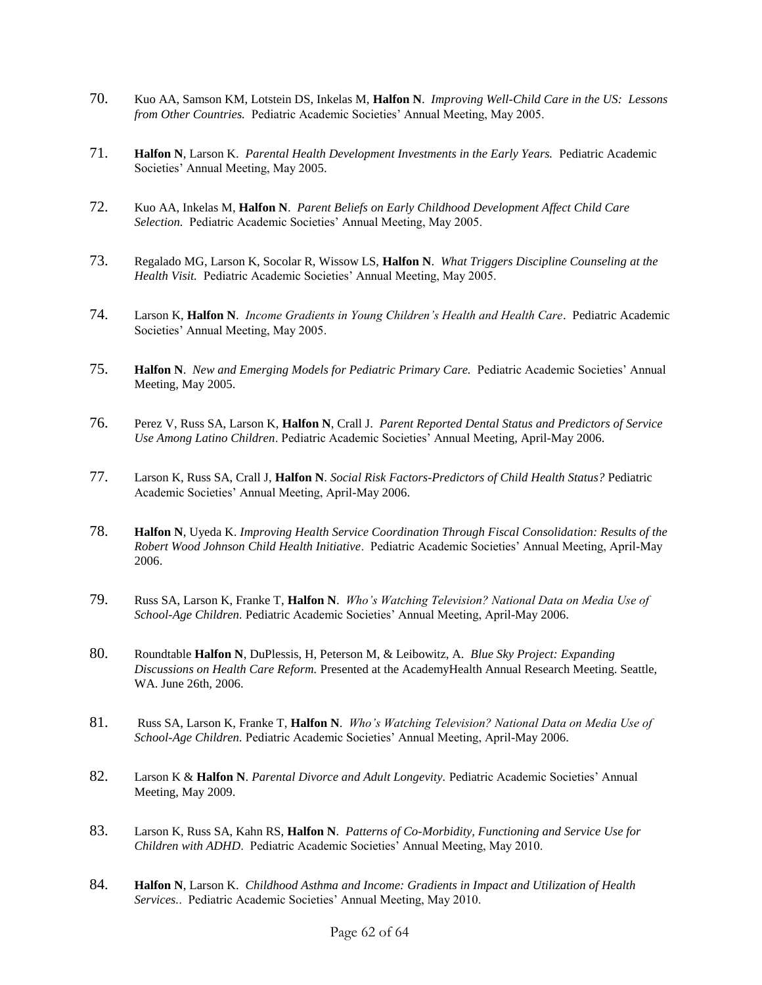- 70. Kuo AA, Samson KM, Lotstein DS, Inkelas M, **Halfon N**. *Improving Well-Child Care in the US: Lessons from Other Countries.* Pediatric Academic Societies' Annual Meeting, May 2005.
- 71. **Halfon N**, Larson K. *Parental Health Development Investments in the Early Years.* Pediatric Academic Societies' Annual Meeting, May 2005.
- 72. Kuo AA, Inkelas M, **Halfon N**. *Parent Beliefs on Early Childhood Development Affect Child Care Selection.* Pediatric Academic Societies' Annual Meeting, May 2005.
- 73. Regalado MG, Larson K, Socolar R, Wissow LS, **Halfon N**. *What Triggers Discipline Counseling at the Health Visit.* Pediatric Academic Societies' Annual Meeting, May 2005.
- 74. Larson K, **Halfon N**. *Income Gradients in Young Children's Health and Health Care*. Pediatric Academic Societies' Annual Meeting, May 2005.
- 75. **Halfon N**. *New and Emerging Models for Pediatric Primary Care.* Pediatric Academic Societies' Annual Meeting, May 2005.
- 76. Perez V, Russ SA, Larson K, **Halfon N**, Crall J. *Parent Reported Dental Status and Predictors of Service Use Among Latino Children*. Pediatric Academic Societies' Annual Meeting, April-May 2006.
- 77. Larson K, Russ SA, Crall J, **Halfon N**. *Social Risk Factors-Predictors of Child Health Status?* Pediatric Academic Societies' Annual Meeting, April-May 2006.
- 78. **Halfon N**, Uyeda K. *Improving Health Service Coordination Through Fiscal Consolidation: Results of the Robert Wood Johnson Child Health Initiative*. Pediatric Academic Societies' Annual Meeting, April-May 2006.
- 79. Russ SA, Larson K, Franke T, **Halfon N**. *Who's Watching Television? National Data on Media Use of School-Age Children.* Pediatric Academic Societies' Annual Meeting, April-May 2006.
- 80. Roundtable **Halfon N**, DuPlessis, H, Peterson M, & Leibowitz, A. *Blue Sky Project: Expanding Discussions on Health Care Reform.* Presented at the AcademyHealth Annual Research Meeting. Seattle, WA. June 26th, 2006.
- 81. Russ SA, Larson K, Franke T, **Halfon N**. *Who's Watching Television? National Data on Media Use of School-Age Children.* Pediatric Academic Societies' Annual Meeting, April-May 2006.
- 82. Larson K & **Halfon N**. *Parental Divorce and Adult Longevity.* Pediatric Academic Societies' Annual Meeting, May 2009.
- 83. Larson K, Russ SA, Kahn RS, **Halfon N**. *Patterns of Co-Morbidity, Functioning and Service Use for Children with ADHD*. Pediatric Academic Societies' Annual Meeting, May 2010.
- 84. **Halfon N**, Larson K. *Childhood Asthma and Income: Gradients in Impact and Utilization of Health Services.*. Pediatric Academic Societies' Annual Meeting, May 2010.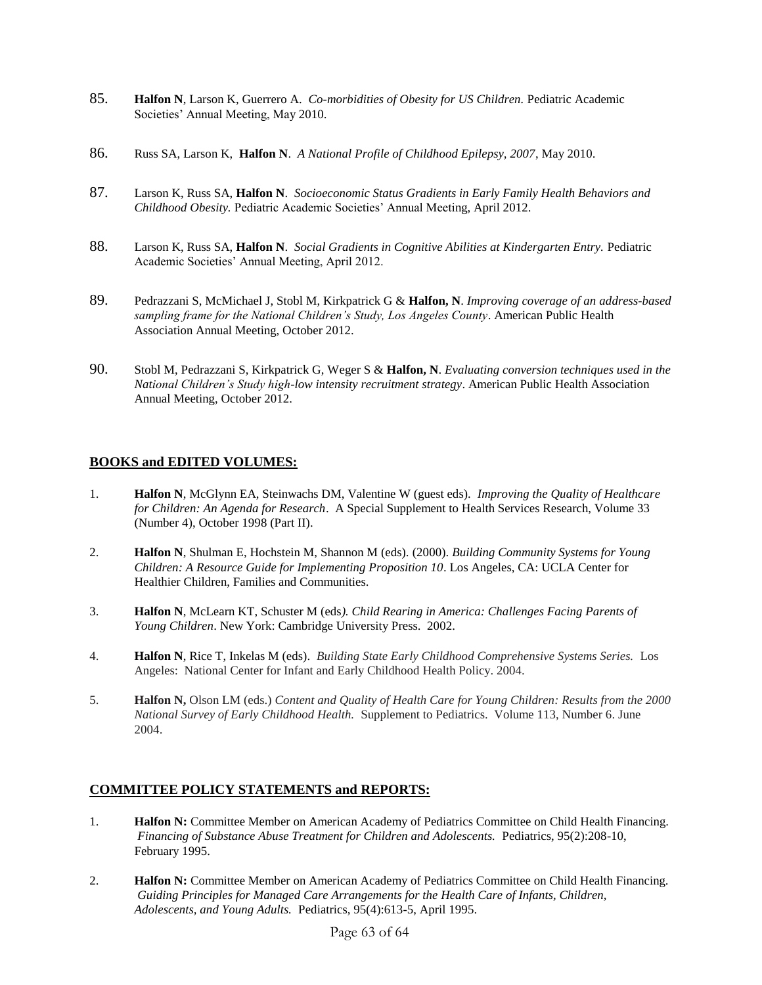- 85. **Halfon N**, Larson K, Guerrero A. *Co-morbidities of Obesity for US Children.* Pediatric Academic Societies' Annual Meeting, May 2010.
- 86. Russ SA, Larson K, **Halfon N**. *A National Profile of Childhood Epilepsy, 2007*, May 2010.
- 87. Larson K, Russ SA, **Halfon N**. *Socioeconomic Status Gradients in Early Family Health Behaviors and Childhood Obesity.* Pediatric Academic Societies' Annual Meeting, April 2012.
- 88. Larson K, Russ SA, **Halfon N**. *Social Gradients in Cognitive Abilities at Kindergarten Entry.* Pediatric Academic Societies' Annual Meeting, April 2012.
- 89. Pedrazzani S, McMichael J, Stobl M, Kirkpatrick G & **Halfon, N**. *Improving coverage of an address-based sampling frame for the National Children's Study, Los Angeles County*. American Public Health Association Annual Meeting, October 2012.
- 90. Stobl M, Pedrazzani S, Kirkpatrick G, Weger S & **Halfon, N**. *Evaluating conversion techniques used in the National Children's Study high-low intensity recruitment strategy*. American Public Health Association Annual Meeting, October 2012.

# **BOOKS and EDITED VOLUMES:**

- 1. **Halfon N**, McGlynn EA, Steinwachs DM, Valentine W (guest eds). *Improving the Quality of Healthcare for Children: An Agenda for Research*. A Special Supplement to Health Services Research, Volume 33 (Number 4), October 1998 (Part II).
- 2. **Halfon N**, Shulman E, Hochstein M, Shannon M (eds). (2000). *Building Community Systems for Young Children: A Resource Guide for Implementing Proposition 10*. Los Angeles, CA: UCLA Center for Healthier Children, Families and Communities.
- 3. **Halfon N**, McLearn KT, Schuster M (eds*). Child Rearing in America: Challenges Facing Parents of Young Children*. New York: Cambridge University Press. 2002.
- 4. **Halfon N**, Rice T, Inkelas M (eds). *Building State Early Childhood Comprehensive Systems Series.* Los Angeles: National Center for Infant and Early Childhood Health Policy. 2004.
- 5. **Halfon N,** Olson LM (eds.) *Content and Quality of Health Care for Young Children: Results from the 2000 National Survey of Early Childhood Health.* Supplement to Pediatrics. Volume 113, Number 6. June 2004.

## **COMMITTEE POLICY STATEMENTS and REPORTS:**

- 1. **Halfon N:** Committee Member on American Academy of Pediatrics Committee on Child Health Financing. *Financing of Substance Abuse Treatment for Children and Adolescents.* Pediatrics, 95(2):208-10, February 1995.
- 2. **Halfon N:** Committee Member on American Academy of Pediatrics Committee on Child Health Financing. *Guiding Principles for Managed Care Arrangements for the Health Care of Infants, Children, Adolescents, and Young Adults.* Pediatrics, 95(4):613-5, April 1995.